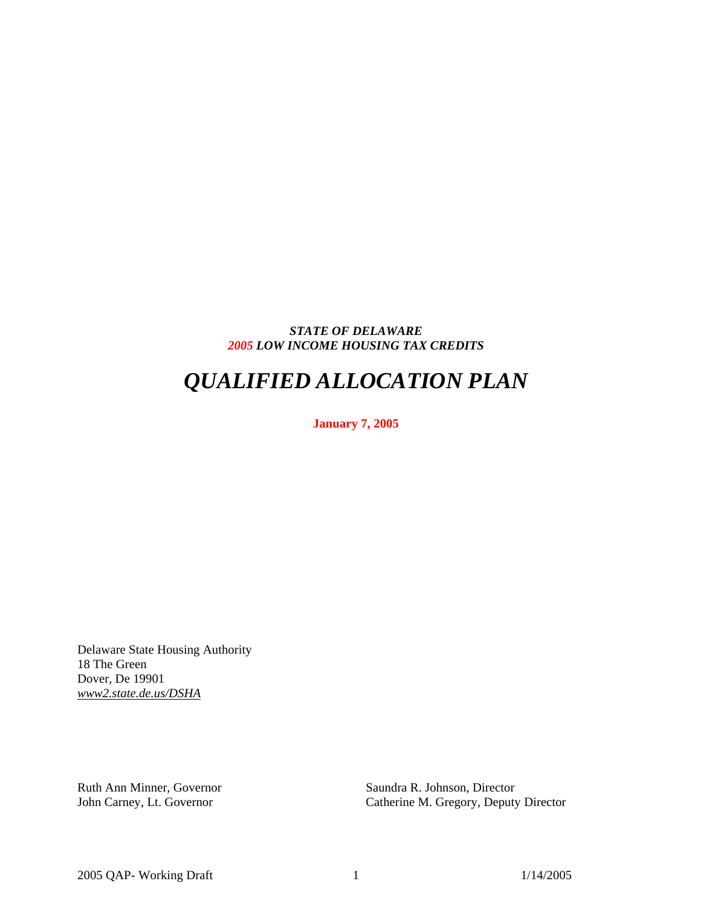## *STATE OF DELAWARE 2005 LOW INCOME HOUSING TAX CREDITS*

# *QUALIFIED ALLOCATION PLAN*

**January 7, 2005** 

Delaware State Housing Authority 18 The Green Dover, De 19901 *www2.state.de.us/DSHA*

Ruth Ann Minner, Governor Saundra R. Johnson, Director

John Carney, Lt. Governor Catherine M. Gregory, Deputy Director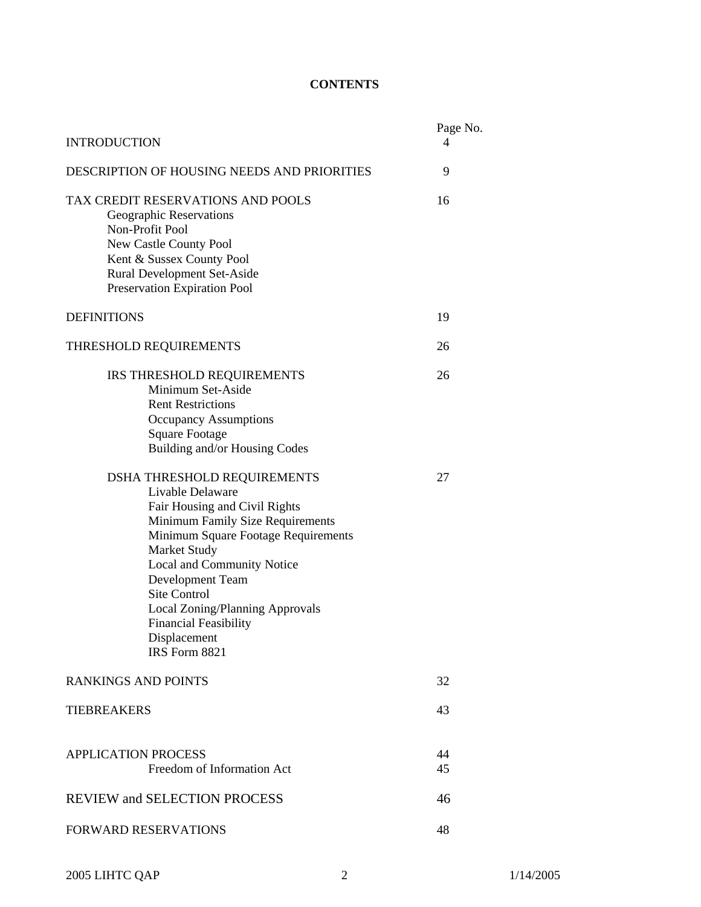# **CONTENTS**

| <b>INTRODUCTION</b>                                                                                                                                                                                                                                                                                                                                      | Page No.<br>4 |  |  |  |  |  |
|----------------------------------------------------------------------------------------------------------------------------------------------------------------------------------------------------------------------------------------------------------------------------------------------------------------------------------------------------------|---------------|--|--|--|--|--|
| DESCRIPTION OF HOUSING NEEDS AND PRIORITIES                                                                                                                                                                                                                                                                                                              |               |  |  |  |  |  |
| TAX CREDIT RESERVATIONS AND POOLS<br>Geographic Reservations<br>Non-Profit Pool<br>New Castle County Pool<br>Kent & Sussex County Pool<br><b>Rural Development Set-Aside</b><br>Preservation Expiration Pool                                                                                                                                             | 16            |  |  |  |  |  |
| <b>DEFINITIONS</b>                                                                                                                                                                                                                                                                                                                                       | 19            |  |  |  |  |  |
| THRESHOLD REQUIREMENTS                                                                                                                                                                                                                                                                                                                                   | 26            |  |  |  |  |  |
| IRS THRESHOLD REQUIREMENTS<br>Minimum Set-Aside<br><b>Rent Restrictions</b><br><b>Occupancy Assumptions</b><br><b>Square Footage</b><br>Building and/or Housing Codes                                                                                                                                                                                    | 26            |  |  |  |  |  |
| DSHA THRESHOLD REQUIREMENTS<br>Livable Delaware<br>Fair Housing and Civil Rights<br>Minimum Family Size Requirements<br>Minimum Square Footage Requirements<br>Market Study<br>Local and Community Notice<br>Development Team<br><b>Site Control</b><br>Local Zoning/Planning Approvals<br><b>Financial Feasibility</b><br>Displacement<br>IRS Form 8821 | 27            |  |  |  |  |  |
| <b>RANKINGS AND POINTS</b>                                                                                                                                                                                                                                                                                                                               | 32            |  |  |  |  |  |
| <b>TIEBREAKERS</b>                                                                                                                                                                                                                                                                                                                                       | 43            |  |  |  |  |  |
| <b>APPLICATION PROCESS</b><br>Freedom of Information Act                                                                                                                                                                                                                                                                                                 | 44<br>45      |  |  |  |  |  |
| <b>REVIEW and SELECTION PROCESS</b>                                                                                                                                                                                                                                                                                                                      | 46            |  |  |  |  |  |
| <b>FORWARD RESERVATIONS</b>                                                                                                                                                                                                                                                                                                                              | 48            |  |  |  |  |  |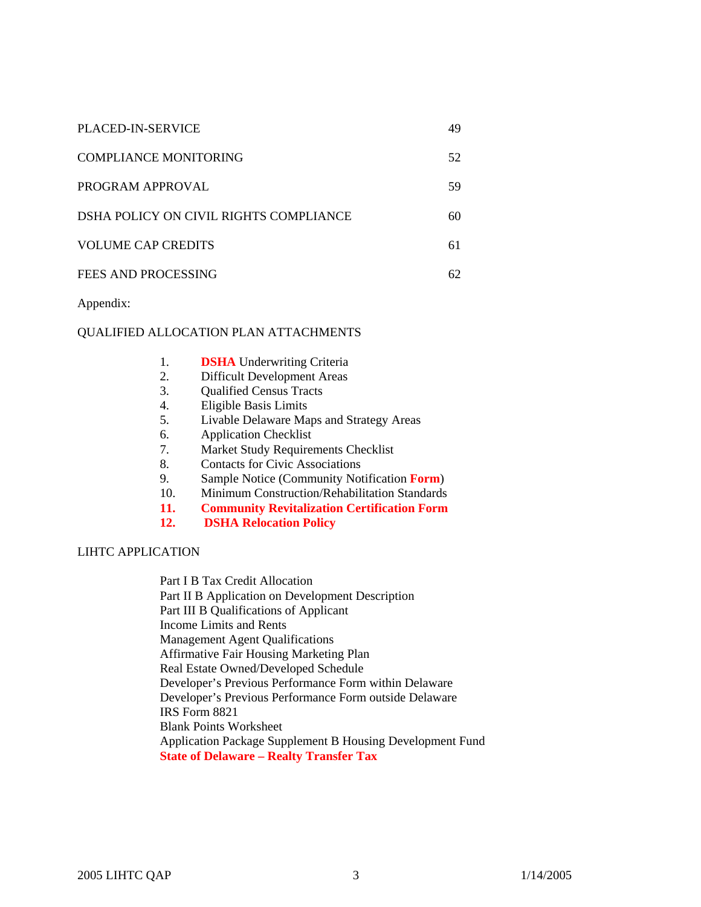| <b>PLACED-IN-SERVICE</b>               | 49  |
|----------------------------------------|-----|
| COMPLIANCE MONITORING                  | 52  |
| PROGRAM APPROVAL                       | 59  |
| DSHA POLICY ON CIVIL RIGHTS COMPLIANCE | 60  |
| <b>VOLUME CAP CREDITS</b>              | 61  |
| FEES AND PROCESSING                    | 62. |

Appendix:

## QUALIFIED ALLOCATION PLAN ATTACHMENTS

- 1. **DSHA** Underwriting Criteria
- 2. Difficult Development Areas
- 3. Qualified Census Tracts
- 4. Eligible Basis Limits
- 5. Livable Delaware Maps and Strategy Areas
- 6. Application Checklist
- 7. Market Study Requirements Checklist
- 8. Contacts for Civic Associations
- 9. Sample Notice (Community Notification **Form**)
- 10. Minimum Construction/Rehabilitation Standards
- **11. Community Revitalization Certification Form**
- **12. DSHA Relocation Policy**

## LIHTC APPLICATION

Part I B Tax Credit Allocation Part II B Application on Development Description Part III B Qualifications of Applicant Income Limits and Rents Management Agent Qualifications Affirmative Fair Housing Marketing Plan Real Estate Owned/Developed Schedule Developer's Previous Performance Form within Delaware Developer's Previous Performance Form outside Delaware IRS Form 8821 Blank Points Worksheet Application Package Supplement B Housing Development Fund **State of Delaware – Realty Transfer Tax**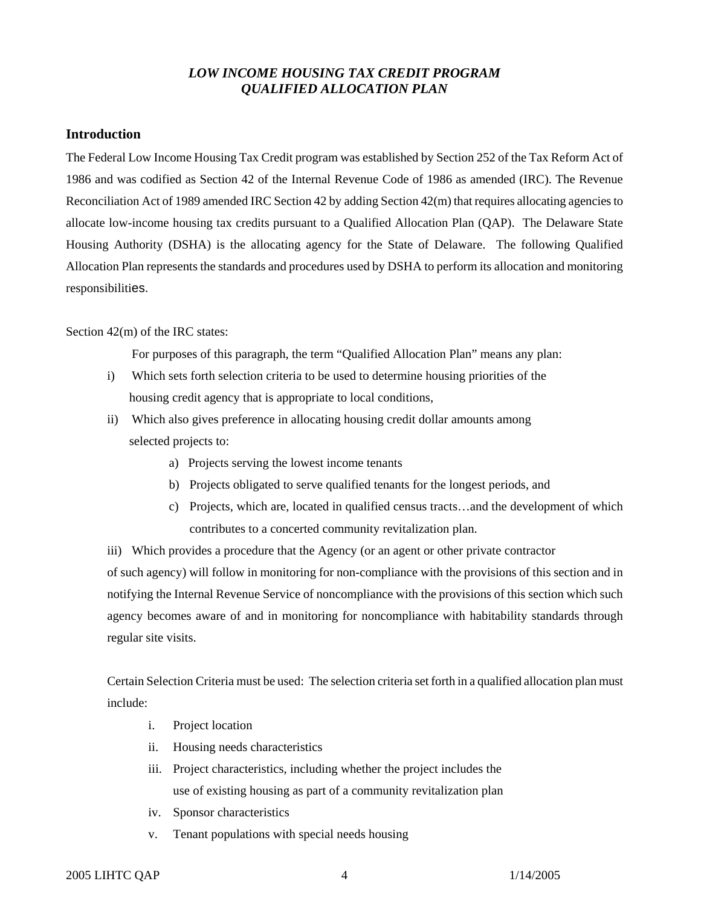# *LOW INCOME HOUSING TAX CREDIT PROGRAM QUALIFIED ALLOCATION PLAN*

## **Introduction**

The Federal Low Income Housing Tax Credit program was established by Section 252 of the Tax Reform Act of 1986 and was codified as Section 42 of the Internal Revenue Code of 1986 as amended (IRC). The Revenue Reconciliation Act of 1989 amended IRC Section 42 by adding Section 42(m) that requires allocating agencies to allocate low-income housing tax credits pursuant to a Qualified Allocation Plan (QAP). The Delaware State Housing Authority (DSHA) is the allocating agency for the State of Delaware. The following Qualified Allocation Plan represents the standards and procedures used by DSHA to perform its allocation and monitoring responsibilities.

## Section 42(m) of the IRC states:

For purposes of this paragraph, the term "Qualified Allocation Plan" means any plan:

- i) Which sets forth selection criteria to be used to determine housing priorities of the housing credit agency that is appropriate to local conditions,
- ii) Which also gives preference in allocating housing credit dollar amounts among selected projects to:
	- a) Projects serving the lowest income tenants
	- b) Projects obligated to serve qualified tenants for the longest periods, and
	- c) Projects, which are, located in qualified census tracts…and the development of which contributes to a concerted community revitalization plan.

iii) Which provides a procedure that the Agency (or an agent or other private contractor of such agency) will follow in monitoring for non-compliance with the provisions of this section and in notifying the Internal Revenue Service of noncompliance with the provisions of this section which such agency becomes aware of and in monitoring for noncompliance with habitability standards through regular site visits.

Certain Selection Criteria must be used: The selection criteria set forth in a qualified allocation plan must include:

- i. Project location
- ii. Housing needs characteristics
- iii. Project characteristics, including whether the project includes the use of existing housing as part of a community revitalization plan
- iv. Sponsor characteristics
- v. Tenant populations with special needs housing

## 2005 LIHTC QAP 4 1/14/2005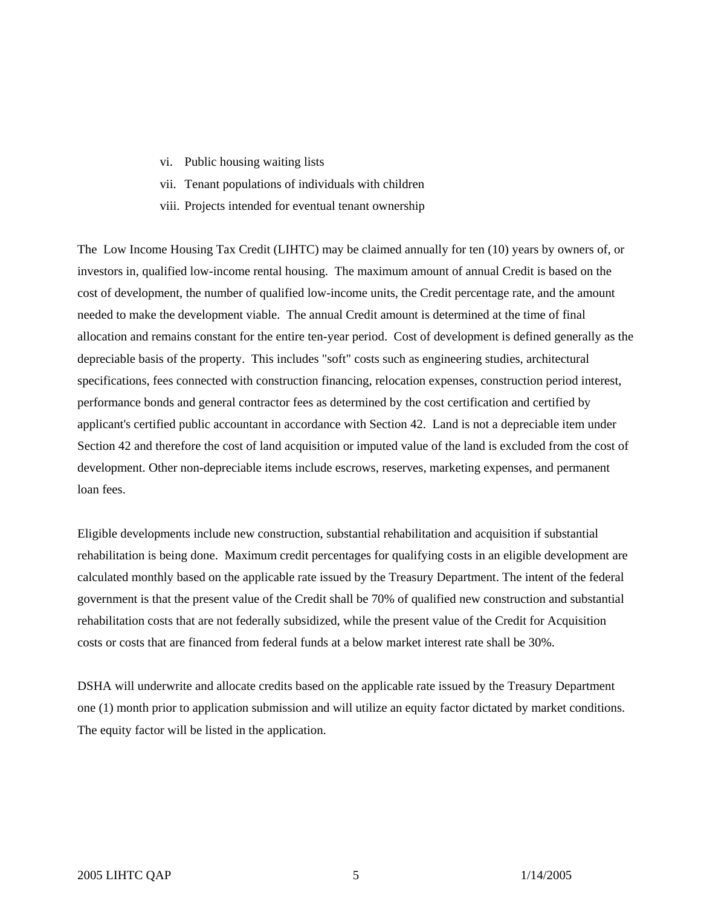- vi. Public housing waiting lists
- vii. Tenant populations of individuals with children
- viii. Projects intended for eventual tenant ownership

The Low Income Housing Tax Credit (LIHTC) may be claimed annually for ten (10) years by owners of, or investors in, qualified low-income rental housing. The maximum amount of annual Credit is based on the cost of development, the number of qualified low-income units, the Credit percentage rate, and the amount needed to make the development viable. The annual Credit amount is determined at the time of final allocation and remains constant for the entire ten-year period. Cost of development is defined generally as the depreciable basis of the property. This includes "soft" costs such as engineering studies, architectural specifications, fees connected with construction financing, relocation expenses, construction period interest, performance bonds and general contractor fees as determined by the cost certification and certified by applicant's certified public accountant in accordance with Section 42. Land is not a depreciable item under Section 42 and therefore the cost of land acquisition or imputed value of the land is excluded from the cost of development. Other non-depreciable items include escrows, reserves, marketing expenses, and permanent loan fees.

Eligible developments include new construction, substantial rehabilitation and acquisition if substantial rehabilitation is being done. Maximum credit percentages for qualifying costs in an eligible development are calculated monthly based on the applicable rate issued by the Treasury Department. The intent of the federal government is that the present value of the Credit shall be 70% of qualified new construction and substantial rehabilitation costs that are not federally subsidized, while the present value of the Credit for Acquisition costs or costs that are financed from federal funds at a below market interest rate shall be 30%.

DSHA will underwrite and allocate credits based on the applicable rate issued by the Treasury Department one (1) month prior to application submission and will utilize an equity factor dictated by market conditions. The equity factor will be listed in the application.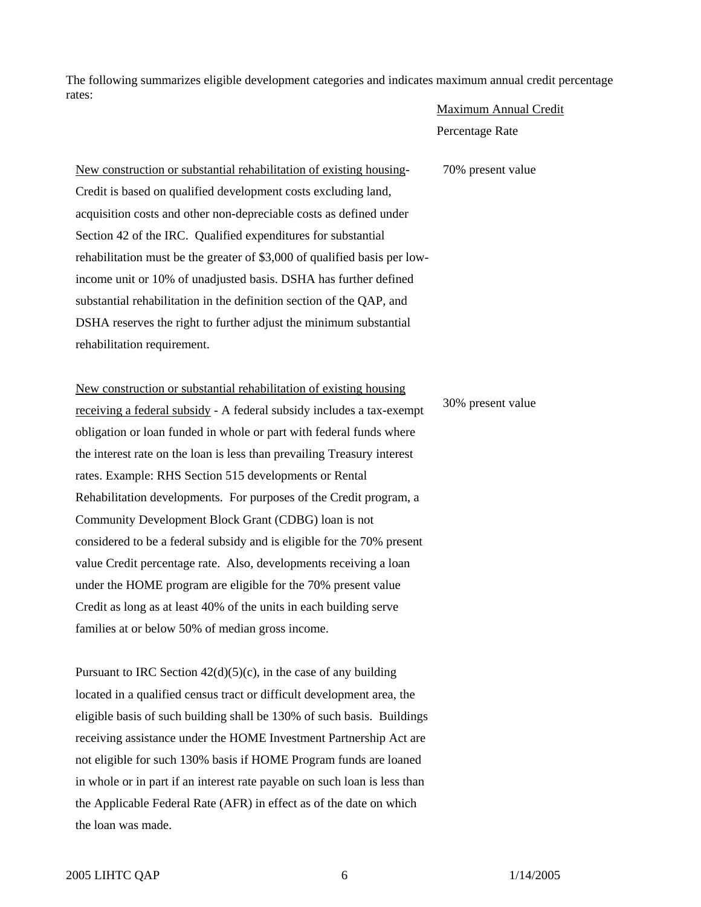The following summarizes eligible development categories and indicates maximum annual credit percentage rates:

#### Maximum Annual Credit

Percentage Rate

70% present value

New construction or substantial rehabilitation of existing housing-Credit is based on qualified development costs excluding land, acquisition costs and other non-depreciable costs as defined under Section 42 of the IRC. Qualified expenditures for substantial rehabilitation must be the greater of \$3,000 of qualified basis per lowincome unit or 10% of unadjusted basis. DSHA has further defined substantial rehabilitation in the definition section of the QAP, and DSHA reserves the right to further adjust the minimum substantial rehabilitation requirement.

New construction or substantial rehabilitation of existing housing receiving a federal subsidy - A federal subsidy includes a tax-exempt obligation or loan funded in whole or part with federal funds where the interest rate on the loan is less than prevailing Treasury interest rates. Example: RHS Section 515 developments or Rental Rehabilitation developments. For purposes of the Credit program, a Community Development Block Grant (CDBG) loan is not considered to be a federal subsidy and is eligible for the 70% present value Credit percentage rate. Also, developments receiving a loan under the HOME program are eligible for the 70% present value Credit as long as at least 40% of the units in each building serve families at or below 50% of median gross income.

Pursuant to IRC Section  $42(d)(5)(c)$ , in the case of any building located in a qualified census tract or difficult development area, the eligible basis of such building shall be 130% of such basis. Buildings receiving assistance under the HOME Investment Partnership Act are not eligible for such 130% basis if HOME Program funds are loaned in whole or in part if an interest rate payable on such loan is less than the Applicable Federal Rate (AFR) in effect as of the date on which the loan was made.

## 30% present value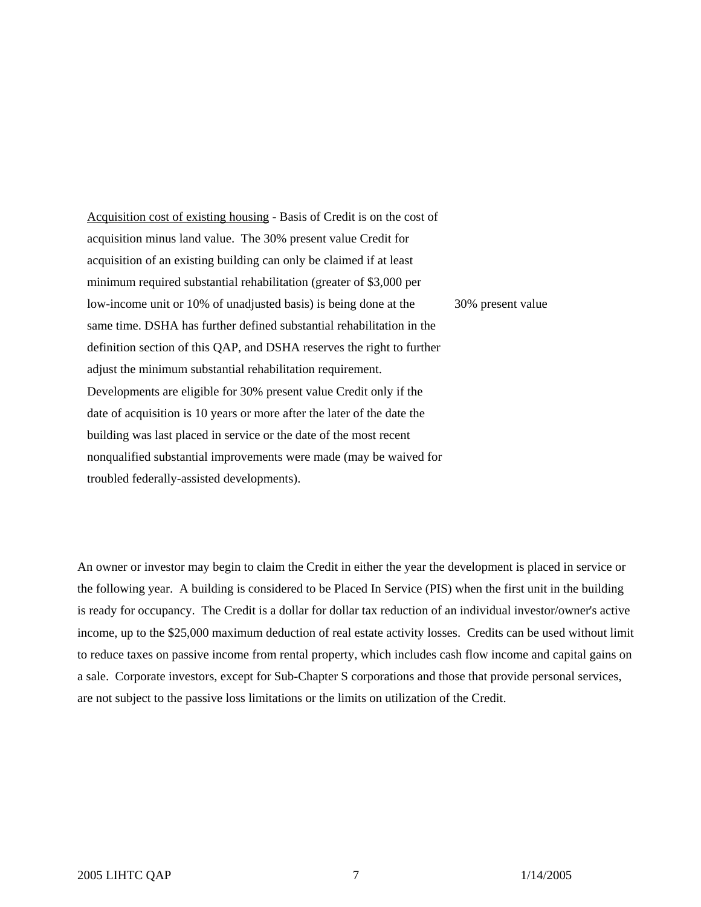Acquisition cost of existing housing - Basis of Credit is on the cost of acquisition minus land value. The 30% present value Credit for acquisition of an existing building can only be claimed if at least minimum required substantial rehabilitation (greater of \$3,000 per low-income unit or 10% of unadjusted basis) is being done at the same time. DSHA has further defined substantial rehabilitation in the definition section of this QAP, and DSHA reserves the right to further adjust the minimum substantial rehabilitation requirement. Developments are eligible for 30% present value Credit only if the date of acquisition is 10 years or more after the later of the date the building was last placed in service or the date of the most recent nonqualified substantial improvements were made (may be waived for troubled federally-assisted developments). 30% present value

An owner or investor may begin to claim the Credit in either the year the development is placed in service or the following year. A building is considered to be Placed In Service (PIS) when the first unit in the building is ready for occupancy. The Credit is a dollar for dollar tax reduction of an individual investor/owner's active income, up to the \$25,000 maximum deduction of real estate activity losses. Credits can be used without limit to reduce taxes on passive income from rental property, which includes cash flow income and capital gains on a sale. Corporate investors, except for Sub-Chapter S corporations and those that provide personal services, are not subject to the passive loss limitations or the limits on utilization of the Credit.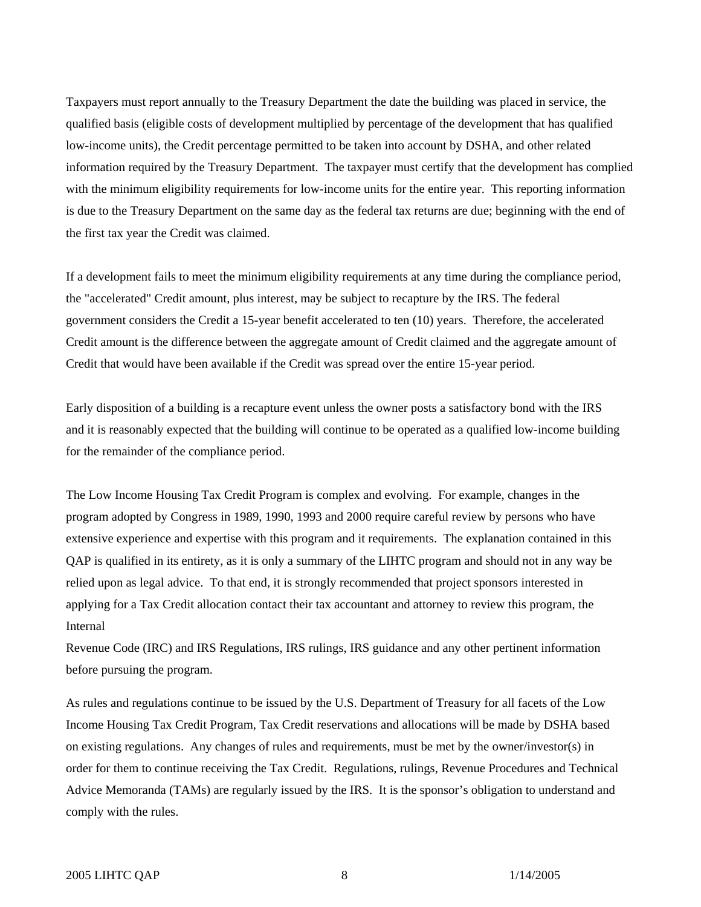Taxpayers must report annually to the Treasury Department the date the building was placed in service, the qualified basis (eligible costs of development multiplied by percentage of the development that has qualified low-income units), the Credit percentage permitted to be taken into account by DSHA, and other related information required by the Treasury Department. The taxpayer must certify that the development has complied with the minimum eligibility requirements for low-income units for the entire year. This reporting information is due to the Treasury Department on the same day as the federal tax returns are due; beginning with the end of the first tax year the Credit was claimed.

If a development fails to meet the minimum eligibility requirements at any time during the compliance period, the "accelerated" Credit amount, plus interest, may be subject to recapture by the IRS. The federal government considers the Credit a 15-year benefit accelerated to ten (10) years. Therefore, the accelerated Credit amount is the difference between the aggregate amount of Credit claimed and the aggregate amount of Credit that would have been available if the Credit was spread over the entire 15-year period.

Early disposition of a building is a recapture event unless the owner posts a satisfactory bond with the IRS and it is reasonably expected that the building will continue to be operated as a qualified low-income building for the remainder of the compliance period.

The Low Income Housing Tax Credit Program is complex and evolving. For example, changes in the program adopted by Congress in 1989, 1990, 1993 and 2000 require careful review by persons who have extensive experience and expertise with this program and it requirements. The explanation contained in this QAP is qualified in its entirety, as it is only a summary of the LIHTC program and should not in any way be relied upon as legal advice. To that end, it is strongly recommended that project sponsors interested in applying for a Tax Credit allocation contact their tax accountant and attorney to review this program, the Internal

Revenue Code (IRC) and IRS Regulations, IRS rulings, IRS guidance and any other pertinent information before pursuing the program.

As rules and regulations continue to be issued by the U.S. Department of Treasury for all facets of the Low Income Housing Tax Credit Program, Tax Credit reservations and allocations will be made by DSHA based on existing regulations. Any changes of rules and requirements, must be met by the owner/investor(s) in order for them to continue receiving the Tax Credit. Regulations, rulings, Revenue Procedures and Technical Advice Memoranda (TAMs) are regularly issued by the IRS. It is the sponsor's obligation to understand and comply with the rules.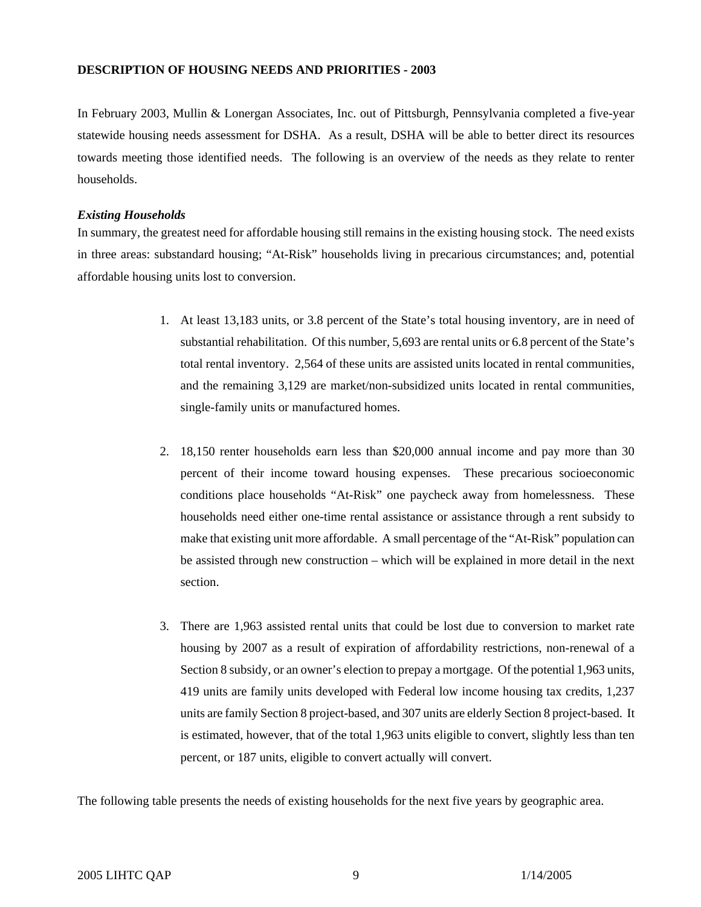## **DESCRIPTION OF HOUSING NEEDS AND PRIORITIES - 2003**

In February 2003, Mullin & Lonergan Associates, Inc. out of Pittsburgh, Pennsylvania completed a five-year statewide housing needs assessment for DSHA. As a result, DSHA will be able to better direct its resources towards meeting those identified needs. The following is an overview of the needs as they relate to renter households.

## *Existing Households*

In summary, the greatest need for affordable housing still remains in the existing housing stock. The need exists in three areas: substandard housing; "At-Risk" households living in precarious circumstances; and, potential affordable housing units lost to conversion.

- 1. At least 13,183 units, or 3.8 percent of the State's total housing inventory, are in need of substantial rehabilitation. Of this number, 5,693 are rental units or 6.8 percent of the State's total rental inventory. 2,564 of these units are assisted units located in rental communities, and the remaining 3,129 are market/non-subsidized units located in rental communities, single-family units or manufactured homes.
- 2. 18,150 renter households earn less than \$20,000 annual income and pay more than 30 percent of their income toward housing expenses. These precarious socioeconomic conditions place households "At-Risk" one paycheck away from homelessness. These households need either one-time rental assistance or assistance through a rent subsidy to make that existing unit more affordable. A small percentage of the "At-Risk" population can be assisted through new construction – which will be explained in more detail in the next section.
- 3. There are 1,963 assisted rental units that could be lost due to conversion to market rate housing by 2007 as a result of expiration of affordability restrictions, non-renewal of a Section 8 subsidy, or an owner's election to prepay a mortgage. Of the potential 1,963 units, 419 units are family units developed with Federal low income housing tax credits, 1,237 units are family Section 8 project-based, and 307 units are elderly Section 8 project-based. It is estimated, however, that of the total 1,963 units eligible to convert, slightly less than ten percent, or 187 units, eligible to convert actually will convert.

The following table presents the needs of existing households for the next five years by geographic area.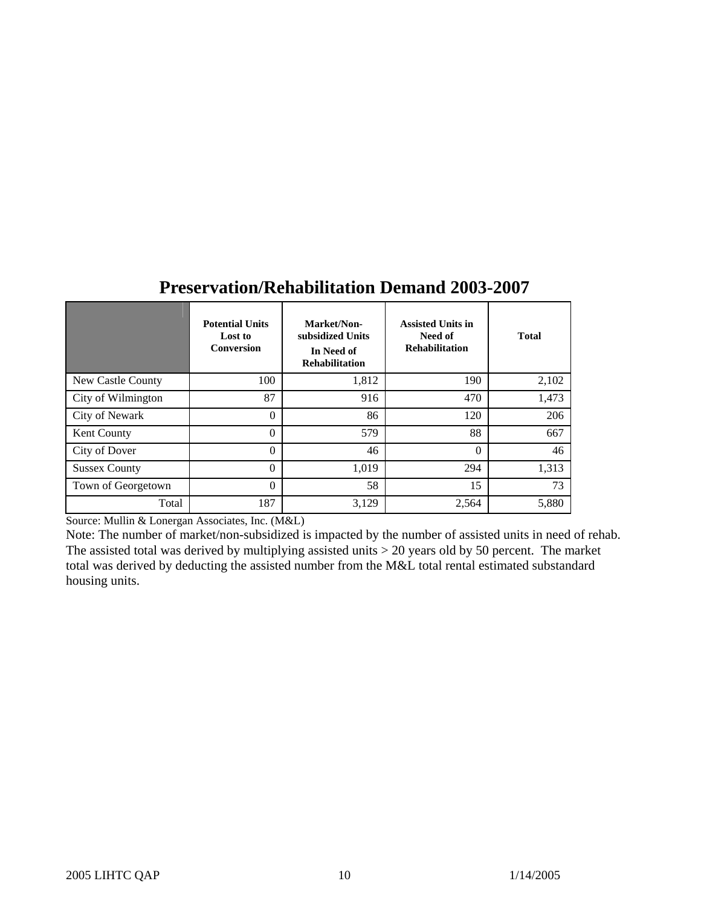|                      | <b>Potential Units</b><br>Lost to<br><b>Conversion</b> | Market/Non-<br>subsidized Units<br>In Need of<br><b>Rehabilitation</b> | <b>Assisted Units in</b><br>Need of<br><b>Rehabilitation</b> | <b>Total</b> |
|----------------------|--------------------------------------------------------|------------------------------------------------------------------------|--------------------------------------------------------------|--------------|
| New Castle County    | 100                                                    | 1,812                                                                  | 190                                                          | 2,102        |
| City of Wilmington   | 87                                                     | 916                                                                    | 470                                                          | 1,473        |
| City of Newark       | $\theta$                                               | 86                                                                     | 120                                                          | 206          |
| <b>Kent County</b>   | $\theta$                                               | 579                                                                    | 88                                                           | 667          |
| City of Dover        | $\theta$                                               | 46                                                                     | $\theta$                                                     | 46           |
| <b>Sussex County</b> | $\theta$                                               | 1,019                                                                  | 294                                                          | 1,313        |
| Town of Georgetown   | $\theta$                                               | 58                                                                     | 15                                                           | 73           |
| Total                | 187                                                    | 3,129                                                                  | 2,564                                                        | 5,880        |

# **Preservation/Rehabilitation Demand 2003-2007**

Source: Mullin & Lonergan Associates, Inc. (M&L)

Note: The number of market/non-subsidized is impacted by the number of assisted units in need of rehab. The assisted total was derived by multiplying assisted units > 20 years old by 50 percent. The market total was derived by deducting the assisted number from the M&L total rental estimated substandard housing units.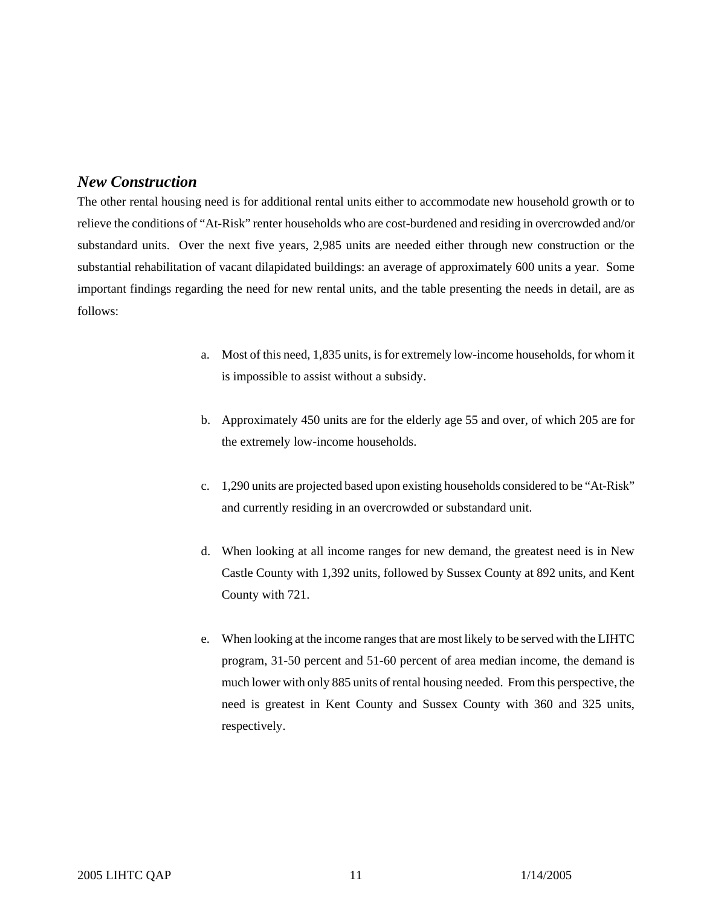# *New Construction*

The other rental housing need is for additional rental units either to accommodate new household growth or to relieve the conditions of "At-Risk" renter households who are cost-burdened and residing in overcrowded and/or substandard units. Over the next five years, 2,985 units are needed either through new construction or the substantial rehabilitation of vacant dilapidated buildings: an average of approximately 600 units a year. Some important findings regarding the need for new rental units, and the table presenting the needs in detail, are as follows:

- a. Most of this need, 1,835 units, is for extremely low-income households, for whom it is impossible to assist without a subsidy.
- b. Approximately 450 units are for the elderly age 55 and over, of which 205 are for the extremely low-income households.
- c. 1,290 units are projected based upon existing households considered to be "At-Risk" and currently residing in an overcrowded or substandard unit.
- d. When looking at all income ranges for new demand, the greatest need is in New Castle County with 1,392 units, followed by Sussex County at 892 units, and Kent County with 721.
- e. When looking at the income ranges that are most likely to be served with the LIHTC program, 31-50 percent and 51-60 percent of area median income, the demand is much lower with only 885 units of rental housing needed. From this perspective, the need is greatest in Kent County and Sussex County with 360 and 325 units, respectively.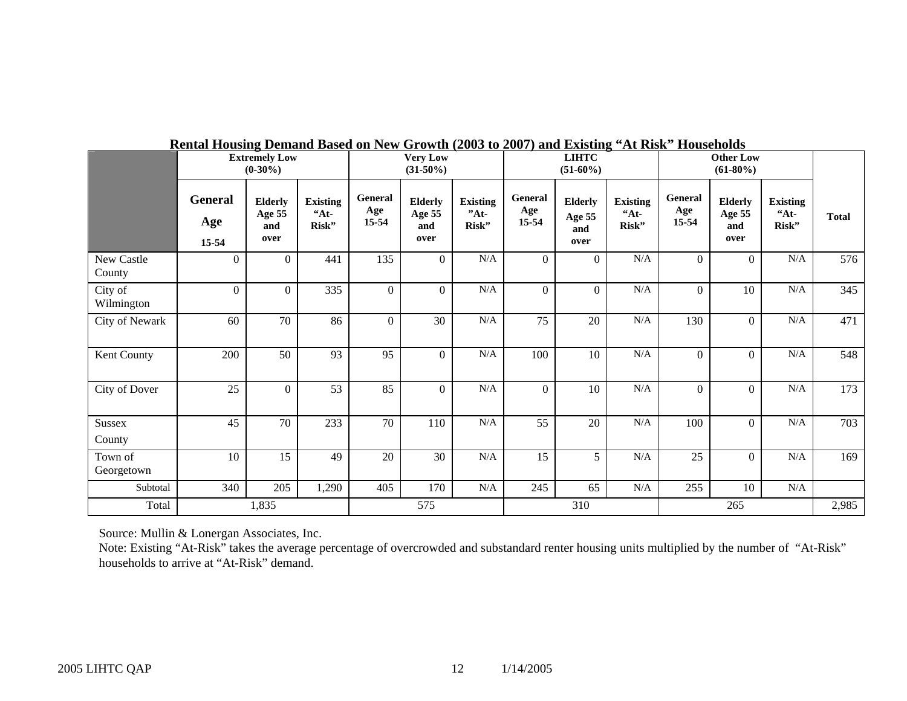|                       | <b>Extremely Low</b><br>$(0-30\%)$ | <b>Very Low</b><br>$(31-50\%)$                 |                                |                         | <b>LIHTC</b><br>$(51-60\%)$             |                                    |                             |                                         |                                   |                         |                                         |                                     |              |
|-----------------------|------------------------------------|------------------------------------------------|--------------------------------|-------------------------|-----------------------------------------|------------------------------------|-----------------------------|-----------------------------------------|-----------------------------------|-------------------------|-----------------------------------------|-------------------------------------|--------------|
|                       | <b>General</b><br>Age<br>15-54     | <b>Elderly</b><br><b>Age 55</b><br>and<br>over | <b>Existing</b><br>44<br>Risk" | General<br>Age<br>15-54 | <b>Elderly</b><br>Age 55<br>and<br>over | <b>Existing</b><br>$"At-$<br>Risk" | General<br>Age<br>$15 - 54$ | <b>Elderly</b><br>Age 55<br>and<br>over | <b>Existing</b><br>$A_t$<br>Risk" | General<br>Age<br>15-54 | <b>Elderly</b><br>Age 55<br>and<br>over | <b>Existing</b><br>$44t -$<br>Risk" | <b>Total</b> |
| New Castle<br>County  | $\overline{0}$                     | $\Omega$                                       | 441                            | 135                     | $\overline{0}$                          | $\rm N/A$                          | $\mathbf{0}$                | $\overline{0}$                          | $\rm N/A$                         | $\Omega$                | $\overline{0}$                          | $\rm N/A$                           | 576          |
| City of<br>Wilmington | $\boldsymbol{0}$                   | $\Omega$                                       | 335                            | $\theta$                | $\overline{0}$                          | $\rm N/A$                          | $\mathbf{0}$                | $\Omega$                                | N/A                               | $\Omega$                | 10                                      | N/A                                 | 345          |
| City of Newark        | 60                                 | $\overline{70}$                                | 86                             | $\Omega$                | 30                                      | $\rm N/A$                          | 75                          | 20                                      | $\rm N/A$                         | 130                     | $\Omega$                                | $\rm N/A$                           | 471          |
| Kent County           | 200                                | 50                                             | 93                             | 95                      | $\overline{0}$                          | $\rm N/A$                          | 100                         | 10                                      | $\rm N/A$                         | $\Omega$                | $\Omega$                                | $\rm N/A$                           | 548          |
| City of Dover         | 25                                 | $\Omega$                                       | 53                             | 85                      | $\Omega$                                | $\rm N/A$                          | $\overline{0}$              | 10                                      | $\rm N/A$                         | $\Omega$                | $\Omega$                                | N/A                                 | 173          |
| Sussex<br>County      | 45                                 | 70                                             | 233                            | 70                      | 110                                     | $\rm N/A$                          | 55                          | 20                                      | $\rm N/A$                         | 100                     | $\overline{0}$                          | $\rm N/A$                           | 703          |
| Town of<br>Georgetown | 10                                 | 15                                             | 49                             | 20                      | 30                                      | N/A                                | 15                          | 5 <sup>5</sup>                          | N/A                               | 25                      | $\Omega$                                | N/A                                 | 169          |
| Subtotal              | 340                                | 205                                            | 1,290                          | 405                     | 170                                     | $\rm N/A$                          | 245                         | 65                                      | $\rm N/A$                         | 255                     | 10                                      | $\rm N/A$                           |              |
| Total                 |                                    | 1,835                                          |                                |                         | 575                                     |                                    |                             | 310                                     |                                   |                         | 265                                     |                                     | 2,985        |

## **Rental Housing Demand Based on New Growth (2003 to 2007) and Existing "At Risk" Households**

Source: Mullin & Lonergan Associates, Inc.

Note: Existing "At-Risk" takes the average percentage of overcrowded and substandard renter housing units multiplied by the number of "At-Risk" households to arrive at "At-Risk" demand.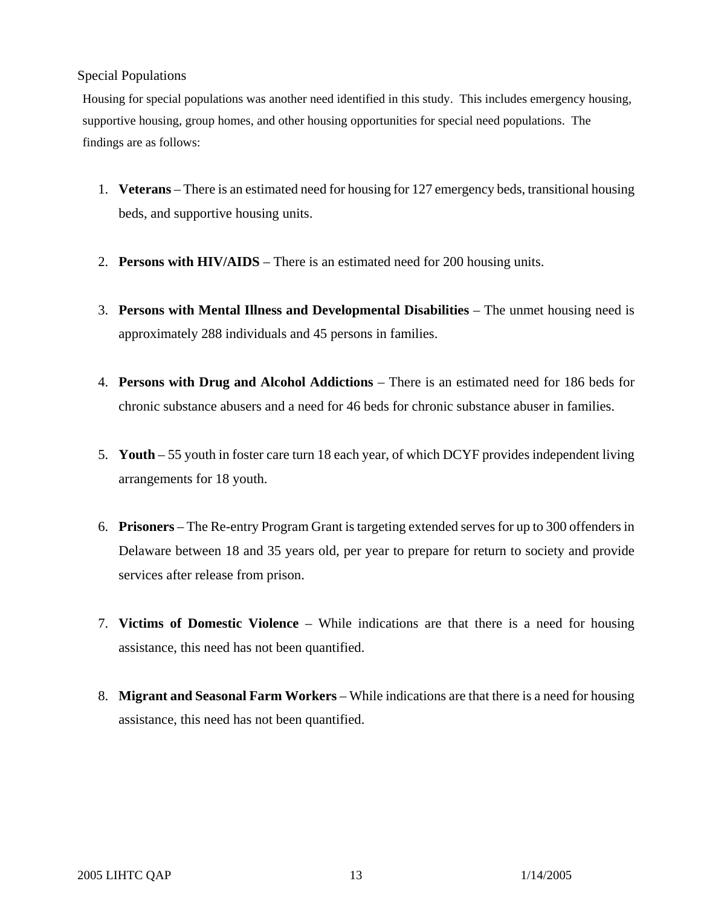## Special Populations

Housing for special populations was another need identified in this study. This includes emergency housing, supportive housing, group homes, and other housing opportunities for special need populations. The findings are as follows:

- 1. **Veterans** There is an estimated need for housing for 127 emergency beds, transitional housing beds, and supportive housing units.
- 2. **Persons with HIV/AIDS**  There is an estimated need for 200 housing units.
- 3. **Persons with Mental Illness and Developmental Disabilities**  The unmet housing need is approximately 288 individuals and 45 persons in families.
- 4. **Persons with Drug and Alcohol Addictions**  There is an estimated need for 186 beds for chronic substance abusers and a need for 46 beds for chronic substance abuser in families.
- 5. **Youth**  55 youth in foster care turn 18 each year, of which DCYF provides independent living arrangements for 18 youth.
- 6. **Prisoners**  The Re-entry Program Grant is targeting extended serves for up to 300 offenders in Delaware between 18 and 35 years old, per year to prepare for return to society and provide services after release from prison.
- 7. **Victims of Domestic Violence**  While indications are that there is a need for housing assistance, this need has not been quantified.
- 8. **Migrant and Seasonal Farm Workers** While indications are that there is a need for housing assistance, this need has not been quantified.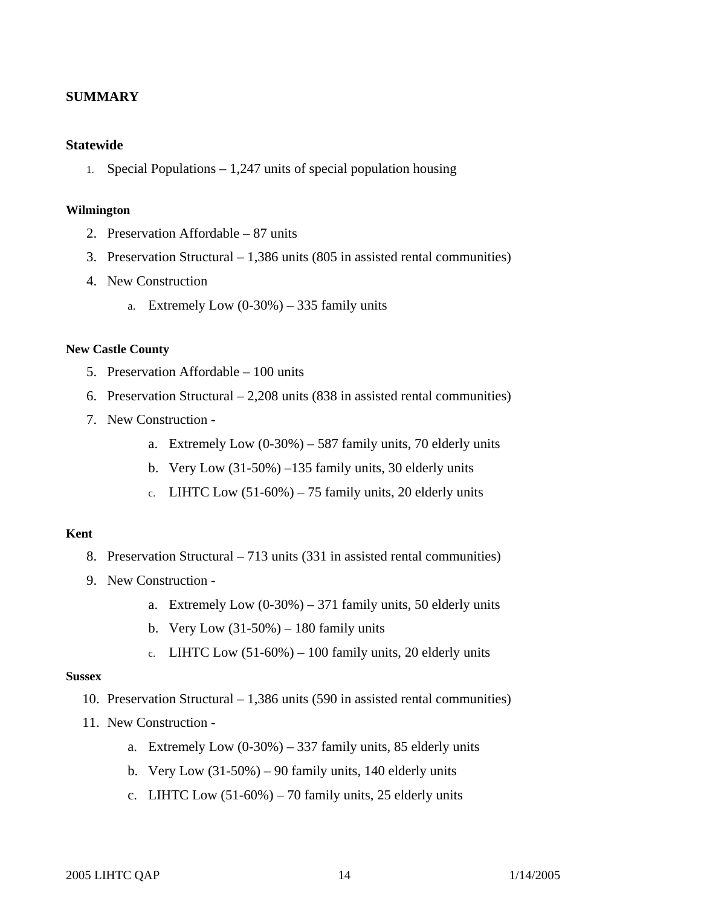## **SUMMARY**

## **Statewide**

1. Special Populations – 1,247 units of special population housing

## **Wilmington**

- 2. Preservation Affordable 87 units
- 3. Preservation Structural 1,386 units (805 in assisted rental communities)
- 4. New Construction
	- a. Extremely Low  $(0-30\%) 335$  family units

## **New Castle County**

- 5. Preservation Affordable 100 units
- 6. Preservation Structural 2,208 units (838 in assisted rental communities)
- 7. New Construction
	- a. Extremely Low  $(0-30\%) 587$  family units, 70 elderly units
	- b. Very Low (31-50%) –135 family units, 30 elderly units
	- c. LIHTC Low  $(51-60\%)$  75 family units, 20 elderly units

## **Kent**

- 8. Preservation Structural 713 units (331 in assisted rental communities)
- 9. New Construction
	- a. Extremely Low  $(0-30\%) 371$  family units, 50 elderly units
	- b. Very Low  $(31-50\%) 180$  family units
	- c. LIHTC Low  $(51-60\%) 100$  family units, 20 elderly units

### **Sussex**

- 10. Preservation Structural 1,386 units (590 in assisted rental communities)
- 11. New Construction
	- a. Extremely Low  $(0-30\%) 337$  family units, 85 elderly units
	- b. Very Low  $(31-50\%) 90$  family units, 140 elderly units
	- c. LIHTC Low  $(51-60\%)$  70 family units, 25 elderly units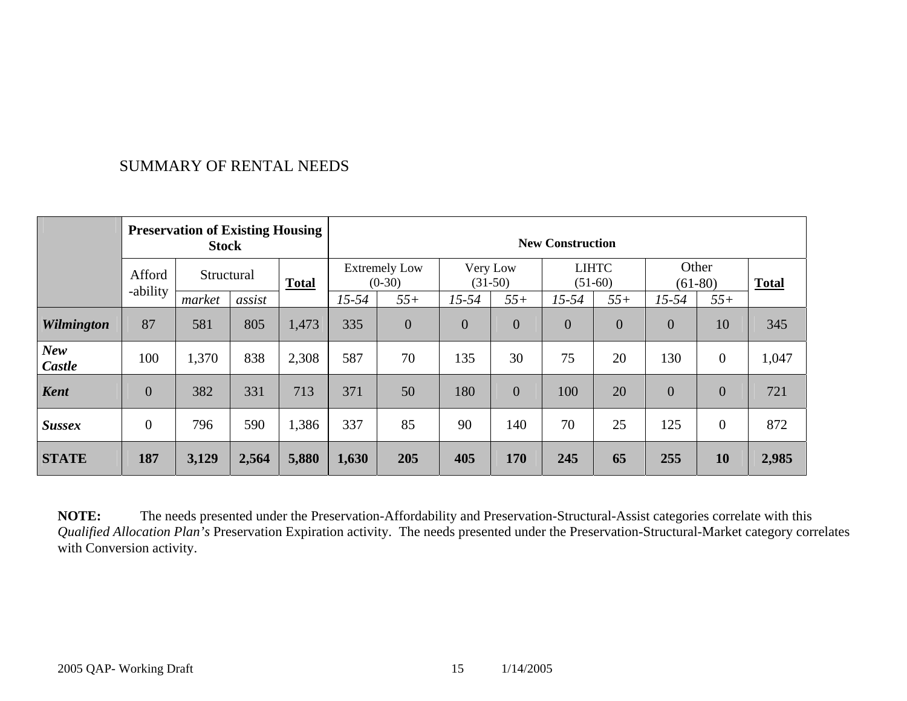# SUMMARY OF RENTAL NEEDS

|                      |                | <b>Preservation of Existing Housing</b><br><b>Stock</b> |        |              | <b>New Construction</b>          |                |                       |                |                           |                |                    |                  |              |
|----------------------|----------------|---------------------------------------------------------|--------|--------------|----------------------------------|----------------|-----------------------|----------------|---------------------------|----------------|--------------------|------------------|--------------|
|                      | Afford         | Structural                                              |        | <b>Total</b> | <b>Extremely Low</b><br>$(0-30)$ |                | Very Low<br>$(31-50)$ |                | <b>LIHTC</b><br>$(51-60)$ |                | Other<br>$(61-80)$ |                  | <b>Total</b> |
|                      | -ability       | market                                                  | assist |              | $15 - 54$                        | $55+$          | $15 - 54$             | $55+$          | $15 - 54$                 | $55+$          | $15 - 54$          | $55+$            |              |
| <b>Wilmington</b>    | 87             | 581                                                     | 805    | 1,473        | 335                              | $\overline{0}$ | $\overline{0}$        | $\overline{0}$ | $\overline{0}$            | $\overline{0}$ | $\overline{0}$     | 10               | 345          |
| <b>New</b><br>Castle | 100            | 1,370                                                   | 838    | 2,308        | 587                              | 70             | 135                   | 30             | 75                        | 20             | 130                | $\boldsymbol{0}$ | 1,047        |
| <b>Kent</b>          | $\overline{0}$ | 382                                                     | 331    | 713          | 371                              | 50             | 180                   | $\overline{0}$ | 100                       | 20             | $\overline{0}$     | $\theta$         | 721          |
| <b>Sussex</b>        | $\overline{0}$ | 796                                                     | 590    | 1,386        | 337                              | 85             | 90                    | 140            | 70                        | 25             | 125                | $\overline{0}$   | 872          |
| <b>STATE</b>         | 187            | 3,129                                                   | 2,564  | 5,880        | 1,630                            | 205            | 405                   | 170            | 245                       | 65             | 255                | 10               | 2,985        |

**NOTE:** The needs presented under the Preservation-Affordability and Preservation-Structural-Assist categories correlate with this *Qualified Allocation Plan's* Preservation Expiration activity. The needs presented under the Preservation-Structural-Market category correlates with Conversion activity.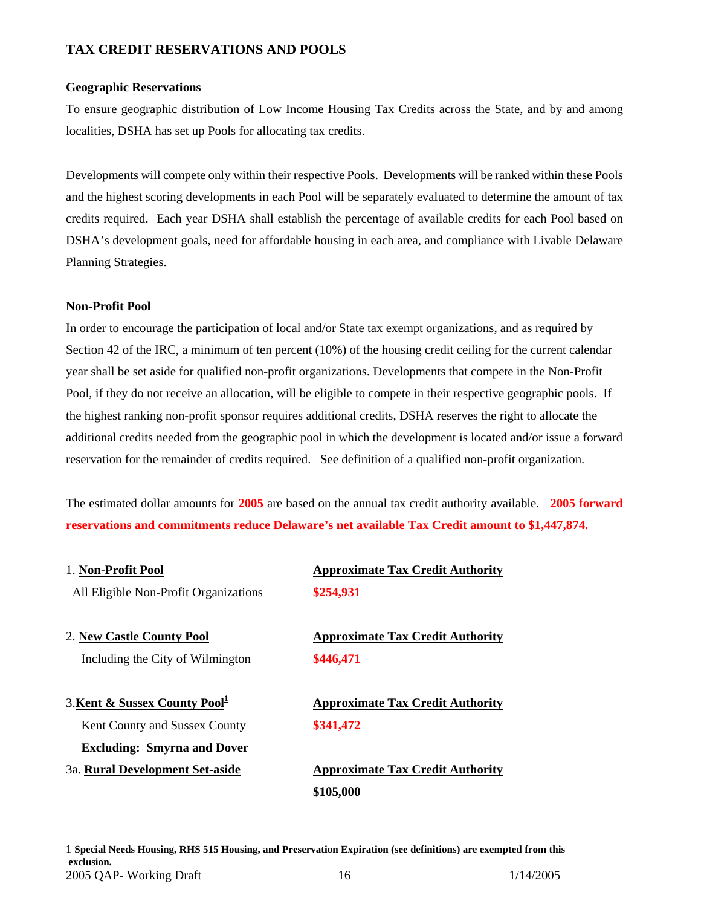## **TAX CREDIT RESERVATIONS AND POOLS**

## **Geographic Reservations**

To ensure geographic distribution of Low Income Housing Tax Credits across the State, and by and among localities, DSHA has set up Pools for allocating tax credits.

Developments will compete only within their respective Pools. Developments will be ranked within these Pools and the highest scoring developments in each Pool will be separately evaluated to determine the amount of tax credits required. Each year DSHA shall establish the percentage of available credits for each Pool based on DSHA's development goals, need for affordable housing in each area, and compliance with Livable Delaware Planning Strategies.

## **Non-Profit Pool**

<span id="page-15-0"></span>1

In order to encourage the participation of local and/or State tax exempt organizations, and as required by Section 42 of the IRC, a minimum of ten percent (10%) of the housing credit ceiling for the current calendar year shall be set aside for qualified non-profit organizations. Developments that compete in the Non-Profit Pool, if they do not receive an allocation, will be eligible to compete in their respective geographic pools. If the highest ranking non-profit sponsor requires additional credits, DSHA reserves the right to allocate the additional credits needed from the geographic pool in which the development is located and/or issue a forward reservation for the remainder of credits required. See definition of a qualified non-profit organization.

The estimated dollar amounts for **2005** are based on the annual tax credit authority available. **2005 forward reservations and commitments reduce Delaware's net available Tax Credit amount to \$1,447,874.** 

| 1. Non-Profit Pool                        | <b>Approximate Tax Credit Authority</b> |
|-------------------------------------------|-----------------------------------------|
| All Eligible Non-Profit Organizations     | \$254,931                               |
| 2. New Castle County Pool                 | <b>Approximate Tax Credit Authority</b> |
| Including the City of Wilmington          | \$446,471                               |
| 3. Kent & Sussex County Pool <sup>1</sup> | <b>Approximate Tax Credit Authority</b> |
| Kent County and Sussex County             | \$341,472                               |
| <b>Excluding: Smyrna and Dover</b>        |                                         |
| 3a. Rural Development Set-aside           | <b>Approximate Tax Credit Authority</b> |
|                                           | \$105,000                               |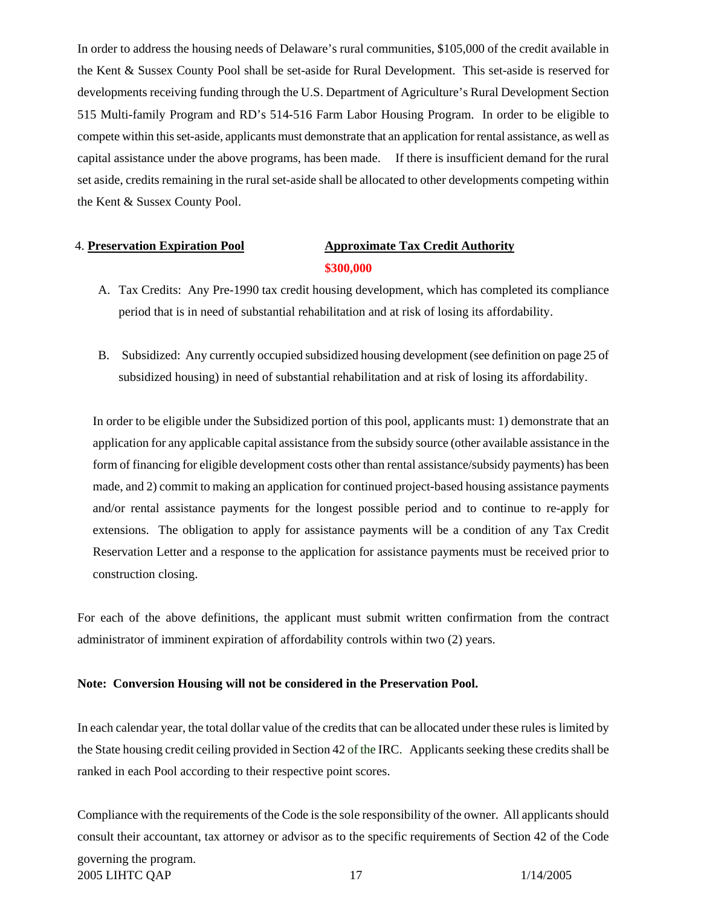In order to address the housing needs of Delaware's rural communities, \$105,000 of the credit available in the Kent & Sussex County Pool shall be set-aside for Rural Development. This set-aside is reserved for developments receiving funding through the U.S. Department of Agriculture's Rural Development Section 515 Multi-family Program and RD's 514-516 Farm Labor Housing Program. In order to be eligible to compete within this set-aside, applicants must demonstrate that an application for rental assistance, as well as capital assistance under the above programs, has been made. If there is insufficient demand for the rural set aside, credits remaining in the rural set-aside shall be allocated to other developments competing within the Kent & Sussex County Pool.

# 4. **Preservation Expiration Pool Approximate Tax Credit Authority \$300,000**

- A. Tax Credits: Any Pre-1990 tax credit housing development, which has completed its compliance period that is in need of substantial rehabilitation and at risk of losing its affordability.
- B. Subsidized: Any currently occupied subsidized housing development (see definition on page 25 of subsidized housing) in need of substantial rehabilitation and at risk of losing its affordability.

In order to be eligible under the Subsidized portion of this pool, applicants must: 1) demonstrate that an application for any applicable capital assistance from the subsidy source (other available assistance in the form of financing for eligible development costs other than rental assistance/subsidy payments) has been made, and 2) commit to making an application for continued project-based housing assistance payments and/or rental assistance payments for the longest possible period and to continue to re-apply for extensions. The obligation to apply for assistance payments will be a condition of any Tax Credit Reservation Letter and a response to the application for assistance payments must be received prior to construction closing.

For each of the above definitions, the applicant must submit written confirmation from the contract administrator of imminent expiration of affordability controls within two (2) years.

## **Note: Conversion Housing will not be considered in the Preservation Pool.**

In each calendar year, the total dollar value of the credits that can be allocated under these rules is limited by the State housing credit ceiling provided in Section 42 of the IRC. Applicants seeking these credits shall be ranked in each Pool according to their respective point scores.

2005 LIHTC QAP 17 1/14/2005 Compliance with the requirements of the Code is the sole responsibility of the owner. All applicants should consult their accountant, tax attorney or advisor as to the specific requirements of Section 42 of the Code governing the program.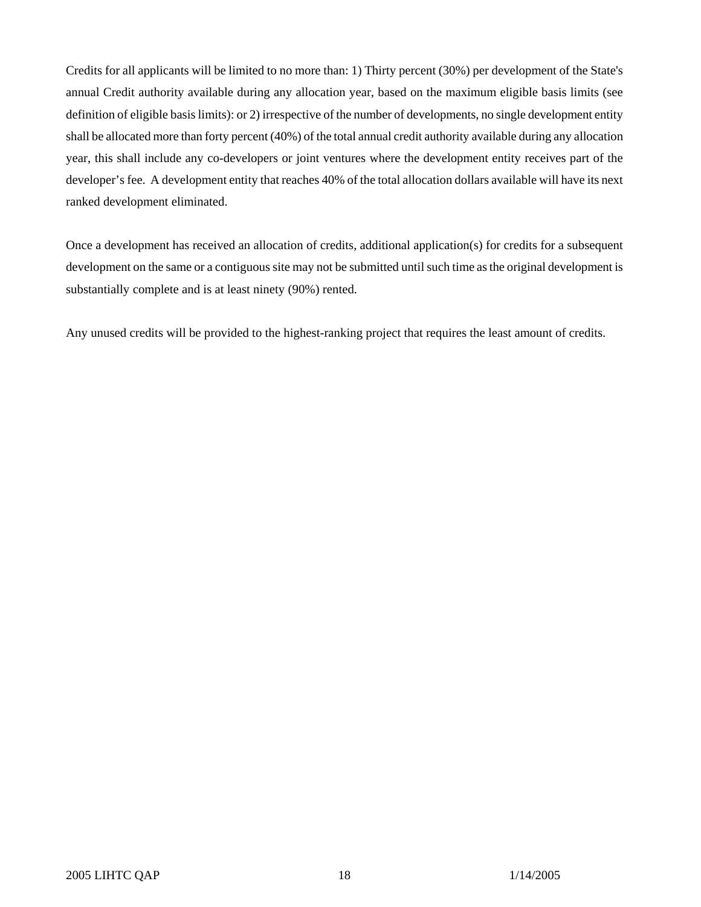Credits for all applicants will be limited to no more than: 1) Thirty percent (30%) per development of the State's annual Credit authority available during any allocation year, based on the maximum eligible basis limits (see definition of eligible basis limits): or 2) irrespective of the number of developments, no single development entity shall be allocated more than forty percent (40%) of the total annual credit authority available during any allocation year, this shall include any co-developers or joint ventures where the development entity receives part of the developer's fee. A development entity that reaches 40% of the total allocation dollars available will have its next ranked development eliminated.

Once a development has received an allocation of credits, additional application(s) for credits for a subsequent development on the same or a contiguous site may not be submitted until such time as the original development is substantially complete and is at least ninety (90%) rented.

Any unused credits will be provided to the highest-ranking project that requires the least amount of credits.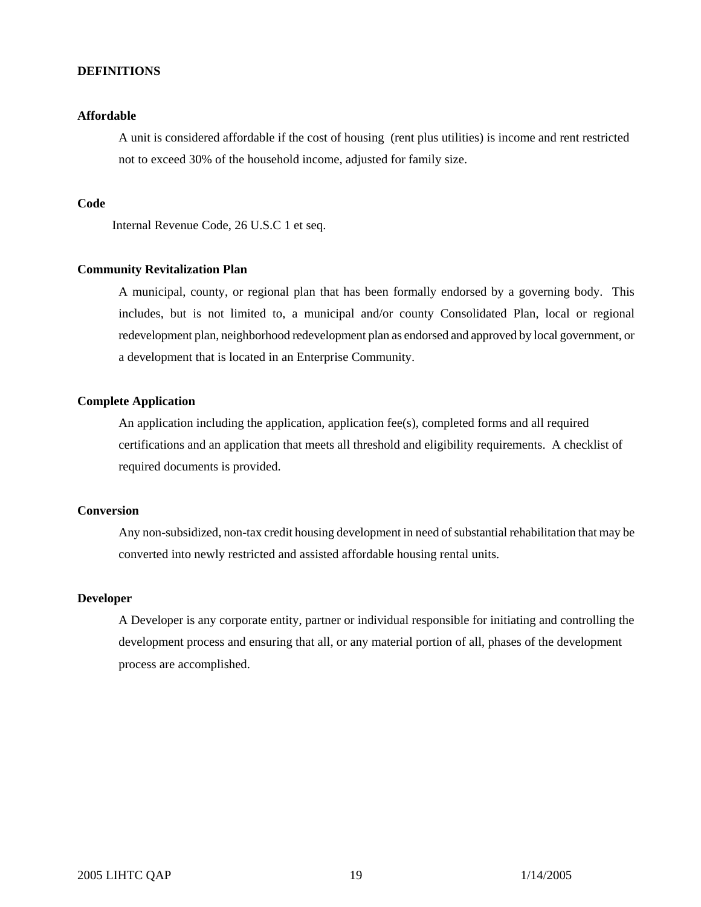#### **DEFINITIONS**

#### **Affordable**

A unit is considered affordable if the cost of housing (rent plus utilities) is income and rent restricted not to exceed 30% of the household income, adjusted for family size.

#### **Code**

Internal Revenue Code, 26 U.S.C 1 et seq.

#### **Community Revitalization Plan**

 A municipal, county, or regional plan that has been formally endorsed by a governing body. This includes, but is not limited to, a municipal and/or county Consolidated Plan, local or regional redevelopment plan, neighborhood redevelopment plan as endorsed and approved by local government, or a development that is located in an Enterprise Community.

#### **Complete Application**

An application including the application, application fee(s), completed forms and all required certifications and an application that meets all threshold and eligibility requirements. A checklist of required documents is provided.

## **Conversion**

Any non-subsidized, non-tax credit housing development in need of substantial rehabilitation that may be converted into newly restricted and assisted affordable housing rental units.

## **Developer**

A Developer is any corporate entity, partner or individual responsible for initiating and controlling the development process and ensuring that all, or any material portion of all, phases of the development process are accomplished.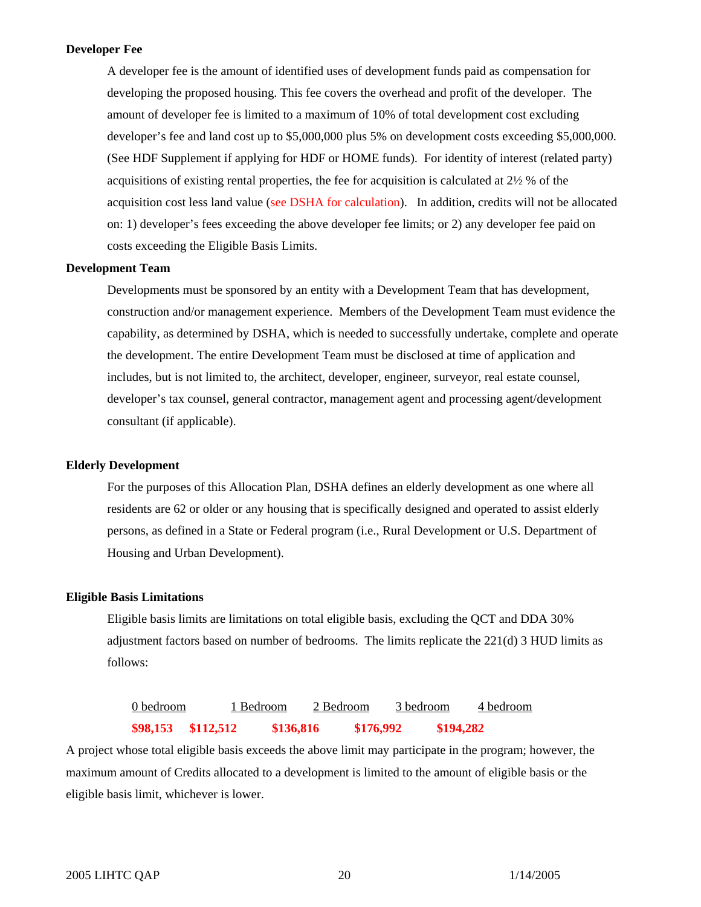#### **Developer Fee**

A developer fee is the amount of identified uses of development funds paid as compensation for developing the proposed housing. This fee covers the overhead and profit of the developer. The amount of developer fee is limited to a maximum of 10% of total development cost excluding developer's fee and land cost up to \$5,000,000 plus 5% on development costs exceeding \$5,000,000. (See HDF Supplement if applying for HDF or HOME funds). For identity of interest (related party) acquisitions of existing rental properties, the fee for acquisition is calculated at 2½ % of the acquisition cost less land value (see DSHA for calculation). In addition, credits will not be allocated on: 1) developer's fees exceeding the above developer fee limits; or 2) any developer fee paid on costs exceeding the Eligible Basis Limits.

#### **Development Team**

Developments must be sponsored by an entity with a Development Team that has development, construction and/or management experience. Members of the Development Team must evidence the capability, as determined by DSHA, which is needed to successfully undertake, complete and operate the development. The entire Development Team must be disclosed at time of application and includes, but is not limited to, the architect, developer, engineer, surveyor, real estate counsel, developer's tax counsel, general contractor, management agent and processing agent/development consultant (if applicable).

#### **Elderly Development**

For the purposes of this Allocation Plan, DSHA defines an elderly development as one where all residents are 62 or older or any housing that is specifically designed and operated to assist elderly persons, as defined in a State or Federal program (i.e., Rural Development or U.S. Department of Housing and Urban Development).

#### **Eligible Basis Limitations**

Eligible basis limits are limitations on total eligible basis, excluding the QCT and DDA 30% adjustment factors based on number of bedrooms. The limits replicate the 221(d) 3 HUD limits as follows:

# 0 bedroom 1 Bedroom 2 Bedroom 3 bedroom 4 bedroom **\$98,153 \$112,512 \$136,816 \$176,992 \$194,282**

A project whose total eligible basis exceeds the above limit may participate in the program; however, the maximum amount of Credits allocated to a development is limited to the amount of eligible basis or the eligible basis limit, whichever is lower.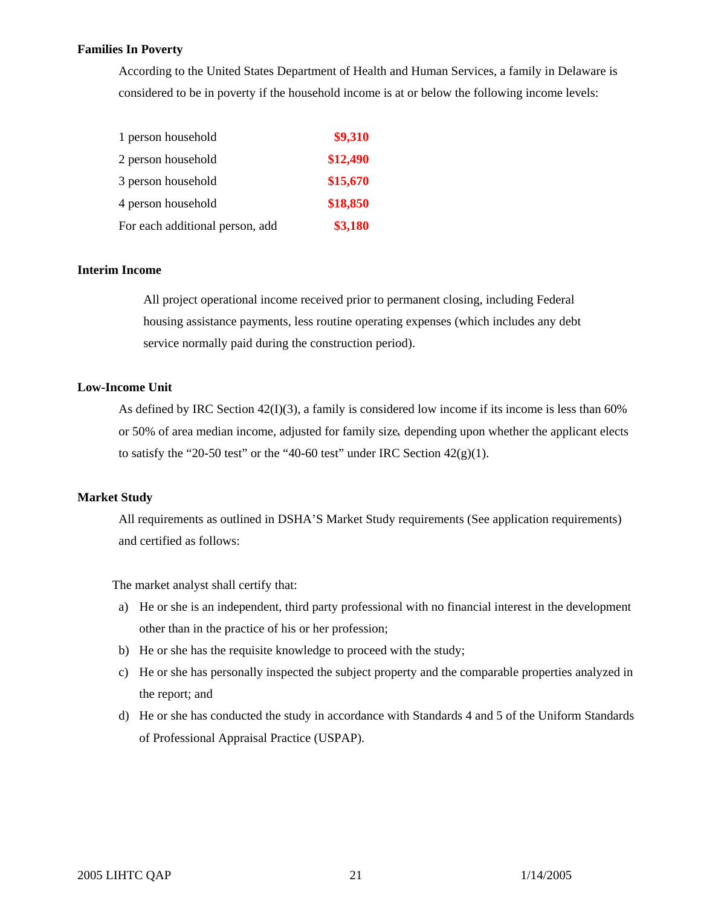#### **Families In Poverty**

According to the United States Department of Health and Human Services, a family in Delaware is considered to be in poverty if the household income is at or below the following income levels:

| \$9,310  | 1 person household              |
|----------|---------------------------------|
| \$12,490 | 2 person household              |
| \$15,670 | 3 person household              |
| \$18,850 | 4 person household              |
| \$3,180  | For each additional person, add |

## **Interim Income**

 All project operational income received prior to permanent closing, including Federal housing assistance payments, less routine operating expenses (which includes any debt service normally paid during the construction period).

#### **Low-Income Unit**

As defined by IRC Section 42(I)(3), a family is considered low income if its income is less than 60% or 50% of area median income, adjusted for family size, depending upon whether the applicant elects to satisfy the "20-50 test" or the "40-60 test" under IRC Section  $42(g)(1)$ .

## **Market Study**

All requirements as outlined in DSHA'S Market Study requirements (See application requirements) and certified as follows:

The market analyst shall certify that:

- a) He or she is an independent, third party professional with no financial interest in the development other than in the practice of his or her profession;
- b) He or she has the requisite knowledge to proceed with the study;
- c) He or she has personally inspected the subject property and the comparable properties analyzed in the report; and
- d) He or she has conducted the study in accordance with Standards 4 and 5 of the Uniform Standards of Professional Appraisal Practice (USPAP).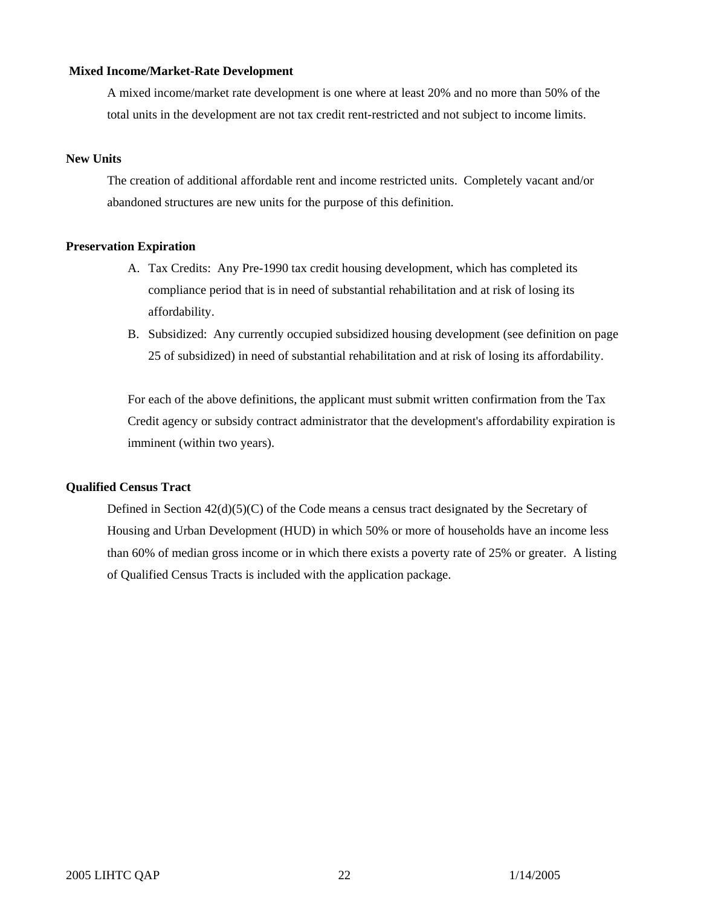#### **Mixed Income/Market-Rate Development**

A mixed income/market rate development is one where at least 20% and no more than 50% of the total units in the development are not tax credit rent-restricted and not subject to income limits.

#### **New Units**

The creation of additional affordable rent and income restricted units. Completely vacant and/or abandoned structures are new units for the purpose of this definition.

#### **Preservation Expiration**

- A. Tax Credits: Any Pre-1990 tax credit housing development, which has completed its compliance period that is in need of substantial rehabilitation and at risk of losing its affordability.
- B. Subsidized: Any currently occupied subsidized housing development (see definition on page 25 of subsidized) in need of substantial rehabilitation and at risk of losing its affordability.

For each of the above definitions, the applicant must submit written confirmation from the Tax Credit agency or subsidy contract administrator that the development's affordability expiration is imminent (within two years).

#### **Qualified Census Tract**

Defined in Section 42(d)(5)(C) of the Code means a census tract designated by the Secretary of Housing and Urban Development (HUD) in which 50% or more of households have an income less than 60% of median gross income or in which there exists a poverty rate of 25% or greater. A listing of Qualified Census Tracts is included with the application package.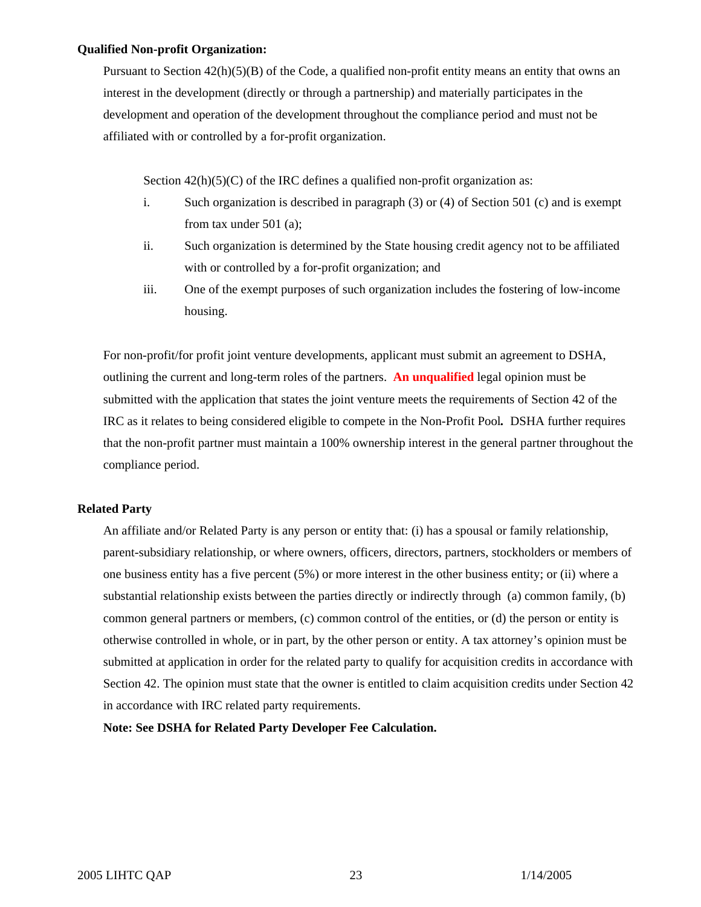#### **Qualified Non-profit Organization:**

Pursuant to Section  $42(h)(5)(B)$  of the Code, a qualified non-profit entity means an entity that owns an interest in the development (directly or through a partnership) and materially participates in the development and operation of the development throughout the compliance period and must not be affiliated with or controlled by a for-profit organization.

Section  $42(h)(5)(C)$  of the IRC defines a qualified non-profit organization as:

- i. Such organization is described in paragraph (3) or (4) of Section 501 (c) and is exempt from tax under 501 (a);
- ii. Such organization is determined by the State housing credit agency not to be affiliated with or controlled by a for-profit organization; and
- iii. One of the exempt purposes of such organization includes the fostering of low-income housing.

 For non-profit/for profit joint venture developments, applicant must submit an agreement to DSHA, outlining the current and long-term roles of the partners. **An unqualified** legal opinion must be submitted with the application that states the joint venture meets the requirements of Section 42 of the IRC as it relates to being considered eligible to compete in the Non-Profit Pool*.* DSHA further requires that the non-profit partner must maintain a 100% ownership interest in the general partner throughout the compliance period.

#### **Related Party**

 An affiliate and/or Related Party is any person or entity that: (i) has a spousal or family relationship, parent-subsidiary relationship, or where owners, officers, directors, partners, stockholders or members of one business entity has a five percent (5%) or more interest in the other business entity; or (ii) where a substantial relationship exists between the parties directly or indirectly through (a) common family, (b) common general partners or members, (c) common control of the entities, or (d) the person or entity is otherwise controlled in whole, or in part, by the other person or entity. A tax attorney's opinion must be submitted at application in order for the related party to qualify for acquisition credits in accordance with Section 42. The opinion must state that the owner is entitled to claim acquisition credits under Section 42 in accordance with IRC related party requirements.

**Note: See DSHA for Related Party Developer Fee Calculation.**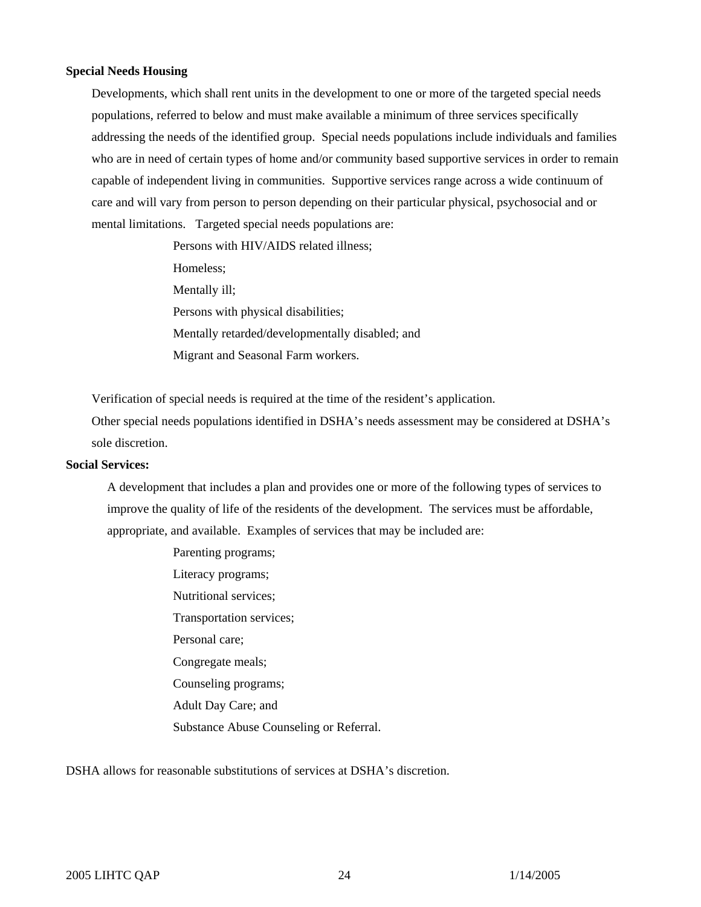#### **Special Needs Housing**

Developments, which shall rent units in the development to one or more of the targeted special needs populations, referred to below and must make available a minimum of three services specifically addressing the needs of the identified group. Special needs populations include individuals and families who are in need of certain types of home and/or community based supportive services in order to remain capable of independent living in communities. Supportive services range across a wide continuum of care and will vary from person to person depending on their particular physical, psychosocial and or mental limitations. Targeted special needs populations are:

> Persons with HIV/AIDS related illness; Homeless; Mentally ill; Persons with physical disabilities; Mentally retarded/developmentally disabled; and Migrant and Seasonal Farm workers.

Verification of special needs is required at the time of the resident's application.

Other special needs populations identified in DSHA's needs assessment may be considered at DSHA's sole discretion.

#### **Social Services:**

A development that includes a plan and provides one or more of the following types of services to improve the quality of life of the residents of the development. The services must be affordable, appropriate, and available. Examples of services that may be included are:

> Parenting programs; Literacy programs; Nutritional services; Transportation services; Personal care; Congregate meals; Counseling programs; Adult Day Care; and Substance Abuse Counseling or Referral.

DSHA allows for reasonable substitutions of services at DSHA's discretion.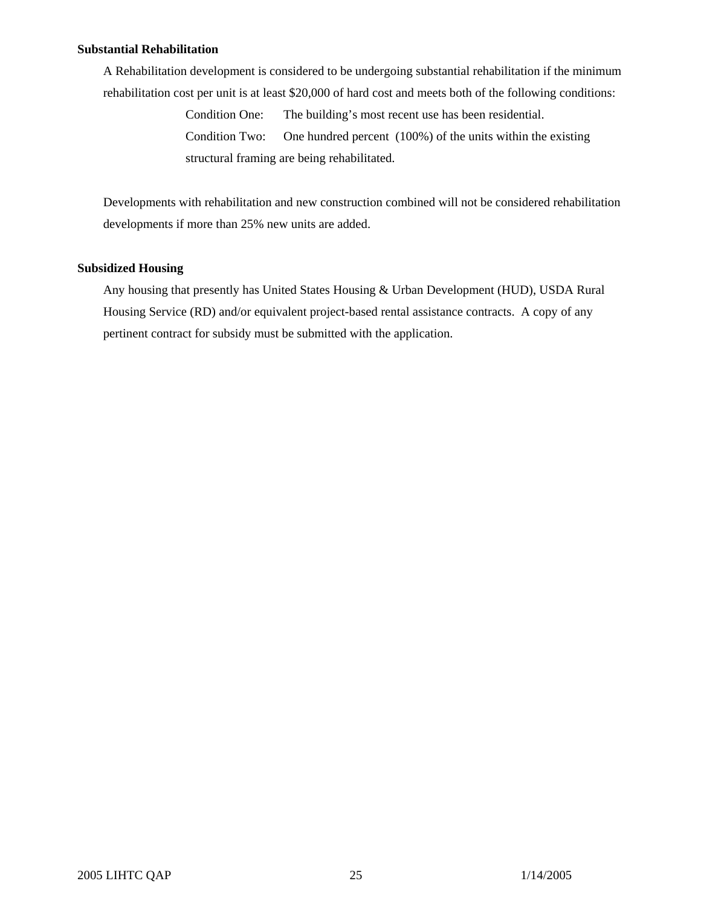#### **Substantial Rehabilitation**

A Rehabilitation development is considered to be undergoing substantial rehabilitation if the minimum rehabilitation cost per unit is at least \$20,000 of hard cost and meets both of the following conditions:

> Condition One: The building's most recent use has been residential. Condition Two: One hundred percent (100%) of the units within the existing structural framing are being rehabilitated.

 Developments with rehabilitation and new construction combined will not be considered rehabilitation developments if more than 25% new units are added.

## **Subsidized Housing**

Any housing that presently has United States Housing & Urban Development (HUD), USDA Rural Housing Service (RD) and/or equivalent project-based rental assistance contracts. A copy of any pertinent contract for subsidy must be submitted with the application.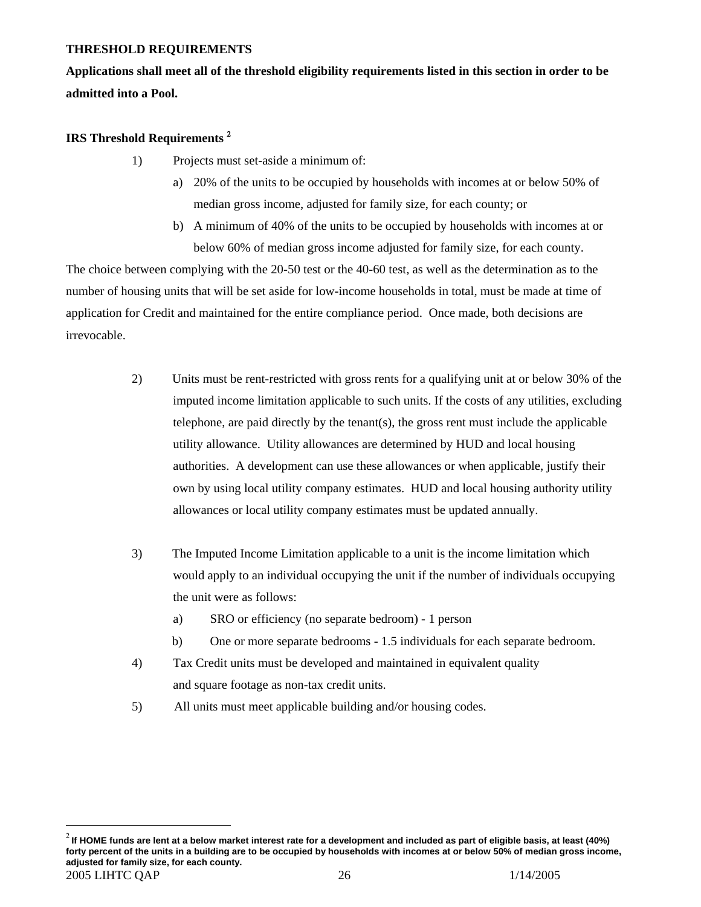## **THRESHOLD REQUIREMENTS**

**Applications shall meet all of the threshold eligibility requirements listed in this section in order to be admitted into a Pool.** 

## **IRS Threshold Requirements** [2](#page-25-0)

1

- 1) Projects must set-aside a minimum of:
	- a) 20% of the units to be occupied by households with incomes at or below 50% of median gross income, adjusted for family size, for each county; or
	- b) A minimum of 40% of the units to be occupied by households with incomes at or below 60% of median gross income adjusted for family size, for each county.

The choice between complying with the 20-50 test or the 40-60 test, as well as the determination as to the number of housing units that will be set aside for low-income households in total, must be made at time of application for Credit and maintained for the entire compliance period. Once made, both decisions are irrevocable.

- 2) Units must be rent-restricted with gross rents for a qualifying unit at or below 30% of the imputed income limitation applicable to such units. If the costs of any utilities, excluding telephone, are paid directly by the tenant(s), the gross rent must include the applicable utility allowance. Utility allowances are determined by HUD and local housing authorities. A development can use these allowances or when applicable, justify their own by using local utility company estimates. HUD and local housing authority utility allowances or local utility company estimates must be updated annually.
- 3) The Imputed Income Limitation applicable to a unit is the income limitation which would apply to an individual occupying the unit if the number of individuals occupying the unit were as follows:
	- a) SRO or efficiency (no separate bedroom) 1 person
	- b) One or more separate bedrooms 1.5 individuals for each separate bedroom.
- 4) Tax Credit units must be developed and maintained in equivalent quality and square footage as non-tax credit units.
- 5) All units must meet applicable building and/or housing codes.

<span id="page-25-0"></span><sup>2005</sup> LIHTC QAP 26 1/14/2005 <sup>2</sup> **If HOME funds are lent at a below market interest rate for a development and included as part of eligible basis, at least (40%) forty percent of the units in a building are to be occupied by households with incomes at or below 50% of median gross income, adjusted for family size, for each county.**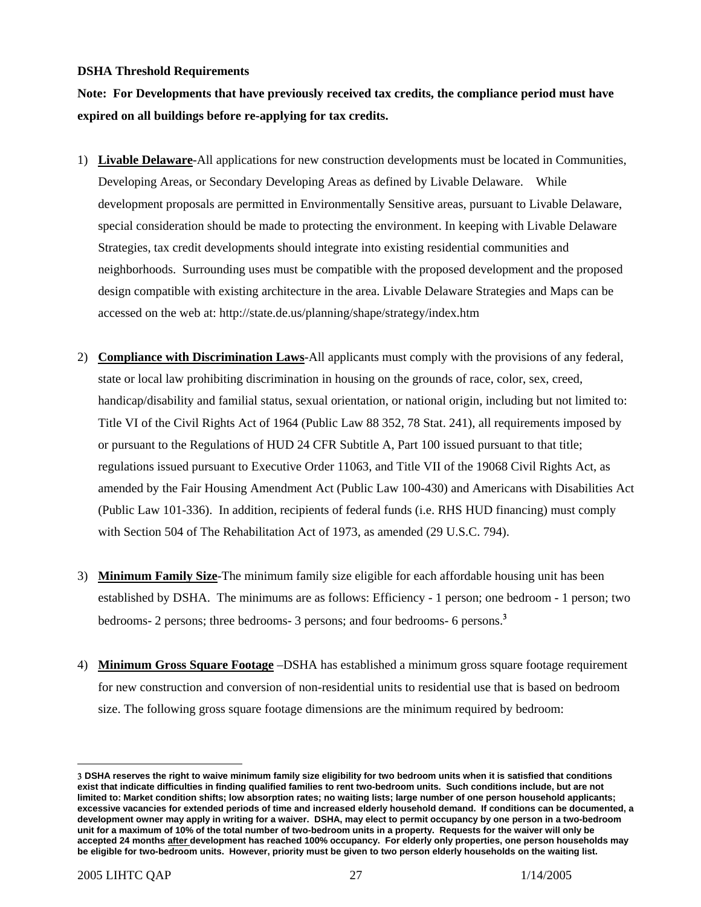#### **DSHA Threshold Requirements**

**Note: For Developments that have previously received tax credits, the compliance period must have expired on all buildings before re-applying for tax credits.** 

- 1) **Livable Delaware**-All applications for new construction developments must be located in Communities, Developing Areas, or Secondary Developing Areas as defined by Livable Delaware. While development proposals are permitted in Environmentally Sensitive areas, pursuant to Livable Delaware, special consideration should be made to protecting the environment. In keeping with Livable Delaware Strategies, tax credit developments should integrate into existing residential communities and neighborhoods. Surrounding uses must be compatible with the proposed development and the proposed design compatible with existing architecture in the area. Livable Delaware Strategies and Maps can be accessed on the web at: http://state.de.us/planning/shape/strategy/index.htm
- 2) **Compliance with Discrimination Laws**-All applicants must comply with the provisions of any federal, state or local law prohibiting discrimination in housing on the grounds of race, color, sex, creed, handicap/disability and familial status, sexual orientation, or national origin, including but not limited to: Title VI of the Civil Rights Act of 1964 (Public Law 88 352, 78 Stat. 241), all requirements imposed by or pursuant to the Regulations of HUD 24 CFR Subtitle A, Part 100 issued pursuant to that title; regulations issued pursuant to Executive Order 11063, and Title VII of the 19068 Civil Rights Act, as amended by the Fair Housing Amendment Act (Public Law 100-430) and Americans with Disabilities Act (Public Law 101-336). In addition, recipients of federal funds (i.e. RHS HUD financing) must comply with Section 504 of The Rehabilitation Act of 1973, as amended (29 U.S.C. 794).
- 3) **Minimum Family Size**-The minimum family size eligible for each affordable housing unit has been established by DSHA. The minimums are as follows: Efficiency - 1 person; one bedroom - 1 person; two bedrooms- 2 persons; three bedrooms- [3](#page-26-0) persons; and four bedrooms- 6 persons.<sup>3</sup>
- 4) **Minimum Gross Square Footage** –DSHA has established a minimum gross square footage requirement for new construction and conversion of non-residential units to residential use that is based on bedroom size. The following gross square footage dimensions are the minimum required by bedroom:

 $\overline{a}$ 

<span id="page-26-0"></span><sup>3</sup> **DSHA reserves the right to waive minimum family size eligibility for two bedroom units when it is satisfied that conditions exist that indicate difficulties in finding qualified families to rent two-bedroom units. Such conditions include, but are not limited to: Market condition shifts; low absorption rates; no waiting lists; large number of one person household applicants; excessive vacancies for extended periods of time and increased elderly household demand. If conditions can be documented, a development owner may apply in writing for a waiver. DSHA, may elect to permit occupancy by one person in a two-bedroom unit for a maximum of 10% of the total number of two-bedroom units in a property. Requests for the waiver will only be accepted 24 months after development has reached 100% occupancy. For elderly only properties, one person households may be eligible for two-bedroom units. However, priority must be given to two person elderly households on the waiting list.**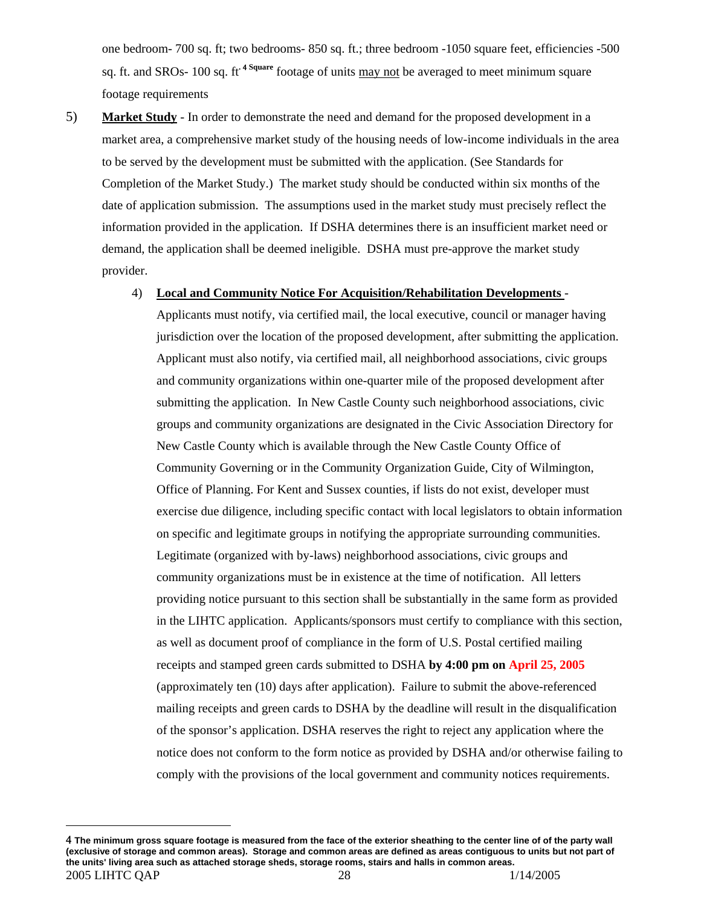one bedroom- 700 sq. ft; two bedrooms- 850 sq. ft.; three bedroom -1050 square feet, efficiencies -500 sq. ft. and SROs- 100 sq. ft**.** 4 **[S](#page-27-0)quare** footage of units may not be averaged to meet minimum square footage requirements

5) **Market Study** - In order to demonstrate the need and demand for the proposed development in a market area, a comprehensive market study of the housing needs of low-income individuals in the area to be served by the development must be submitted with the application. (See Standards for Completion of the Market Study.) The market study should be conducted within six months of the date of application submission. The assumptions used in the market study must precisely reflect the information provided in the application. If DSHA determines there is an insufficient market need or demand, the application shall be deemed ineligible. DSHA must pre-approve the market study provider.

#### 4) **Local and Community Notice For Acquisition/Rehabilitation Developments** -

Applicants must notify, via certified mail, the local executive, council or manager having jurisdiction over the location of the proposed development, after submitting the application. Applicant must also notify, via certified mail, all neighborhood associations, civic groups and community organizations within one-quarter mile of the proposed development after submitting the application. In New Castle County such neighborhood associations, civic groups and community organizations are designated in the Civic Association Directory for New Castle County which is available through the New Castle County Office of Community Governing or in the Community Organization Guide, City of Wilmington, Office of Planning. For Kent and Sussex counties, if lists do not exist, developer must exercise due diligence, including specific contact with local legislators to obtain information on specific and legitimate groups in notifying the appropriate surrounding communities. Legitimate (organized with by-laws) neighborhood associations, civic groups and community organizations must be in existence at the time of notification. All letters providing notice pursuant to this section shall be substantially in the same form as provided in the LIHTC application. Applicants/sponsors must certify to compliance with this section, as well as document proof of compliance in the form of U.S. Postal certified mailing receipts and stamped green cards submitted to DSHA **by 4:00 pm on April 25, 2005** (approximately ten (10) days after application). Failure to submit the above-referenced mailing receipts and green cards to DSHA by the deadline will result in the disqualification of the sponsor's application. DSHA reserves the right to reject any application where the notice does not conform to the form notice as provided by DSHA and/or otherwise failing to comply with the provisions of the local government and community notices requirements.

1

<span id="page-27-0"></span><sup>2005</sup> LIHTC QAP 28 1/14/2005 4 **The minimum gross square footage is measured from the face of the exterior sheathing to the center line of of the party wall (exclusive of storage and common areas). Storage and common areas are defined as areas contiguous to units but not part of the units' living area such as attached storage sheds, storage rooms, stairs and halls in common areas.**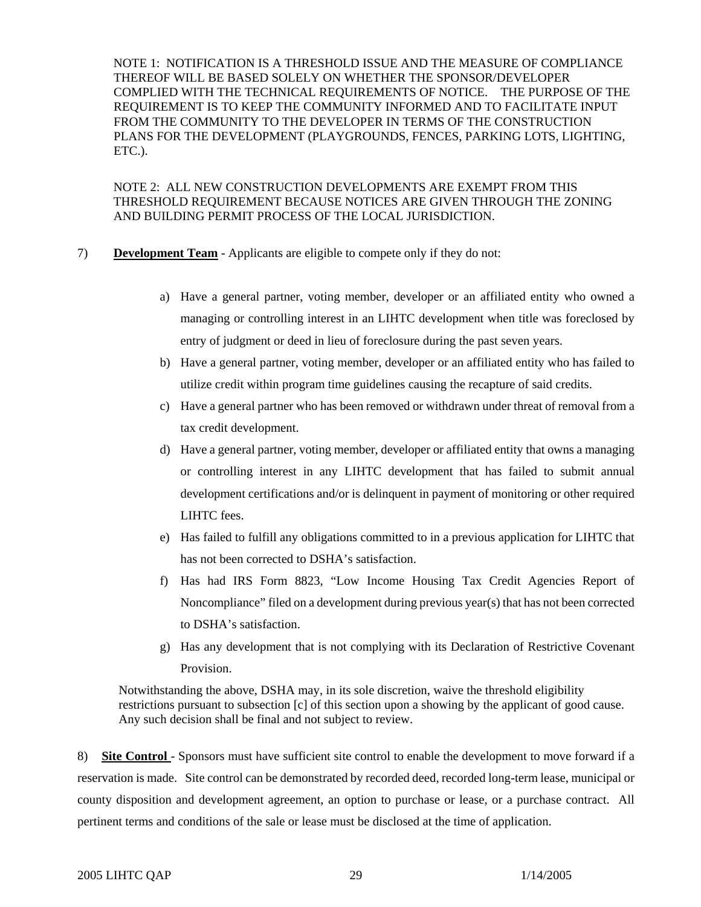NOTE 1: NOTIFICATION IS A THRESHOLD ISSUE AND THE MEASURE OF COMPLIANCE THEREOF WILL BE BASED SOLELY ON WHETHER THE SPONSOR/DEVELOPER COMPLIED WITH THE TECHNICAL REQUIREMENTS OF NOTICE. THE PURPOSE OF THE REQUIREMENT IS TO KEEP THE COMMUNITY INFORMED AND TO FACILITATE INPUT FROM THE COMMUNITY TO THE DEVELOPER IN TERMS OF THE CONSTRUCTION PLANS FOR THE DEVELOPMENT (PLAYGROUNDS, FENCES, PARKING LOTS, LIGHTING, ETC.).

NOTE 2: ALL NEW CONSTRUCTION DEVELOPMENTS ARE EXEMPT FROM THIS THRESHOLD REQUIREMENT BECAUSE NOTICES ARE GIVEN THROUGH THE ZONING AND BUILDING PERMIT PROCESS OF THE LOCAL JURISDICTION.

- 7) **Development Team** Applicants are eligible to compete only if they do not:
	- a) Have a general partner, voting member, developer or an affiliated entity who owned a managing or controlling interest in an LIHTC development when title was foreclosed by entry of judgment or deed in lieu of foreclosure during the past seven years.
	- b) Have a general partner, voting member, developer or an affiliated entity who has failed to utilize credit within program time guidelines causing the recapture of said credits.
	- c) Have a general partner who has been removed or withdrawn under threat of removal from a tax credit development.
	- d) Have a general partner, voting member, developer or affiliated entity that owns a managing or controlling interest in any LIHTC development that has failed to submit annual development certifications and/or is delinquent in payment of monitoring or other required LIHTC fees.
	- e) Has failed to fulfill any obligations committed to in a previous application for LIHTC that has not been corrected to DSHA's satisfaction.
	- f) Has had IRS Form 8823, "Low Income Housing Tax Credit Agencies Report of Noncompliance" filed on a development during previous year(s) that has not been corrected to DSHA's satisfaction.
	- g) Has any development that is not complying with its Declaration of Restrictive Covenant Provision.

Notwithstanding the above, DSHA may, in its sole discretion, waive the threshold eligibility restrictions pursuant to subsection [c] of this section upon a showing by the applicant of good cause. Any such decision shall be final and not subject to review.

8) **Site Control** - Sponsors must have sufficient site control to enable the development to move forward if a reservation is made. Site control can be demonstrated by recorded deed, recorded long-term lease, municipal or county disposition and development agreement, an option to purchase or lease, or a purchase contract. All pertinent terms and conditions of the sale or lease must be disclosed at the time of application.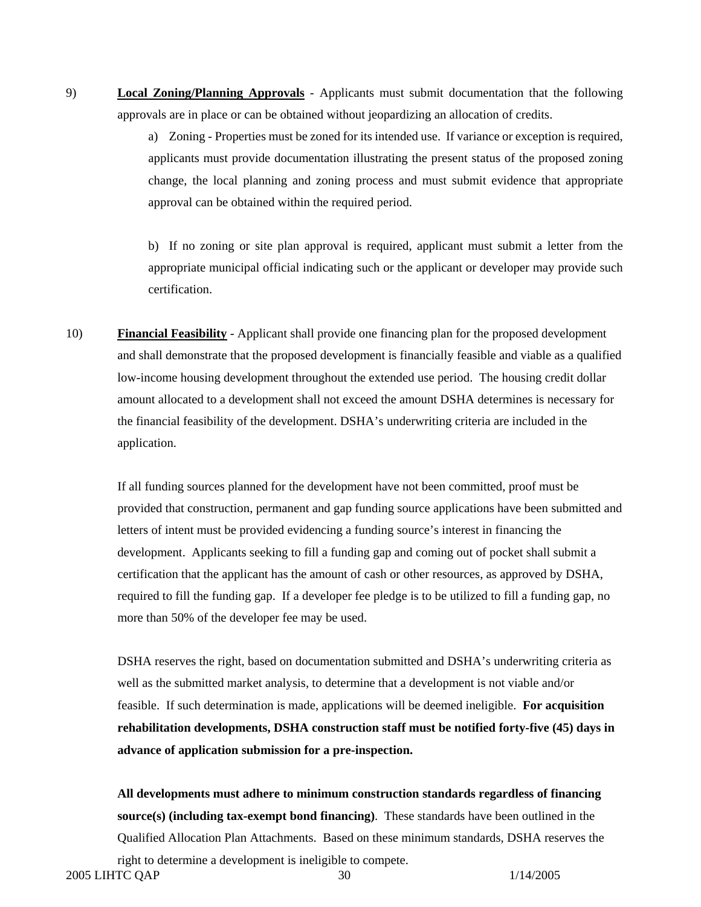9) **Local Zoning/Planning Approvals** - Applicants must submit documentation that the following approvals are in place or can be obtained without jeopardizing an allocation of credits.

> a) Zoning - Properties must be zoned for its intended use. If variance or exception is required, applicants must provide documentation illustrating the present status of the proposed zoning change, the local planning and zoning process and must submit evidence that appropriate approval can be obtained within the required period.

> b) If no zoning or site plan approval is required, applicant must submit a letter from the appropriate municipal official indicating such or the applicant or developer may provide such certification.

10) **Financial Feasibility** - Applicant shall provide one financing plan for the proposed development and shall demonstrate that the proposed development is financially feasible and viable as a qualified low-income housing development throughout the extended use period. The housing credit dollar amount allocated to a development shall not exceed the amount DSHA determines is necessary for the financial feasibility of the development. DSHA's underwriting criteria are included in the application.

 If all funding sources planned for the development have not been committed, proof must be provided that construction, permanent and gap funding source applications have been submitted and letters of intent must be provided evidencing a funding source's interest in financing the development. Applicants seeking to fill a funding gap and coming out of pocket shall submit a certification that the applicant has the amount of cash or other resources, as approved by DSHA, required to fill the funding gap. If a developer fee pledge is to be utilized to fill a funding gap, no more than 50% of the developer fee may be used.

DSHA reserves the right, based on documentation submitted and DSHA's underwriting criteria as well as the submitted market analysis, to determine that a development is not viable and/or feasible. If such determination is made, applications will be deemed ineligible. **For acquisition rehabilitation developments, DSHA construction staff must be notified forty-five (45) days in advance of application submission for a pre-inspection.** 

2005 LIHTC QAP 30 1/14/2005 **All developments must adhere to minimum construction standards regardless of financing source(s) (including tax-exempt bond financing)**. These standards have been outlined in the Qualified Allocation Plan Attachments. Based on these minimum standards, DSHA reserves the right to determine a development is ineligible to compete.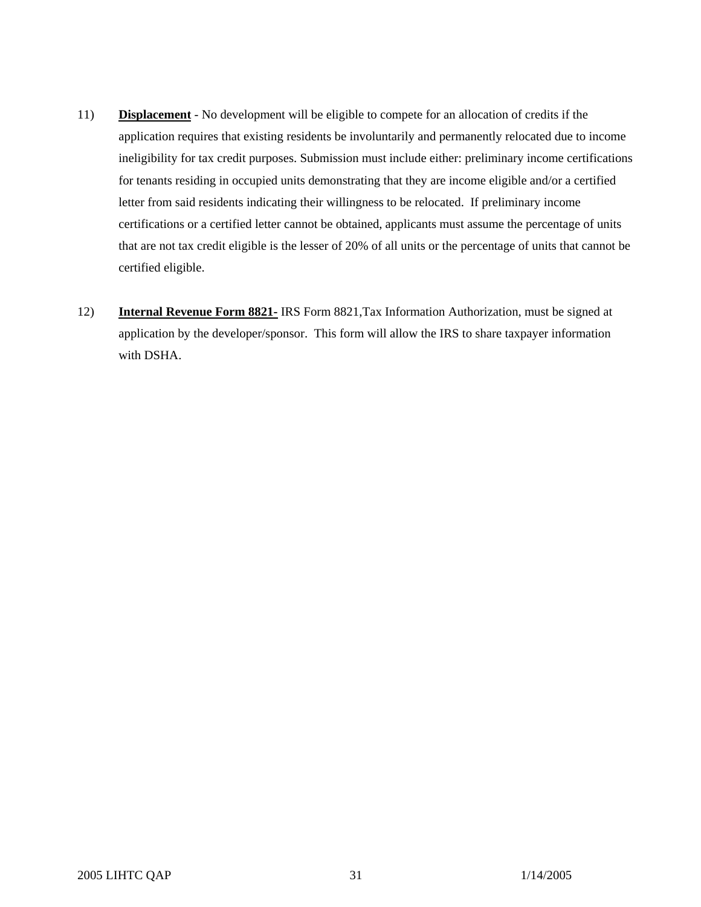- 11) **Displacement** No development will be eligible to compete for an allocation of credits if the application requires that existing residents be involuntarily and permanently relocated due to income ineligibility for tax credit purposes. Submission must include either: preliminary income certifications for tenants residing in occupied units demonstrating that they are income eligible and/or a certified letter from said residents indicating their willingness to be relocated. If preliminary income certifications or a certified letter cannot be obtained, applicants must assume the percentage of units that are not tax credit eligible is the lesser of 20% of all units or the percentage of units that cannot be certified eligible.
- 12) **Internal Revenue Form 8821-** IRS Form 8821,Tax Information Authorization, must be signed at application by the developer/sponsor. This form will allow the IRS to share taxpayer information with DSHA.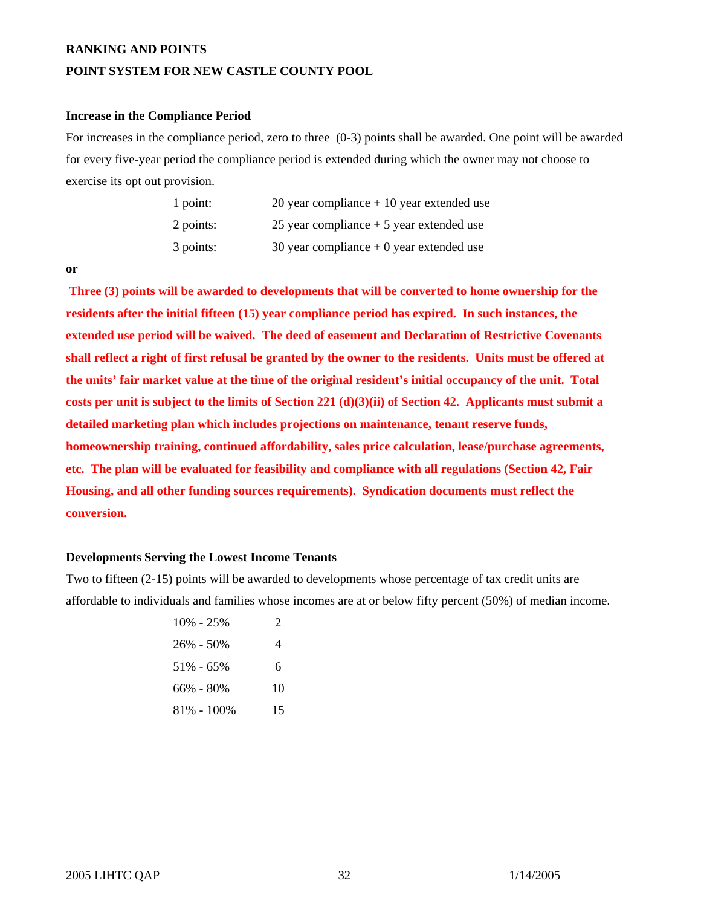#### **RANKING AND POINTS**

#### **POINT SYSTEM FOR NEW CASTLE COUNTY POOL**

#### **Increase in the Compliance Period**

For increases in the compliance period, zero to three (0-3) points shall be awarded. One point will be awarded for every five-year period the compliance period is extended during which the owner may not choose to exercise its opt out provision.

| $1$ point: | 20 year compliance $+10$ year extended use |
|------------|--------------------------------------------|
| 2 points:  | 25 year compliance $+5$ year extended use  |
| 3 points:  | 30 year compliance $+0$ year extended use  |

**or** 

 **Three (3) points will be awarded to developments that will be converted to home ownership for the residents after the initial fifteen (15) year compliance period has expired. In such instances, the extended use period will be waived. The deed of easement and Declaration of Restrictive Covenants shall reflect a right of first refusal be granted by the owner to the residents. Units must be offered at the units' fair market value at the time of the original resident's initial occupancy of the unit. Total costs per unit is subject to the limits of Section 221 (d)(3)(ii) of Section 42. Applicants must submit a detailed marketing plan which includes projections on maintenance, tenant reserve funds, homeownership training, continued affordability, sales price calculation, lease/purchase agreements, etc. The plan will be evaluated for feasibility and compliance with all regulations (Section 42, Fair Housing, and all other funding sources requirements). Syndication documents must reflect the conversion.** 

#### **Developments Serving the Lowest Income Tenants**

Two to fifteen (2-15) points will be awarded to developments whose percentage of tax credit units are affordable to individuals and families whose incomes are at or below fifty percent (50%) of median income.

| $10\% - 25\%$  | 2  |
|----------------|----|
| $26\% - 50\%$  |    |
| $51\% - 65\%$  | 6  |
| $66\% - 80\%$  | 10 |
| $81\% - 100\%$ | 15 |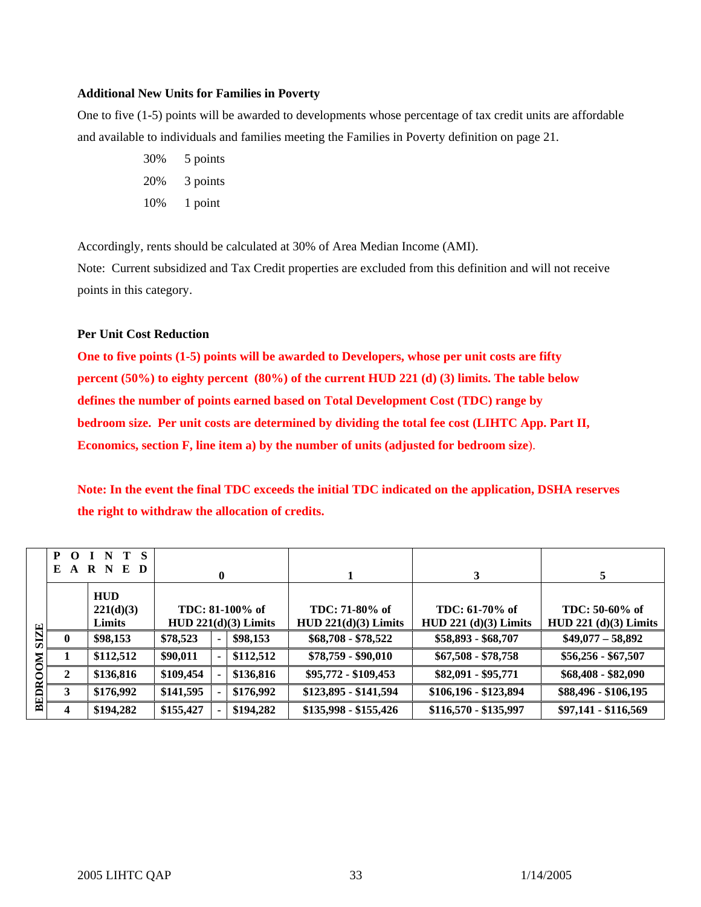## **Additional New Units for Families in Poverty**

One to five (1-5) points will be awarded to developments whose percentage of tax credit units are affordable and available to individuals and families meeting the Families in Poverty definition on page 21.

> 30% 5 points 20% 3 points 10% 1 point

Accordingly, rents should be calculated at 30% of Area Median Income (AMI).

Note: Current subsidized and Tax Credit properties are excluded from this definition and will not receive points in this category.

## **Per Unit Cost Reduction**

**One to five points (1-5) points will be awarded to Developers, whose per unit costs are fifty percent (50%) to eighty percent (80%) of the current HUD 221 (d) (3) limits. The table below defines the number of points earned based on Total Development Cost (TDC) range by bedroom size. Per unit costs are determined by dividing the total fee cost (LIHTC App. Part II, Economics, section F, line item a) by the number of units (adjusted for bedroom size**).

**Note: In the event the final TDC exceeds the initial TDC indicated on the application, DSHA reserves the right to withdraw the allocation of credits.** 

|                  | P O | N T S<br><b>EARNED</b>            | 0         |                                           |           |                                          | 3                                         | 5                                         |
|------------------|-----|-----------------------------------|-----------|-------------------------------------------|-----------|------------------------------------------|-------------------------------------------|-------------------------------------------|
|                  |     | <b>HUD</b><br>221(d)(3)<br>Limits |           | TDC: 81-100% of<br>$HUD 221(d)(3)$ Limits |           | TDC: 71-80% of<br>$HUD 221(d)(3)$ Limits | TDC: 61-70% of<br>$HUD 221 (d)(3)$ Limits | TDC: 50-60% of<br>$HUD 221 (d)(3)$ Limits |
| SIZE             |     | \$98,153                          | \$78,523  |                                           | \$98,153  | \$68,708 - \$78,522                      | \$58,893 - \$68,707                       | $$49,077 - 58,892$                        |
| <b>NOO</b>       |     | \$112,512                         | \$90,011  |                                           | \$112,512 | \$78,759 - \$90,010                      | $$67,508 - $78,758$                       | $$56,256 - $67,507$                       |
|                  |     | \$136,816                         | \$109,454 |                                           | \$136,816 | \$95,772 - \$109,453                     | \$82,091 - \$95,771                       | $$68,408 - $82,090$                       |
| $\mathbb B$<br>ධ |     | \$176,992                         | \$141,595 |                                           | \$176,992 | \$123,895 - \$141,594                    | \$106,196 - \$123,894                     | \$88,496 - \$106,195                      |
| 囩                |     | \$194,282                         | \$155,427 |                                           | \$194,282 | \$135,998 - \$155,426                    | \$116,570 - \$135,997                     | \$97,141 - \$116,569                      |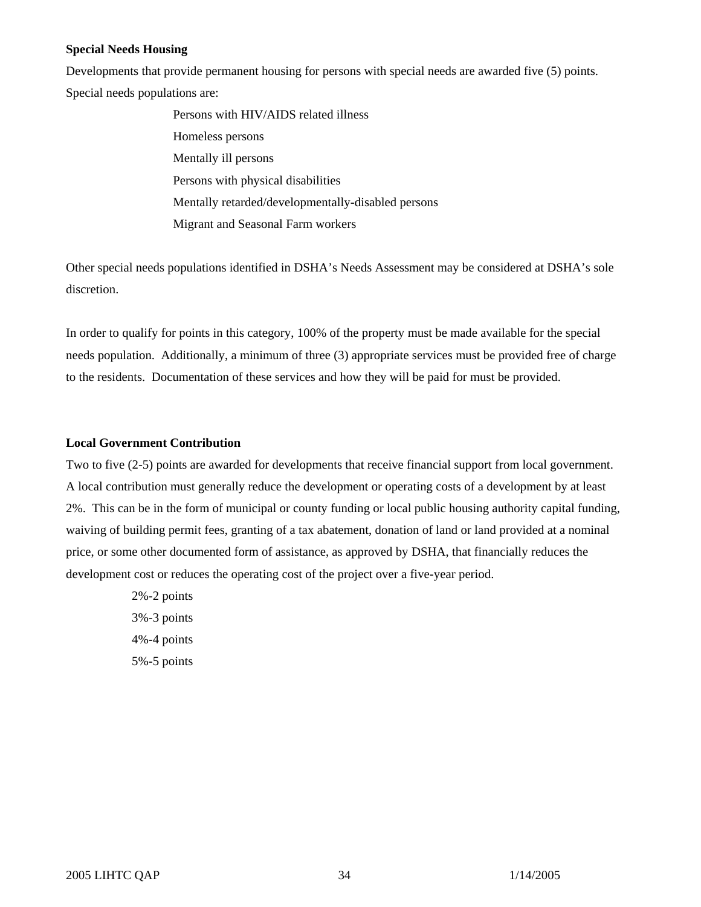#### **Special Needs Housing**

Developments that provide permanent housing for persons with special needs are awarded five (5) points. Special needs populations are:

> Persons with HIV/AIDS related illness Homeless persons Mentally ill persons Persons with physical disabilities Mentally retarded/developmentally-disabled persons Migrant and Seasonal Farm workers

Other special needs populations identified in DSHA's Needs Assessment may be considered at DSHA's sole discretion.

In order to qualify for points in this category, 100% of the property must be made available for the special needs population. Additionally, a minimum of three (3) appropriate services must be provided free of charge to the residents. Documentation of these services and how they will be paid for must be provided.

### **Local Government Contribution**

Two to five (2-5) points are awarded for developments that receive financial support from local government. A local contribution must generally reduce the development or operating costs of a development by at least 2%. This can be in the form of municipal or county funding or local public housing authority capital funding, waiving of building permit fees, granting of a tax abatement, donation of land or land provided at a nominal price, or some other documented form of assistance, as approved by DSHA, that financially reduces the development cost or reduces the operating cost of the project over a five-year period.

> 2%-2 points 3%-3 points 4%-4 points 5%-5 points

2005 LIHTC QAP 34 1/14/2005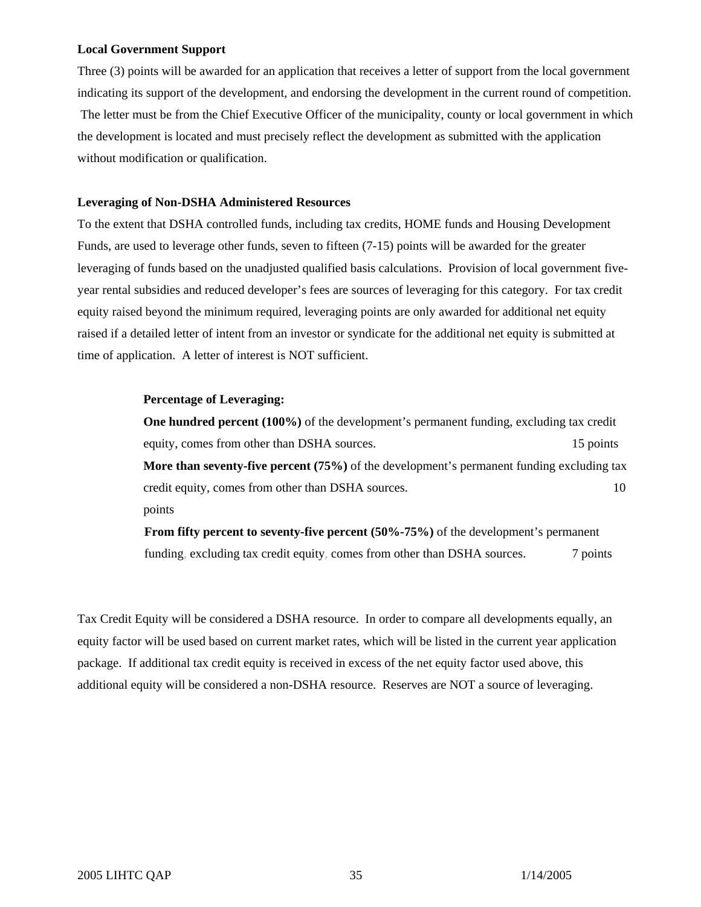#### **Local Government Support**

Three (3) points will be awarded for an application that receives a letter of support from the local government indicating its support of the development, and endorsing the development in the current round of competition. The letter must be from the Chief Executive Officer of the municipality, county or local government in which the development is located and must precisely reflect the development as submitted with the application without modification or qualification.

### **Leveraging of Non-DSHA Administered Resources**

To the extent that DSHA controlled funds, including tax credits, HOME funds and Housing Development Funds, are used to leverage other funds, seven to fifteen (7-15) points will be awarded for the greater leveraging of funds based on the unadjusted qualified basis calculations. Provision of local government fiveyear rental subsidies and reduced developer's fees are sources of leveraging for this category. For tax credit equity raised beyond the minimum required, leveraging points are only awarded for additional net equity raised if a detailed letter of intent from an investor or syndicate for the additional net equity is submitted at time of application. A letter of interest is NOT sufficient.

#### **Percentage of Leveraging:**

**One hundred percent (100%)** of the development's permanent funding, excluding tax credit equity, comes from other than DSHA sources. 15 points 15 points **More than seventy-five percent (75%)** of the development's permanent funding excluding tax credit equity, comes from other than DSHA sources. 10 points

**From fifty percent to seventy-five percent (50%-75%)** of the development's permanent funding, excluding tax credit equity, comes from other than DSHA sources. 7 points

Tax Credit Equity will be considered a DSHA resource. In order to compare all developments equally, an equity factor will be used based on current market rates, which will be listed in the current year application package. If additional tax credit equity is received in excess of the net equity factor used above, this additional equity will be considered a non-DSHA resource. Reserves are NOT a source of leveraging.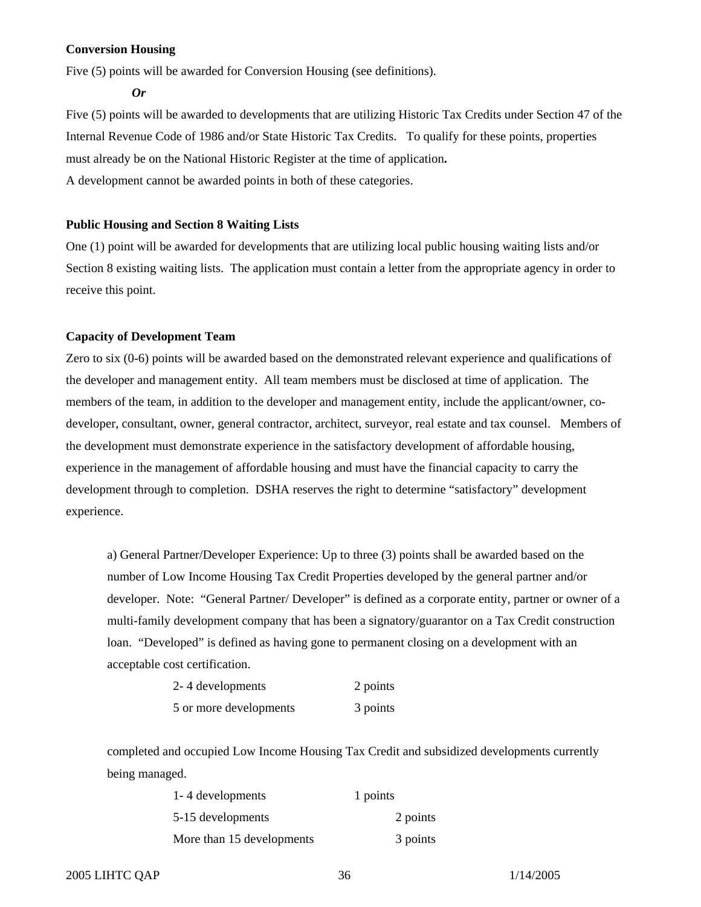#### **Conversion Housing**

Five (5) points will be awarded for Conversion Housing (see definitions).

*Or* 

Five (5) points will be awarded to developments that are utilizing Historic Tax Credits under Section 47 of the Internal Revenue Code of 1986 and/or State Historic Tax Credits. To qualify for these points, properties must already be on the National Historic Register at the time of application**.**  A development cannot be awarded points in both of these categories.

#### **Public Housing and Section 8 Waiting Lists**

One (1) point will be awarded for developments that are utilizing local public housing waiting lists and/or Section 8 existing waiting lists. The application must contain a letter from the appropriate agency in order to receive this point.

#### **Capacity of Development Team**

Zero to six (0-6) points will be awarded based on the demonstrated relevant experience and qualifications of the developer and management entity. All team members must be disclosed at time of application. The members of the team, in addition to the developer and management entity, include the applicant/owner, codeveloper, consultant, owner, general contractor, architect, surveyor, real estate and tax counsel. Members of the development must demonstrate experience in the satisfactory development of affordable housing, experience in the management of affordable housing and must have the financial capacity to carry the development through to completion. DSHA reserves the right to determine "satisfactory" development experience.

a) General Partner/Developer Experience: Up to three (3) points shall be awarded based on the number of Low Income Housing Tax Credit Properties developed by the general partner and/or developer. Note: "General Partner/ Developer" is defined as a corporate entity, partner or owner of a multi-family development company that has been a signatory/guarantor on a Tax Credit construction loan. "Developed" is defined as having gone to permanent closing on a development with an acceptable cost certification.

| 2-4 developments       | 2 points |
|------------------------|----------|
| 5 or more developments | 3 points |

completed and occupied Low Income Housing Tax Credit and subsidized developments currently being managed.

| 1-4 developments          | 1 points |
|---------------------------|----------|
| 5-15 developments         | 2 points |
| More than 15 developments | 3 points |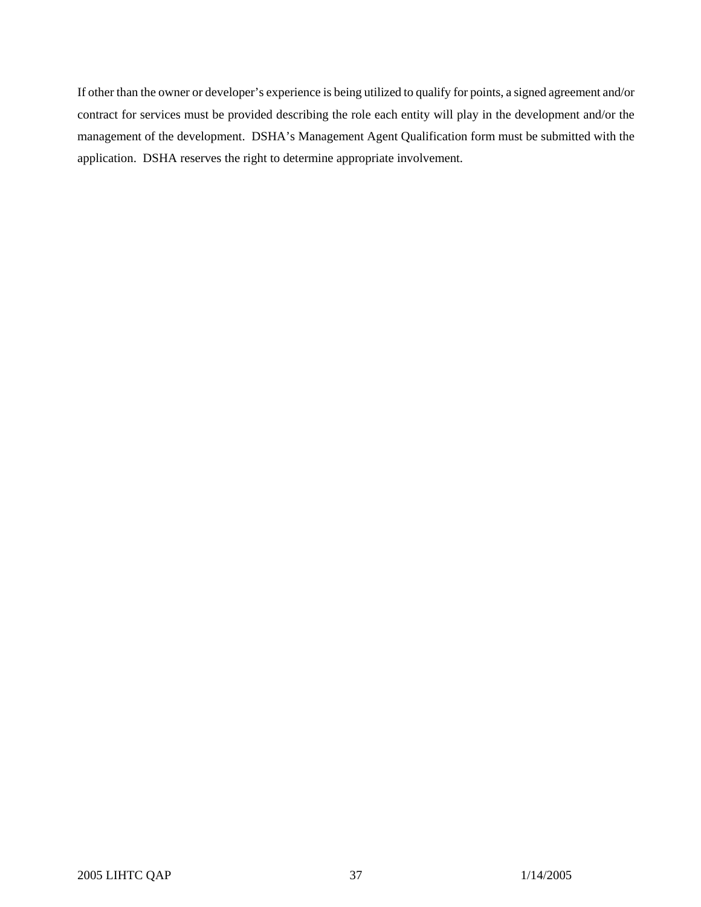If other than the owner or developer's experience is being utilized to qualify for points, a signed agreement and/or contract for services must be provided describing the role each entity will play in the development and/or the management of the development. DSHA's Management Agent Qualification form must be submitted with the application. DSHA reserves the right to determine appropriate involvement.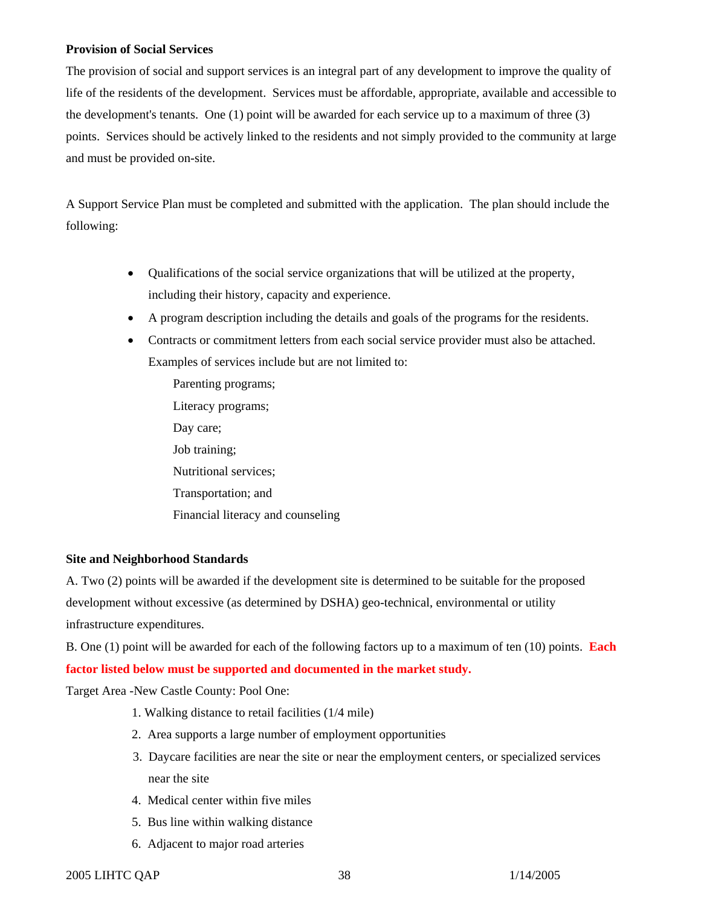#### **Provision of Social Services**

The provision of social and support services is an integral part of any development to improve the quality of life of the residents of the development. Services must be affordable, appropriate, available and accessible to the development's tenants. One (1) point will be awarded for each service up to a maximum of three (3) points. Services should be actively linked to the residents and not simply provided to the community at large and must be provided on-site.

A Support Service Plan must be completed and submitted with the application. The plan should include the following:

- Qualifications of the social service organizations that will be utilized at the property, including their history, capacity and experience.
- A program description including the details and goals of the programs for the residents.
- Contracts or commitment letters from each social service provider must also be attached. Examples of services include but are not limited to:

Parenting programs; Literacy programs; Day care; Job training; Nutritional services; Transportation; and Financial literacy and counseling

## **Site and Neighborhood Standards**

A. Two (2) points will be awarded if the development site is determined to be suitable for the proposed development without excessive (as determined by DSHA) geo-technical, environmental or utility infrastructure expenditures.

B. One (1) point will be awarded for each of the following factors up to a maximum of ten (10) points. **Each factor listed below must be supported and documented in the market study.** 

Target Area -New Castle County: Pool One:

- 1. Walking distance to retail facilities (1/4 mile)
- 2. Area supports a large number of employment opportunities
- 3. Daycare facilities are near the site or near the employment centers, or specialized services near the site
- 4. Medical center within five miles
- 5. Bus line within walking distance
- 6. Adjacent to major road arteries

## 2005 LIHTC QAP 38 1/14/2005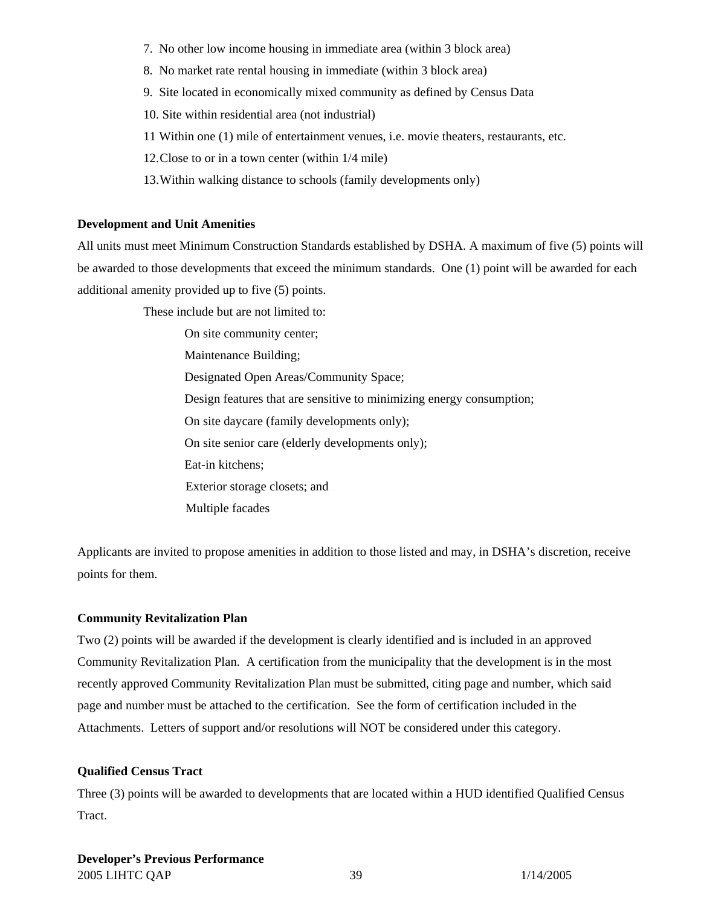- 7. No other low income housing in immediate area (within 3 block area)
- 8. No market rate rental housing in immediate (within 3 block area)
- 9. Site located in economically mixed community as defined by Census Data
- 10. Site within residential area (not industrial)
- 11 Within one (1) mile of entertainment venues, i.e. movie theaters, restaurants, etc.
- 12. Close to or in a town center (within 1/4 mile)
- 13. Within walking distance to schools (family developments only)

#### **Development and Unit Amenities**

All units must meet Minimum Construction Standards established by DSHA. A maximum of five (5) points will be awarded to those developments that exceed the minimum standards. One (1) point will be awarded for each additional amenity provided up to five (5) points.

These include but are not limited to:

On site community center; Maintenance Building; Designated Open Areas/Community Space; Design features that are sensitive to minimizing energy consumption; On site daycare (family developments only); On site senior care (elderly developments only); Eat-in kitchens; Exterior storage closets; and Multiple facades

Applicants are invited to propose amenities in addition to those listed and may, in DSHA's discretion, receive points for them.

#### **Community Revitalization Plan**

Two (2) points will be awarded if the development is clearly identified and is included in an approved Community Revitalization Plan. A certification from the municipality that the development is in the most recently approved Community Revitalization Plan must be submitted, citing page and number, which said page and number must be attached to the certification. See the form of certification included in the Attachments. Letters of support and/or resolutions will NOT be considered under this category.

#### **Qualified Census Tract**

Three (3) points will be awarded to developments that are located within a HUD identified Qualified Census Tract.

2005 LIHTC QAP 39 1/14/2005 **Developer's Previous Performance**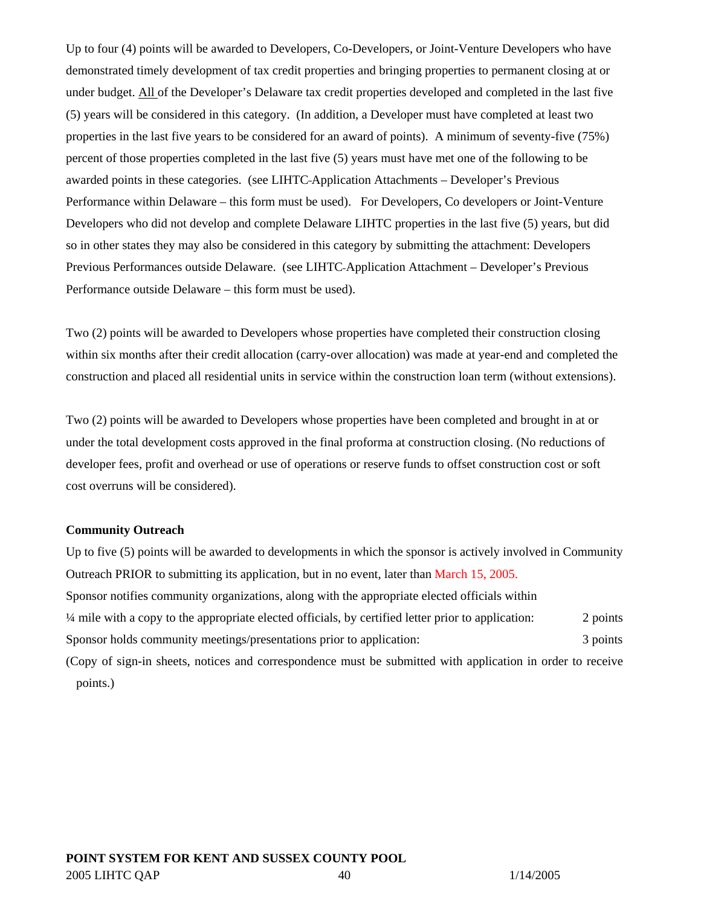Up to four (4) points will be awarded to Developers, Co-Developers, or Joint-Venture Developers who have demonstrated timely development of tax credit properties and bringing properties to permanent closing at or under budget. All of the Developer's Delaware tax credit properties developed and completed in the last five (5) years will be considered in this category. (In addition, a Developer must have completed at least two properties in the last five years to be considered for an award of points). A minimum of seventy-five (75%) percent of those properties completed in the last five (5) years must have met one of the following to be awarded points in these categories. (see LIHTC Application Attachments – Developer's Previous Performance within Delaware – this form must be used). For Developers, Co developers or Joint-Venture Developers who did not develop and complete Delaware LIHTC properties in the last five (5) years, but did so in other states they may also be considered in this category by submitting the attachment: Developers Previous Performances outside Delaware. (see LIHTC Application Attachment – Developer's Previous Performance outside Delaware – this form must be used).

Two (2) points will be awarded to Developers whose properties have completed their construction closing within six months after their credit allocation (carry-over allocation) was made at year-end and completed the construction and placed all residential units in service within the construction loan term (without extensions).

Two (2) points will be awarded to Developers whose properties have been completed and brought in at or under the total development costs approved in the final proforma at construction closing. (No reductions of developer fees, profit and overhead or use of operations or reserve funds to offset construction cost or soft cost overruns will be considered).

#### **Community Outreach**

Up to five (5) points will be awarded to developments in which the sponsor is actively involved in Community Outreach PRIOR to submitting its application, but in no event, later than March 15, 2005. Sponsor notifies community organizations, along with the appropriate elected officials within <sup>1</sup>/4 mile with a copy to the appropriate elected officials, by certified letter prior to application: 2 points Sponsor holds community meetings/presentations prior to application: 3 points (Copy of sign-in sheets, notices and correspondence must be submitted with application in order to receive points.)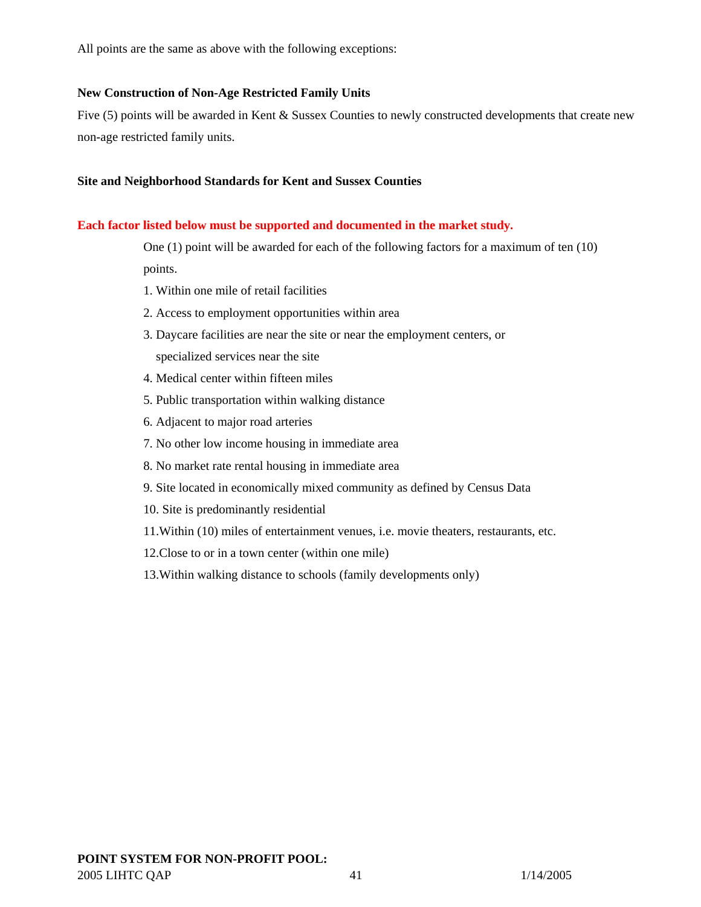All points are the same as above with the following exceptions:

## **New Construction of Non-Age Restricted Family Units**

Five (5) points will be awarded in Kent & Sussex Counties to newly constructed developments that create new non-age restricted family units.

## **Site and Neighborhood Standards for Kent and Sussex Counties**

## **Each factor listed below must be supported and documented in the market study.**

One (1) point will be awarded for each of the following factors for a maximum of ten (10) points.

- 1. Within one mile of retail facilities
- 2. Access to employment opportunities within area
- 3. Daycare facilities are near the site or near the employment centers, or specialized services near the site
- 4. Medical center within fifteen miles
- 5. Public transportation within walking distance
- 6. Adjacent to major road arteries
- 7. No other low income housing in immediate area
- 8. No market rate rental housing in immediate area
- 9. Site located in economically mixed community as defined by Census Data
- 10. Site is predominantly residential
- 11.Within (10) miles of entertainment venues, i.e. movie theaters, restaurants, etc.
- 12.Close to or in a town center (within one mile)
- 13.Within walking distance to schools (family developments only)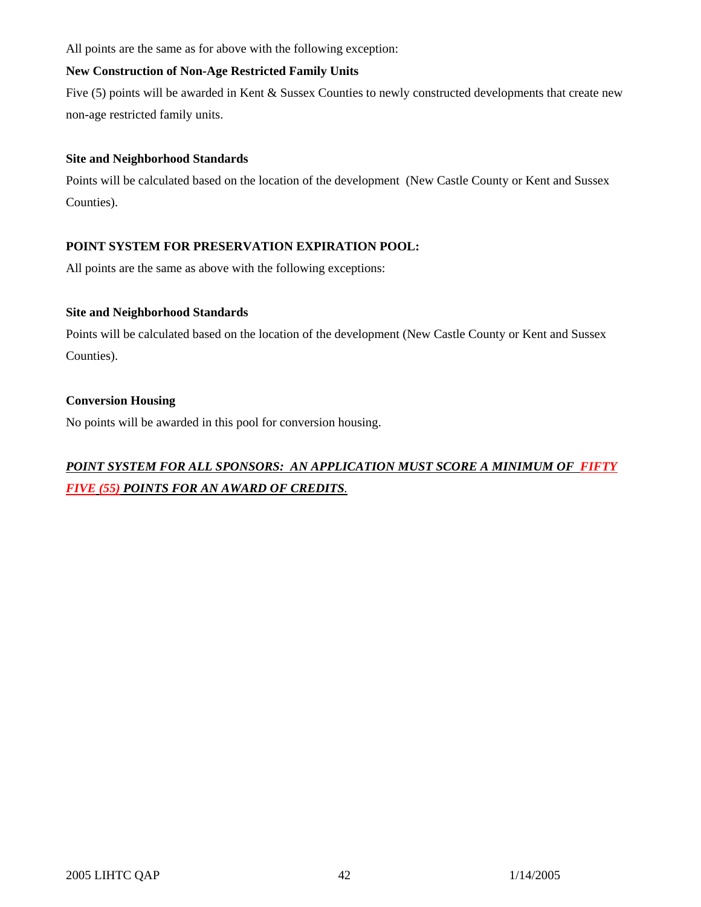All points are the same as for above with the following exception:

## **New Construction of Non-Age Restricted Family Units**

Five (5) points will be awarded in Kent & Sussex Counties to newly constructed developments that create new non-age restricted family units.

## **Site and Neighborhood Standards**

Points will be calculated based on the location of the development (New Castle County or Kent and Sussex Counties).

# **POINT SYSTEM FOR PRESERVATION EXPIRATION POOL:**

All points are the same as above with the following exceptions:

## **Site and Neighborhood Standards**

Points will be calculated based on the location of the development (New Castle County or Kent and Sussex Counties).

## **Conversion Housing**

No points will be awarded in this pool for conversion housing.

# *POINT SYSTEM FOR ALL SPONSORS: AN APPLICATION MUST SCORE A MINIMUM OF FIFTY FIVE (55) POINTS FOR AN AWARD OF CREDITS.*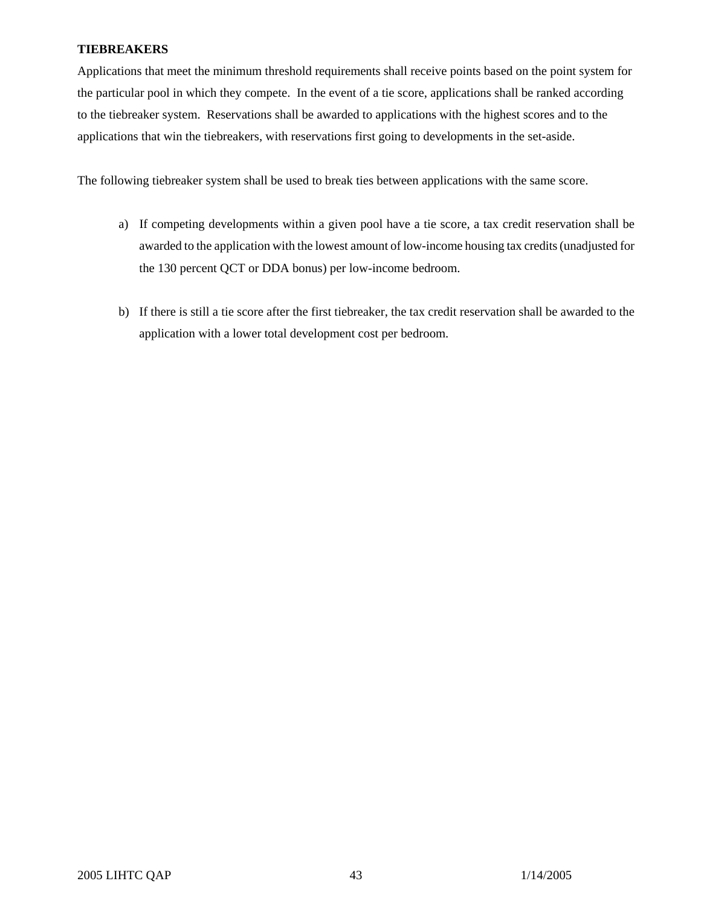### **TIEBREAKERS**

Applications that meet the minimum threshold requirements shall receive points based on the point system for the particular pool in which they compete. In the event of a tie score, applications shall be ranked according to the tiebreaker system. Reservations shall be awarded to applications with the highest scores and to the applications that win the tiebreakers, with reservations first going to developments in the set-aside.

The following tiebreaker system shall be used to break ties between applications with the same score.

- a) If competing developments within a given pool have a tie score, a tax credit reservation shall be awarded to the application with the lowest amount of low-income housing tax credits (unadjusted for the 130 percent QCT or DDA bonus) per low-income bedroom.
- b) If there is still a tie score after the first tiebreaker, the tax credit reservation shall be awarded to the application with a lower total development cost per bedroom.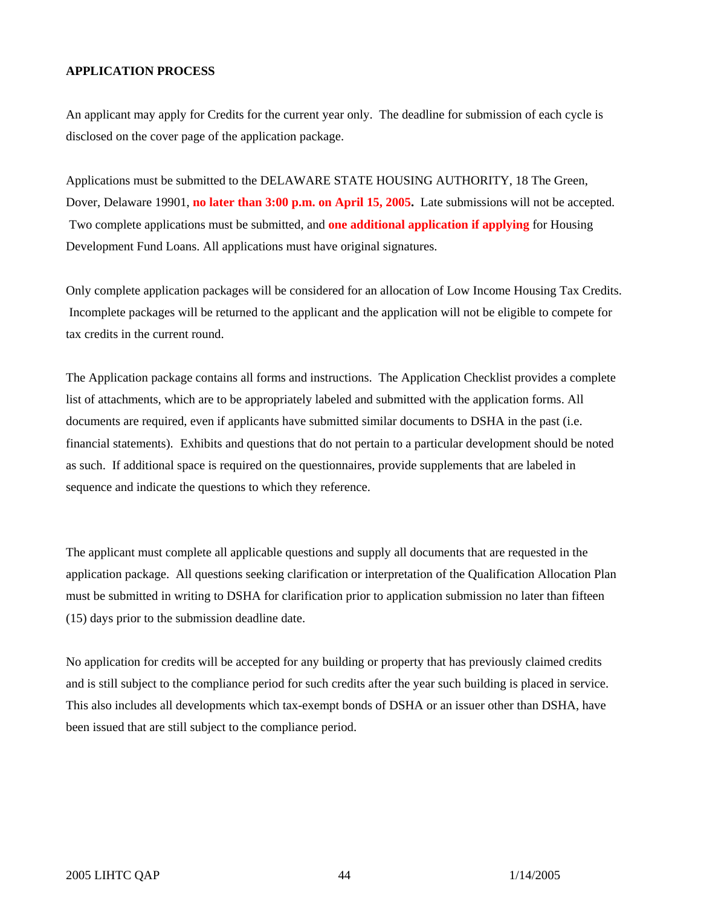### **APPLICATION PROCESS**

An applicant may apply for Credits for the current year only. The deadline for submission of each cycle is disclosed on the cover page of the application package.

Applications must be submitted to the DELAWARE STATE HOUSING AUTHORITY, 18 The Green, Dover, Delaware 19901, **no later than 3:00 p.m. on April 15, 2005.** Late submissions will not be accepted. Two complete applications must be submitted, and **one additional application if applying** for Housing Development Fund Loans. All applications must have original signatures.

Only complete application packages will be considered for an allocation of Low Income Housing Tax Credits. Incomplete packages will be returned to the applicant and the application will not be eligible to compete for tax credits in the current round.

The Application package contains all forms and instructions. The Application Checklist provides a complete list of attachments, which are to be appropriately labeled and submitted with the application forms. All documents are required, even if applicants have submitted similar documents to DSHA in the past (i.e. financial statements). Exhibits and questions that do not pertain to a particular development should be noted as such. If additional space is required on the questionnaires, provide supplements that are labeled in sequence and indicate the questions to which they reference.

The applicant must complete all applicable questions and supply all documents that are requested in the application package. All questions seeking clarification or interpretation of the Qualification Allocation Plan must be submitted in writing to DSHA for clarification prior to application submission no later than fifteen (15) days prior to the submission deadline date.

No application for credits will be accepted for any building or property that has previously claimed credits and is still subject to the compliance period for such credits after the year such building is placed in service. This also includes all developments which tax-exempt bonds of DSHA or an issuer other than DSHA, have been issued that are still subject to the compliance period.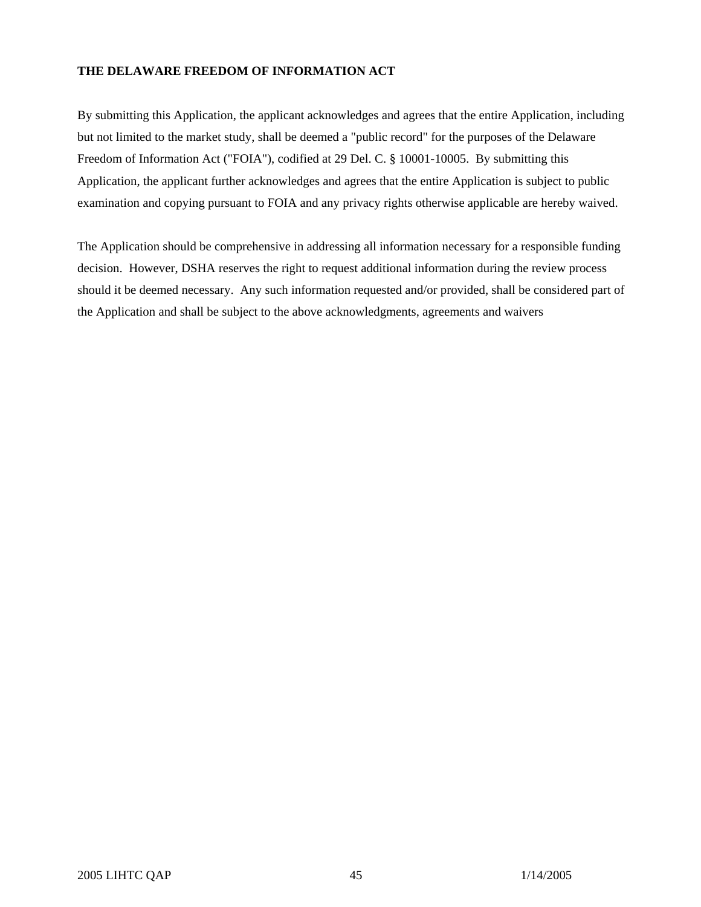## **THE DELAWARE FREEDOM OF INFORMATION ACT**

By submitting this Application, the applicant acknowledges and agrees that the entire Application, including but not limited to the market study, shall be deemed a "public record" for the purposes of the Delaware Freedom of Information Act ("FOIA"), codified at 29 Del. C. § 10001-10005. By submitting this Application, the applicant further acknowledges and agrees that the entire Application is subject to public examination and copying pursuant to FOIA and any privacy rights otherwise applicable are hereby waived.

The Application should be comprehensive in addressing all information necessary for a responsible funding decision. However, DSHA reserves the right to request additional information during the review process should it be deemed necessary. Any such information requested and/or provided, shall be considered part of the Application and shall be subject to the above acknowledgments, agreements and waivers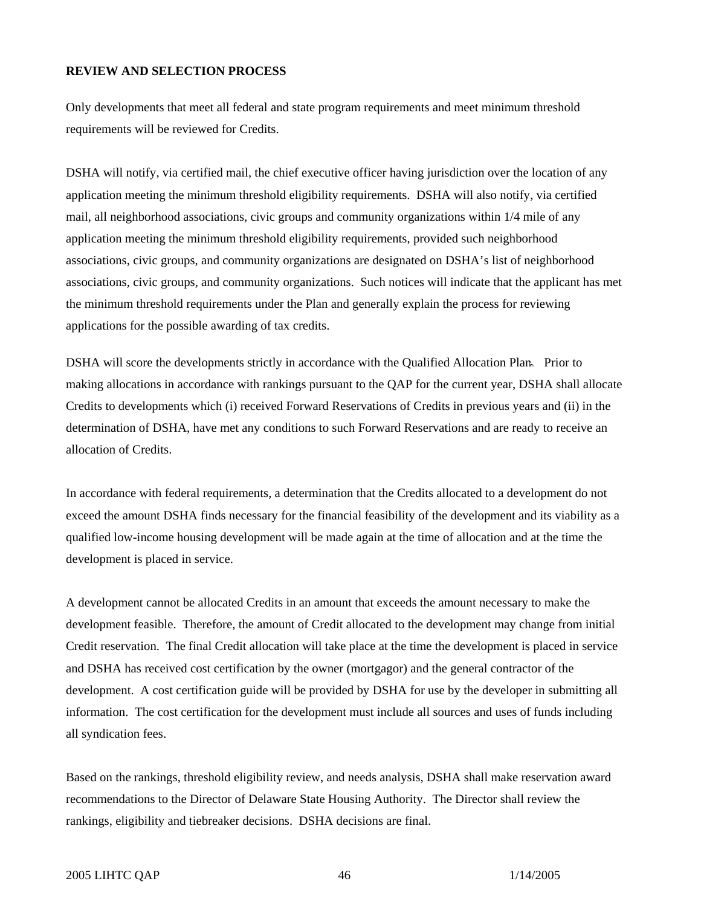## **REVIEW AND SELECTION PROCESS**

Only developments that meet all federal and state program requirements and meet minimum threshold requirements will be reviewed for Credits.

DSHA will notify, via certified mail, the chief executive officer having jurisdiction over the location of any application meeting the minimum threshold eligibility requirements. DSHA will also notify, via certified mail, all neighborhood associations, civic groups and community organizations within 1/4 mile of any application meeting the minimum threshold eligibility requirements, provided such neighborhood associations, civic groups, and community organizations are designated on DSHA's list of neighborhood associations, civic groups, and community organizations. Such notices will indicate that the applicant has met the minimum threshold requirements under the Plan and generally explain the process for reviewing applications for the possible awarding of tax credits.

DSHA will score the developments strictly in accordance with the Qualified Allocation Plan. Prior to making allocations in accordance with rankings pursuant to the QAP for the current year, DSHA shall allocate Credits to developments which (i) received Forward Reservations of Credits in previous years and (ii) in the determination of DSHA, have met any conditions to such Forward Reservations and are ready to receive an allocation of Credits.

In accordance with federal requirements, a determination that the Credits allocated to a development do not exceed the amount DSHA finds necessary for the financial feasibility of the development and its viability as a qualified low-income housing development will be made again at the time of allocation and at the time the development is placed in service.

A development cannot be allocated Credits in an amount that exceeds the amount necessary to make the development feasible. Therefore, the amount of Credit allocated to the development may change from initial Credit reservation. The final Credit allocation will take place at the time the development is placed in service and DSHA has received cost certification by the owner (mortgagor) and the general contractor of the development. A cost certification guide will be provided by DSHA for use by the developer in submitting all information. The cost certification for the development must include all sources and uses of funds including all syndication fees.

Based on the rankings, threshold eligibility review, and needs analysis, DSHA shall make reservation award recommendations to the Director of Delaware State Housing Authority. The Director shall review the rankings, eligibility and tiebreaker decisions. DSHA decisions are final.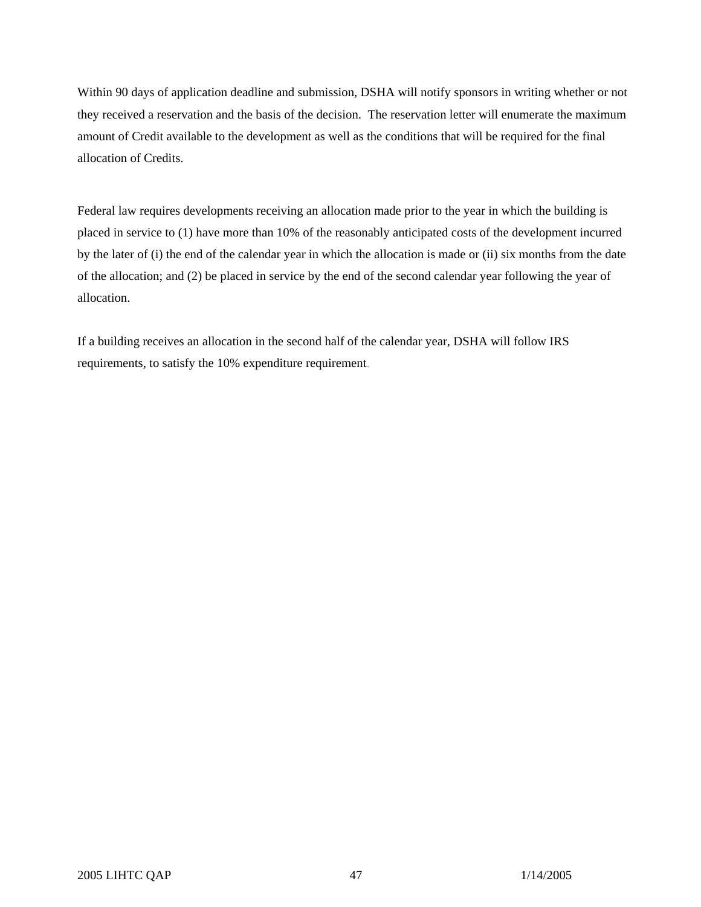Within 90 days of application deadline and submission, DSHA will notify sponsors in writing whether or not they received a reservation and the basis of the decision. The reservation letter will enumerate the maximum amount of Credit available to the development as well as the conditions that will be required for the final allocation of Credits.

Federal law requires developments receiving an allocation made prior to the year in which the building is placed in service to (1) have more than 10% of the reasonably anticipated costs of the development incurred by the later of (i) the end of the calendar year in which the allocation is made or (ii) six months from the date of the allocation; and (2) be placed in service by the end of the second calendar year following the year of allocation.

If a building receives an allocation in the second half of the calendar year, DSHA will follow IRS requirements, to satisfy the 10% expenditure requirement.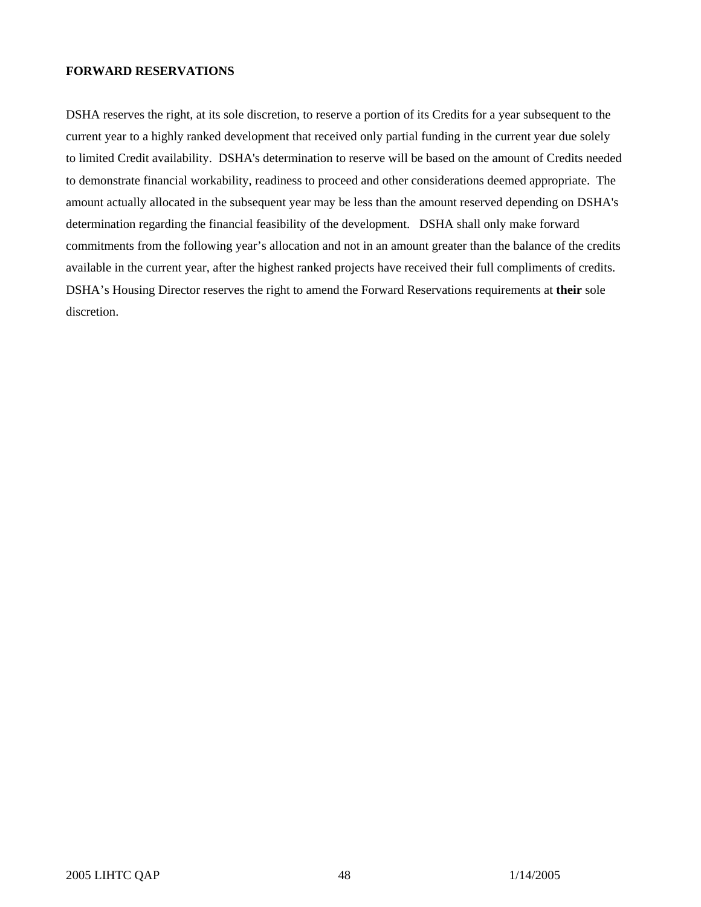#### **FORWARD RESERVATIONS**

DSHA reserves the right, at its sole discretion, to reserve a portion of its Credits for a year subsequent to the current year to a highly ranked development that received only partial funding in the current year due solely to limited Credit availability. DSHA's determination to reserve will be based on the amount of Credits needed to demonstrate financial workability, readiness to proceed and other considerations deemed appropriate. The amount actually allocated in the subsequent year may be less than the amount reserved depending on DSHA's determination regarding the financial feasibility of the development. DSHA shall only make forward commitments from the following year's allocation and not in an amount greater than the balance of the credits available in the current year, after the highest ranked projects have received their full compliments of credits. DSHA's Housing Director reserves the right to amend the Forward Reservations requirements at **their** sole discretion.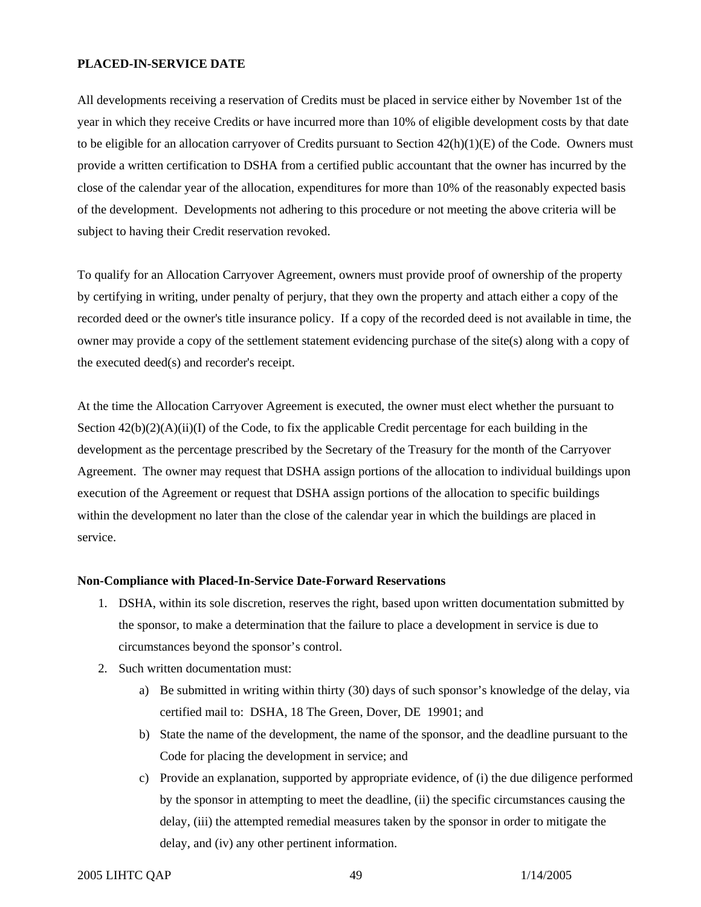### **PLACED-IN-SERVICE DATE**

All developments receiving a reservation of Credits must be placed in service either by November 1st of the year in which they receive Credits or have incurred more than 10% of eligible development costs by that date to be eligible for an allocation carryover of Credits pursuant to Section  $42(h)(1)(E)$  of the Code. Owners must provide a written certification to DSHA from a certified public accountant that the owner has incurred by the close of the calendar year of the allocation, expenditures for more than 10% of the reasonably expected basis of the development. Developments not adhering to this procedure or not meeting the above criteria will be subject to having their Credit reservation revoked.

To qualify for an Allocation Carryover Agreement, owners must provide proof of ownership of the property by certifying in writing, under penalty of perjury, that they own the property and attach either a copy of the recorded deed or the owner's title insurance policy. If a copy of the recorded deed is not available in time, the owner may provide a copy of the settlement statement evidencing purchase of the site(s) along with a copy of the executed deed(s) and recorder's receipt.

At the time the Allocation Carryover Agreement is executed, the owner must elect whether the pursuant to Section  $42(b)(2)(A)(ii)(I)$  of the Code, to fix the applicable Credit percentage for each building in the development as the percentage prescribed by the Secretary of the Treasury for the month of the Carryover Agreement. The owner may request that DSHA assign portions of the allocation to individual buildings upon execution of the Agreement or request that DSHA assign portions of the allocation to specific buildings within the development no later than the close of the calendar year in which the buildings are placed in service.

#### **Non-Compliance with Placed-In-Service Date-Forward Reservations**

- 1. DSHA, within its sole discretion, reserves the right, based upon written documentation submitted by the sponsor, to make a determination that the failure to place a development in service is due to circumstances beyond the sponsor's control.
- 2. Such written documentation must:
	- a) Be submitted in writing within thirty (30) days of such sponsor's knowledge of the delay, via certified mail to: DSHA, 18 The Green, Dover, DE 19901; and
	- b) State the name of the development, the name of the sponsor, and the deadline pursuant to the Code for placing the development in service; and
	- c) Provide an explanation, supported by appropriate evidence, of (i) the due diligence performed by the sponsor in attempting to meet the deadline, (ii) the specific circumstances causing the delay, (iii) the attempted remedial measures taken by the sponsor in order to mitigate the delay, and (iv) any other pertinent information.

#### 2005 LIHTC QAP 49 1/14/2005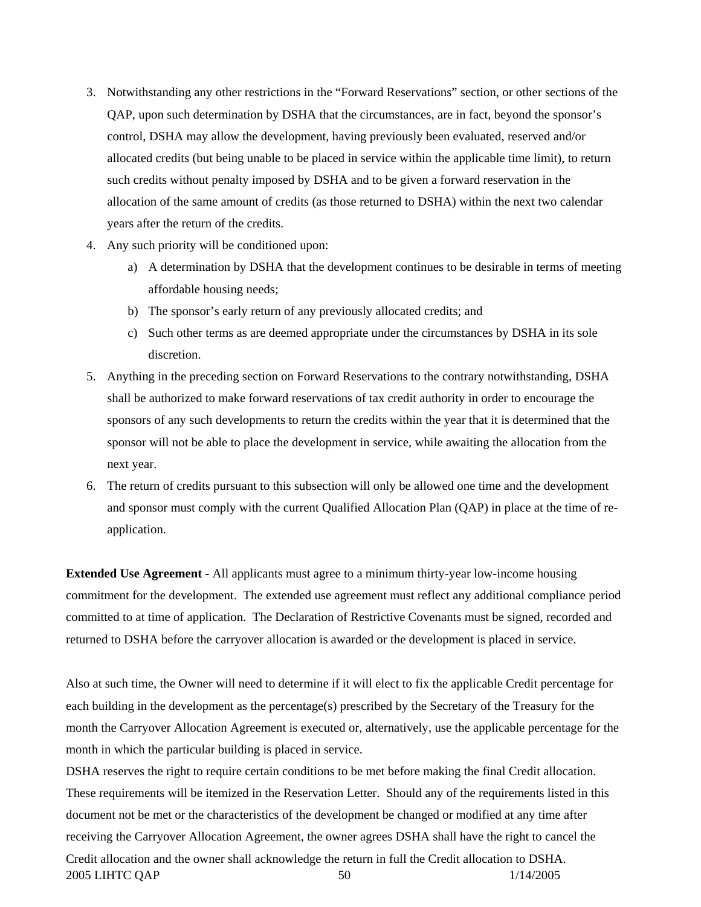- 3. Notwithstanding any other restrictions in the "Forward Reservations" section, or other sections of the QAP, upon such determination by DSHA that the circumstances, are in fact, beyond the sponsor's control, DSHA may allow the development, having previously been evaluated, reserved and/or allocated credits (but being unable to be placed in service within the applicable time limit), to return such credits without penalty imposed by DSHA and to be given a forward reservation in the allocation of the same amount of credits (as those returned to DSHA) within the next two calendar years after the return of the credits.
- 4. Any such priority will be conditioned upon:
	- a) A determination by DSHA that the development continues to be desirable in terms of meeting affordable housing needs;
	- b) The sponsor's early return of any previously allocated credits; and
	- c) Such other terms as are deemed appropriate under the circumstances by DSHA in its sole discretion.
- 5. Anything in the preceding section on Forward Reservations to the contrary notwithstanding, DSHA shall be authorized to make forward reservations of tax credit authority in order to encourage the sponsors of any such developments to return the credits within the year that it is determined that the sponsor will not be able to place the development in service, while awaiting the allocation from the next year.
- 6. The return of credits pursuant to this subsection will only be allowed one time and the development and sponsor must comply with the current Qualified Allocation Plan (QAP) in place at the time of reapplication.

**Extended Use Agreement -** All applicants must agree to a minimum thirty-year low-income housing commitment for the development. The extended use agreement must reflect any additional compliance period committed to at time of application. The Declaration of Restrictive Covenants must be signed, recorded and returned to DSHA before the carryover allocation is awarded or the development is placed in service.

Also at such time, the Owner will need to determine if it will elect to fix the applicable Credit percentage for each building in the development as the percentage(s) prescribed by the Secretary of the Treasury for the month the Carryover Allocation Agreement is executed or, alternatively, use the applicable percentage for the month in which the particular building is placed in service.

2005 LIHTC QAP 50 50 1/14/2005 DSHA reserves the right to require certain conditions to be met before making the final Credit allocation. These requirements will be itemized in the Reservation Letter. Should any of the requirements listed in this document not be met or the characteristics of the development be changed or modified at any time after receiving the Carryover Allocation Agreement, the owner agrees DSHA shall have the right to cancel the Credit allocation and the owner shall acknowledge the return in full the Credit allocation to DSHA.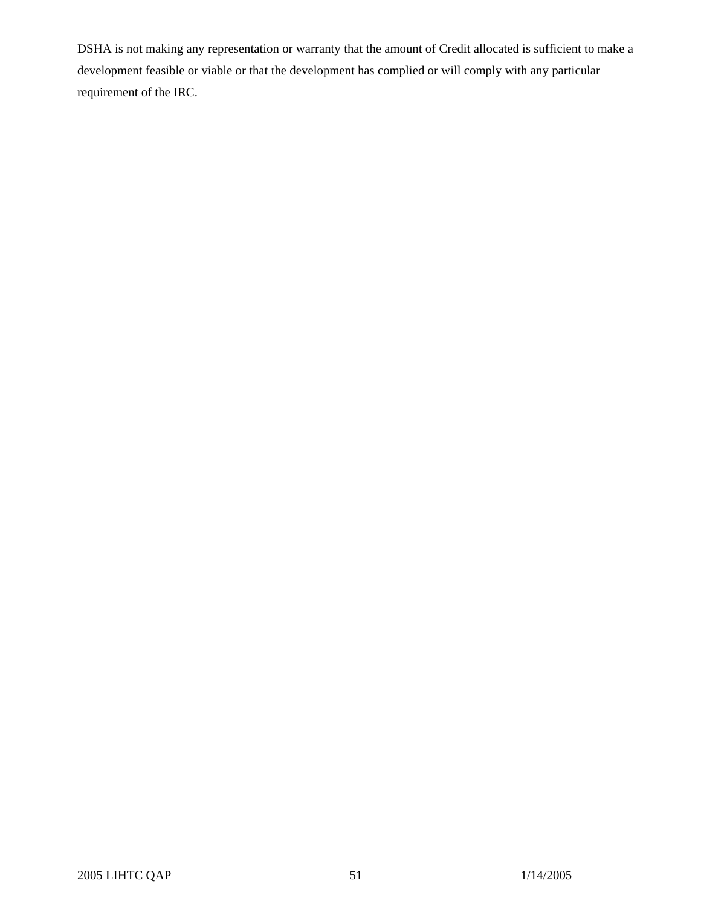DSHA is not making any representation or warranty that the amount of Credit allocated is sufficient to make a development feasible or viable or that the development has complied or will comply with any particular requirement of the IRC.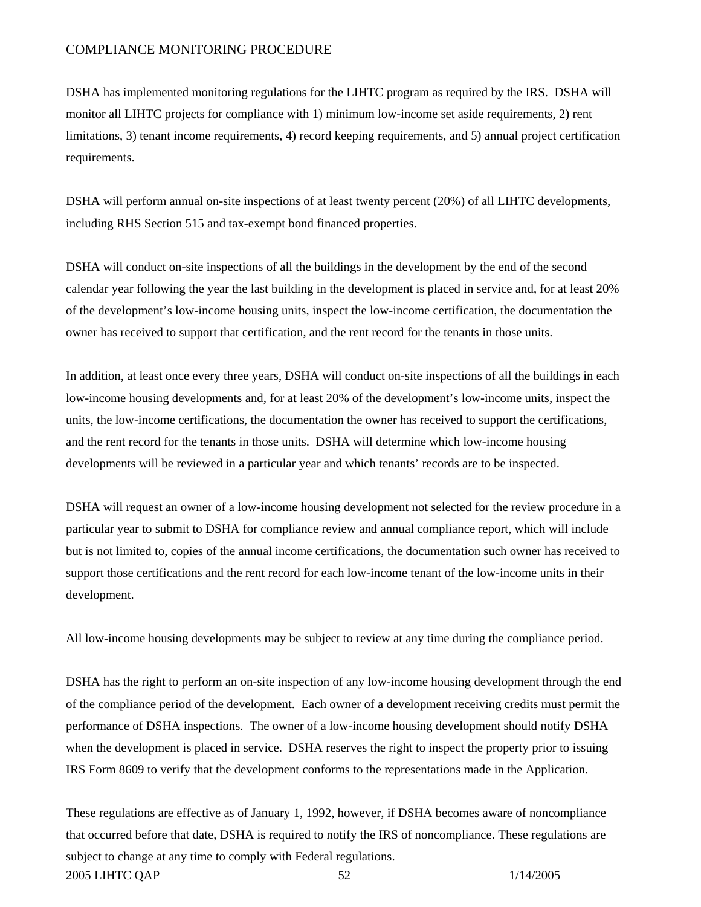## COMPLIANCE MONITORING PROCEDURE

DSHA has implemented monitoring regulations for the LIHTC program as required by the IRS. DSHA will monitor all LIHTC projects for compliance with 1) minimum low-income set aside requirements, 2) rent limitations, 3) tenant income requirements, 4) record keeping requirements, and 5) annual project certification requirements.

DSHA will perform annual on-site inspections of at least twenty percent (20%) of all LIHTC developments, including RHS Section 515 and tax-exempt bond financed properties.

DSHA will conduct on-site inspections of all the buildings in the development by the end of the second calendar year following the year the last building in the development is placed in service and, for at least 20% of the development's low-income housing units, inspect the low-income certification, the documentation the owner has received to support that certification, and the rent record for the tenants in those units.

In addition, at least once every three years, DSHA will conduct on-site inspections of all the buildings in each low-income housing developments and, for at least 20% of the development's low-income units, inspect the units, the low-income certifications, the documentation the owner has received to support the certifications, and the rent record for the tenants in those units. DSHA will determine which low-income housing developments will be reviewed in a particular year and which tenants' records are to be inspected.

DSHA will request an owner of a low-income housing development not selected for the review procedure in a particular year to submit to DSHA for compliance review and annual compliance report, which will include but is not limited to, copies of the annual income certifications, the documentation such owner has received to support those certifications and the rent record for each low-income tenant of the low-income units in their development.

All low-income housing developments may be subject to review at any time during the compliance period.

DSHA has the right to perform an on-site inspection of any low-income housing development through the end of the compliance period of the development. Each owner of a development receiving credits must permit the performance of DSHA inspections. The owner of a low-income housing development should notify DSHA when the development is placed in service. DSHA reserves the right to inspect the property prior to issuing IRS Form 8609 to verify that the development conforms to the representations made in the Application.

2005 LIHTC QAP 52 52 1/14/2005 These regulations are effective as of January 1, 1992, however, if DSHA becomes aware of noncompliance that occurred before that date, DSHA is required to notify the IRS of noncompliance. These regulations are subject to change at any time to comply with Federal regulations.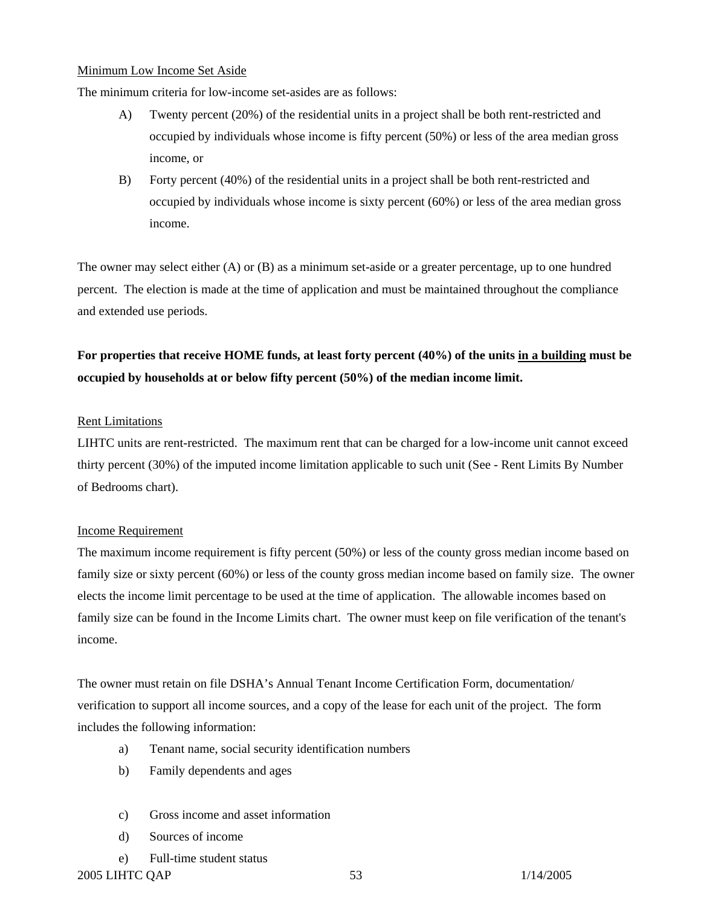#### Minimum Low Income Set Aside

The minimum criteria for low-income set-asides are as follows:

- A) Twenty percent (20%) of the residential units in a project shall be both rent-restricted and occupied by individuals whose income is fifty percent (50%) or less of the area median gross income, or
- B) Forty percent (40%) of the residential units in a project shall be both rent-restricted and occupied by individuals whose income is sixty percent (60%) or less of the area median gross income.

The owner may select either (A) or (B) as a minimum set-aside or a greater percentage, up to one hundred percent. The election is made at the time of application and must be maintained throughout the compliance and extended use periods.

# **For properties that receive HOME funds, at least forty percent (40%) of the units in a building must be occupied by households at or below fifty percent (50%) of the median income limit.**

## Rent Limitations

LIHTC units are rent-restricted. The maximum rent that can be charged for a low-income unit cannot exceed thirty percent (30%) of the imputed income limitation applicable to such unit (See - Rent Limits By Number of Bedrooms chart).

## Income Requirement

The maximum income requirement is fifty percent (50%) or less of the county gross median income based on family size or sixty percent (60%) or less of the county gross median income based on family size. The owner elects the income limit percentage to be used at the time of application. The allowable incomes based on family size can be found in the Income Limits chart. The owner must keep on file verification of the tenant's income.

The owner must retain on file DSHA's Annual Tenant Income Certification Form, documentation/ verification to support all income sources, and a copy of the lease for each unit of the project. The form includes the following information:

- a) Tenant name, social security identification numbers
- b) Family dependents and ages
- c) Gross income and asset information
- d) Sources of income
- e) Full-time student status

2005 LIHTC QAP 53 1/14/2005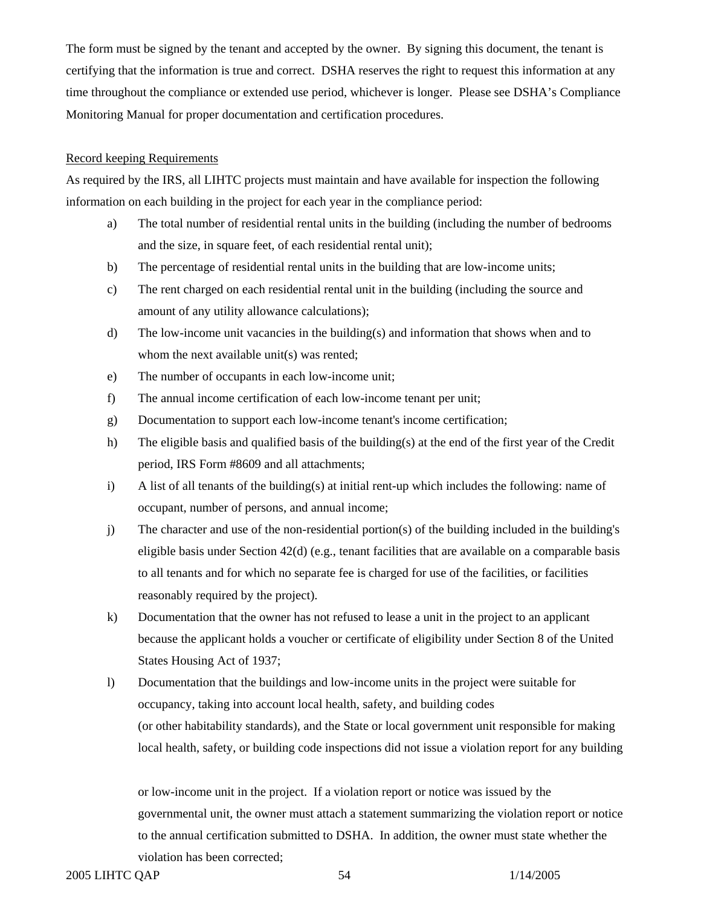The form must be signed by the tenant and accepted by the owner. By signing this document, the tenant is certifying that the information is true and correct. DSHA reserves the right to request this information at any time throughout the compliance or extended use period, whichever is longer. Please see DSHA's Compliance Monitoring Manual for proper documentation and certification procedures.

#### Record keeping Requirements

As required by the IRS, all LIHTC projects must maintain and have available for inspection the following information on each building in the project for each year in the compliance period:

- a) The total number of residential rental units in the building (including the number of bedrooms and the size, in square feet, of each residential rental unit);
- b) The percentage of residential rental units in the building that are low-income units;
- c) The rent charged on each residential rental unit in the building (including the source and amount of any utility allowance calculations);
- d) The low-income unit vacancies in the building(s) and information that shows when and to whom the next available unit(s) was rented;
- e) The number of occupants in each low-income unit;
- f) The annual income certification of each low-income tenant per unit;
- g) Documentation to support each low-income tenant's income certification;
- h) The eligible basis and qualified basis of the building(s) at the end of the first year of the Credit period, IRS Form #8609 and all attachments;
- i) A list of all tenants of the building(s) at initial rent-up which includes the following: name of occupant, number of persons, and annual income;
- j) The character and use of the non-residential portion(s) of the building included in the building's eligible basis under Section  $42(d)$  (e.g., tenant facilities that are available on a comparable basis to all tenants and for which no separate fee is charged for use of the facilities, or facilities reasonably required by the project).
- k) Documentation that the owner has not refused to lease a unit in the project to an applicant because the applicant holds a voucher or certificate of eligibility under Section 8 of the United States Housing Act of 1937;
- l) Documentation that the buildings and low-income units in the project were suitable for occupancy, taking into account local health, safety, and building codes (or other habitability standards), and the State or local government unit responsible for making local health, safety, or building code inspections did not issue a violation report for any building

or low-income unit in the project. If a violation report or notice was issued by the governmental unit, the owner must attach a statement summarizing the violation report or notice to the annual certification submitted to DSHA. In addition, the owner must state whether the violation has been corrected;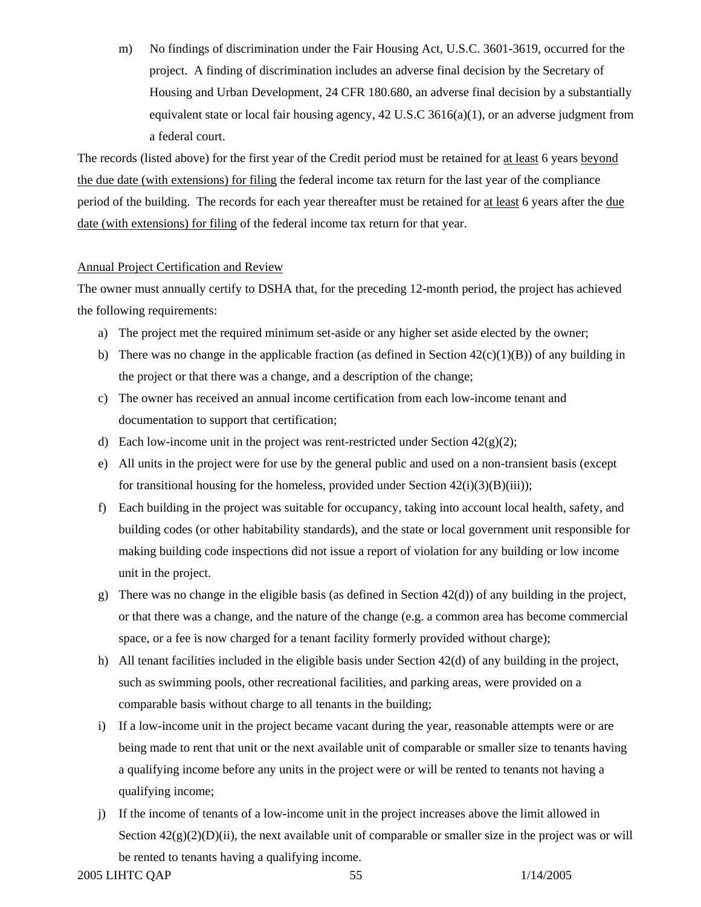m) No findings of discrimination under the Fair Housing Act, U.S.C. 3601-3619, occurred for the project. A finding of discrimination includes an adverse final decision by the Secretary of Housing and Urban Development, 24 CFR 180.680, an adverse final decision by a substantially equivalent state or local fair housing agency,  $42 \text{ U.S.C } 3616(a)(1)$ , or an adverse judgment from a federal court.

The records (listed above) for the first year of the Credit period must be retained for at least 6 years beyond the due date (with extensions) for filing the federal income tax return for the last year of the compliance period of the building. The records for each year thereafter must be retained for at least 6 years after the due date (with extensions) for filing of the federal income tax return for that year.

## Annual Project Certification and Review

The owner must annually certify to DSHA that, for the preceding 12-month period, the project has achieved the following requirements:

- a) The project met the required minimum set-aside or any higher set aside elected by the owner;
- b) There was no change in the applicable fraction (as defined in Section  $42(c)(1)(B)$ ) of any building in the project or that there was a change, and a description of the change;
- c) The owner has received an annual income certification from each low-income tenant and documentation to support that certification;
- d) Each low-income unit in the project was rent-restricted under Section  $42(g)(2)$ ;
- e) All units in the project were for use by the general public and used on a non-transient basis (except for transitional housing for the homeless, provided under Section  $42(i)(3)(B)(iii)$ ;
- f) Each building in the project was suitable for occupancy, taking into account local health, safety, and building codes (or other habitability standards), and the state or local government unit responsible for making building code inspections did not issue a report of violation for any building or low income unit in the project.
- g) There was no change in the eligible basis (as defined in Section  $42(d)$ ) of any building in the project, or that there was a change, and the nature of the change (e.g. a common area has become commercial space, or a fee is now charged for a tenant facility formerly provided without charge);
- h) All tenant facilities included in the eligible basis under Section 42(d) of any building in the project, such as swimming pools, other recreational facilities, and parking areas, were provided on a comparable basis without charge to all tenants in the building;
- i) If a low-income unit in the project became vacant during the year, reasonable attempts were or are being made to rent that unit or the next available unit of comparable or smaller size to tenants having a qualifying income before any units in the project were or will be rented to tenants not having a qualifying income;
- j) If the income of tenants of a low-income unit in the project increases above the limit allowed in Section  $42(g)(2)(D)(ii)$ , the next available unit of comparable or smaller size in the project was or will be rented to tenants having a qualifying income.

2005 LIHTC QAP 55 1/14/2005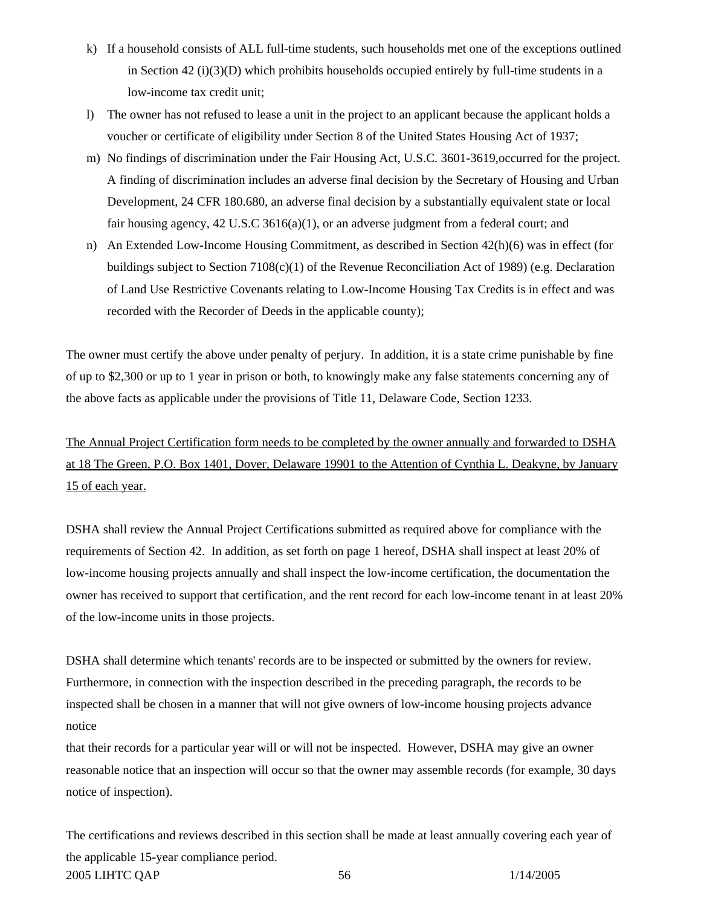- k) If a household consists of ALL full-time students, such households met one of the exceptions outlined in Section  $42$  (i)(3)(D) which prohibits households occupied entirely by full-time students in a low-income tax credit unit;
- l) The owner has not refused to lease a unit in the project to an applicant because the applicant holds a voucher or certificate of eligibility under Section 8 of the United States Housing Act of 1937;
- m) No findings of discrimination under the Fair Housing Act, U.S.C. 3601-3619,occurred for the project. A finding of discrimination includes an adverse final decision by the Secretary of Housing and Urban Development, 24 CFR 180.680, an adverse final decision by a substantially equivalent state or local fair housing agency, 42 U.S.C 3616(a)(1), or an adverse judgment from a federal court; and
- n) An Extended Low-Income Housing Commitment, as described in Section 42(h)(6) was in effect (for buildings subject to Section 7108(c)(1) of the Revenue Reconciliation Act of 1989) (e.g. Declaration of Land Use Restrictive Covenants relating to Low-Income Housing Tax Credits is in effect and was recorded with the Recorder of Deeds in the applicable county);

The owner must certify the above under penalty of perjury. In addition, it is a state crime punishable by fine of up to \$2,300 or up to 1 year in prison or both, to knowingly make any false statements concerning any of the above facts as applicable under the provisions of Title 11, Delaware Code, Section 1233.

The Annual Project Certification form needs to be completed by the owner annually and forwarded to DSHA at 18 The Green, P.O. Box 1401, Dover, Delaware 19901 to the Attention of Cynthia L. Deakyne, by January 15 of each year.

DSHA shall review the Annual Project Certifications submitted as required above for compliance with the requirements of Section 42. In addition, as set forth on page 1 hereof, DSHA shall inspect at least 20% of low-income housing projects annually and shall inspect the low-income certification, the documentation the owner has received to support that certification, and the rent record for each low-income tenant in at least 20% of the low-income units in those projects.

DSHA shall determine which tenants' records are to be inspected or submitted by the owners for review. Furthermore, in connection with the inspection described in the preceding paragraph, the records to be inspected shall be chosen in a manner that will not give owners of low-income housing projects advance notice

that their records for a particular year will or will not be inspected. However, DSHA may give an owner reasonable notice that an inspection will occur so that the owner may assemble records (for example, 30 days notice of inspection).

2005 LIHTC QAP 56 56 1/14/2005 The certifications and reviews described in this section shall be made at least annually covering each year of the applicable 15-year compliance period.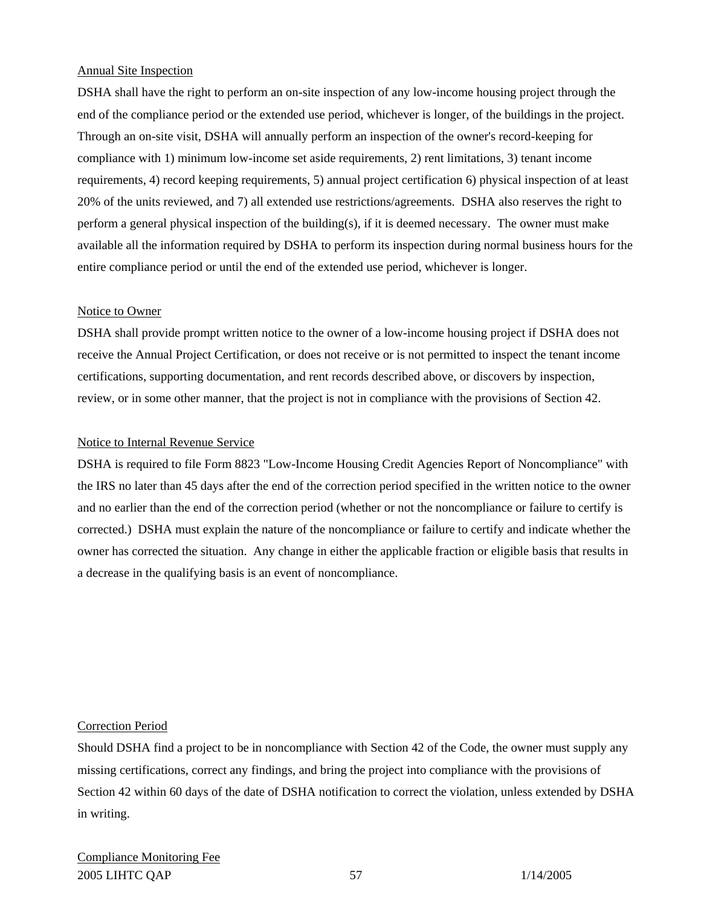## Annual Site Inspection

DSHA shall have the right to perform an on-site inspection of any low-income housing project through the end of the compliance period or the extended use period, whichever is longer, of the buildings in the project. Through an on-site visit, DSHA will annually perform an inspection of the owner's record-keeping for compliance with 1) minimum low-income set aside requirements, 2) rent limitations, 3) tenant income requirements, 4) record keeping requirements, 5) annual project certification 6) physical inspection of at least 20% of the units reviewed, and 7) all extended use restrictions/agreements. DSHA also reserves the right to perform a general physical inspection of the building(s), if it is deemed necessary. The owner must make available all the information required by DSHA to perform its inspection during normal business hours for the entire compliance period or until the end of the extended use period, whichever is longer.

#### Notice to Owner

DSHA shall provide prompt written notice to the owner of a low-income housing project if DSHA does not receive the Annual Project Certification, or does not receive or is not permitted to inspect the tenant income certifications, supporting documentation, and rent records described above, or discovers by inspection, review, or in some other manner, that the project is not in compliance with the provisions of Section 42.

## Notice to Internal Revenue Service

DSHA is required to file Form 8823 "Low-Income Housing Credit Agencies Report of Noncompliance" with the IRS no later than 45 days after the end of the correction period specified in the written notice to the owner and no earlier than the end of the correction period (whether or not the noncompliance or failure to certify is corrected.) DSHA must explain the nature of the noncompliance or failure to certify and indicate whether the owner has corrected the situation. Any change in either the applicable fraction or eligible basis that results in a decrease in the qualifying basis is an event of noncompliance.

#### Correction Period

Should DSHA find a project to be in noncompliance with Section 42 of the Code, the owner must supply any missing certifications, correct any findings, and bring the project into compliance with the provisions of Section 42 within 60 days of the date of DSHA notification to correct the violation, unless extended by DSHA in writing.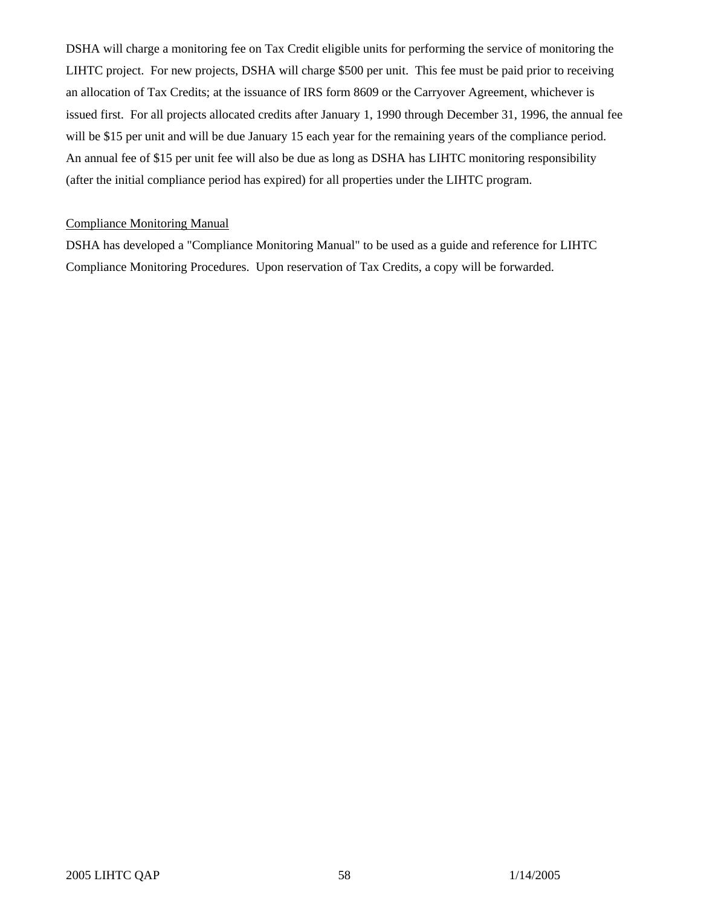DSHA will charge a monitoring fee on Tax Credit eligible units for performing the service of monitoring the LIHTC project. For new projects, DSHA will charge \$500 per unit. This fee must be paid prior to receiving an allocation of Tax Credits; at the issuance of IRS form 8609 or the Carryover Agreement, whichever is issued first. For all projects allocated credits after January 1, 1990 through December 31, 1996, the annual fee will be \$15 per unit and will be due January 15 each year for the remaining years of the compliance period. An annual fee of \$15 per unit fee will also be due as long as DSHA has LIHTC monitoring responsibility (after the initial compliance period has expired) for all properties under the LIHTC program.

## Compliance Monitoring Manual

DSHA has developed a "Compliance Monitoring Manual" to be used as a guide and reference for LIHTC Compliance Monitoring Procedures. Upon reservation of Tax Credits, a copy will be forwarded.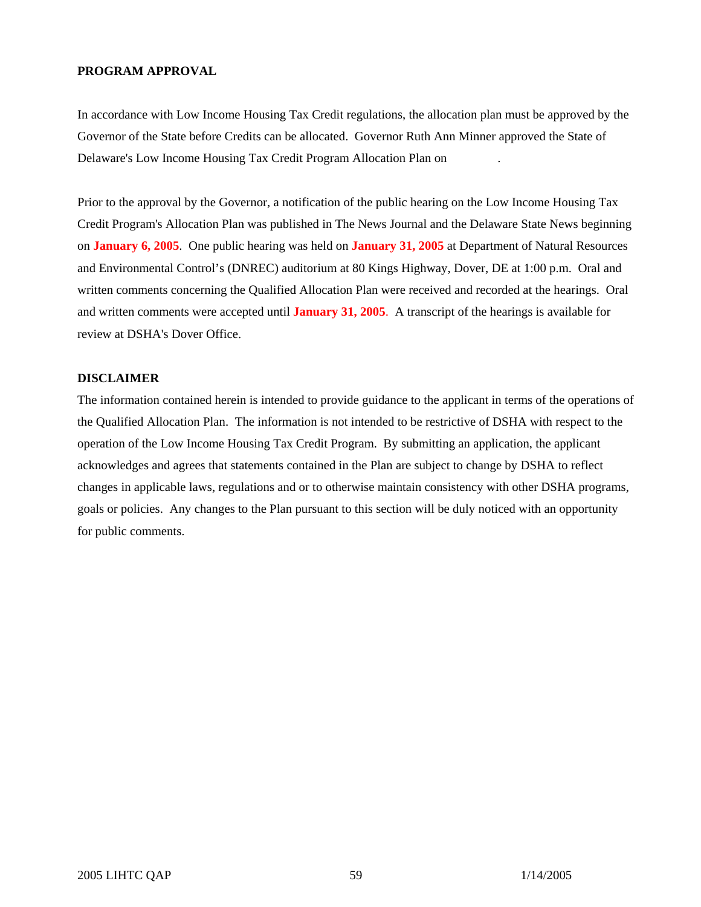## **PROGRAM APPROVAL**

In accordance with Low Income Housing Tax Credit regulations, the allocation plan must be approved by the Governor of the State before Credits can be allocated. Governor Ruth Ann Minner approved the State of Delaware's Low Income Housing Tax Credit Program Allocation Plan on .

Prior to the approval by the Governor, a notification of the public hearing on the Low Income Housing Tax Credit Program's Allocation Plan was published in The News Journal and the Delaware State News beginning on **January 6, 2005**. One public hearing was held on **January 31, 2005** at Department of Natural Resources and Environmental Control's (DNREC) auditorium at 80 Kings Highway, Dover, DE at 1:00 p.m. Oral and written comments concerning the Qualified Allocation Plan were received and recorded at the hearings. Oral and written comments were accepted until **January 31, 2005**. A transcript of the hearings is available for review at DSHA's Dover Office.

## **DISCLAIMER**

The information contained herein is intended to provide guidance to the applicant in terms of the operations of the Qualified Allocation Plan. The information is not intended to be restrictive of DSHA with respect to the operation of the Low Income Housing Tax Credit Program. By submitting an application, the applicant acknowledges and agrees that statements contained in the Plan are subject to change by DSHA to reflect changes in applicable laws, regulations and or to otherwise maintain consistency with other DSHA programs, goals or policies. Any changes to the Plan pursuant to this section will be duly noticed with an opportunity for public comments.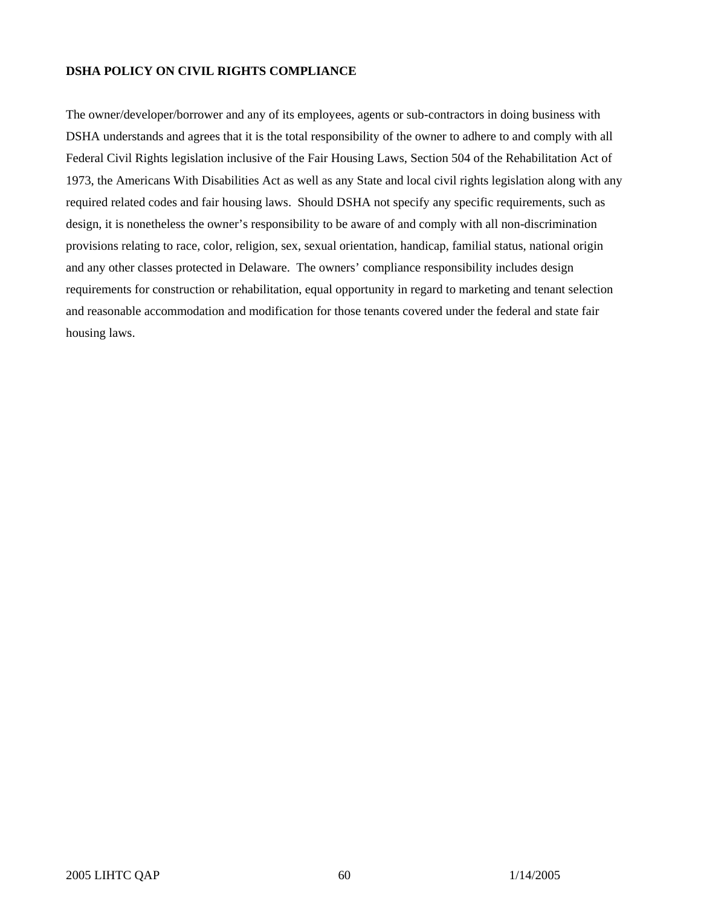### **DSHA POLICY ON CIVIL RIGHTS COMPLIANCE**

The owner/developer/borrower and any of its employees, agents or sub-contractors in doing business with DSHA understands and agrees that it is the total responsibility of the owner to adhere to and comply with all Federal Civil Rights legislation inclusive of the Fair Housing Laws, Section 504 of the Rehabilitation Act of 1973, the Americans With Disabilities Act as well as any State and local civil rights legislation along with any required related codes and fair housing laws. Should DSHA not specify any specific requirements, such as design, it is nonetheless the owner's responsibility to be aware of and comply with all non-discrimination provisions relating to race, color, religion, sex, sexual orientation, handicap, familial status, national origin and any other classes protected in Delaware. The owners' compliance responsibility includes design requirements for construction or rehabilitation, equal opportunity in regard to marketing and tenant selection and reasonable accommodation and modification for those tenants covered under the federal and state fair housing laws.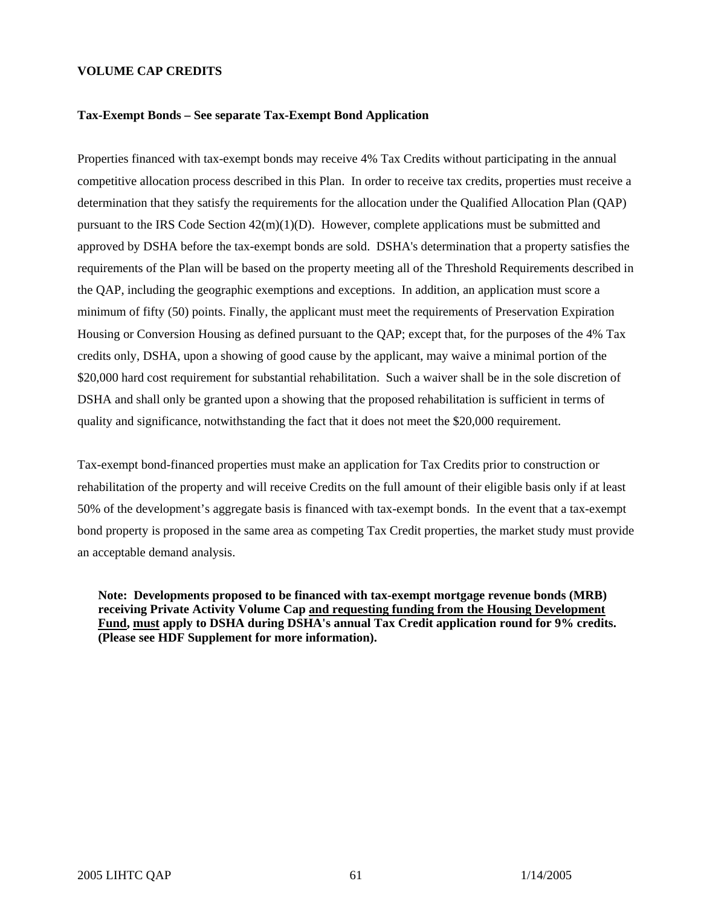#### **VOLUME CAP CREDITS**

#### **Tax-Exempt Bonds – See separate Tax-Exempt Bond Application**

Properties financed with tax-exempt bonds may receive 4% Tax Credits without participating in the annual competitive allocation process described in this Plan. In order to receive tax credits, properties must receive a determination that they satisfy the requirements for the allocation under the Qualified Allocation Plan (QAP) pursuant to the IRS Code Section  $42(m)(1)(D)$ . However, complete applications must be submitted and approved by DSHA before the tax-exempt bonds are sold. DSHA's determination that a property satisfies the requirements of the Plan will be based on the property meeting all of the Threshold Requirements described in the QAP, including the geographic exemptions and exceptions. In addition, an application must score a minimum of fifty (50) points. Finally, the applicant must meet the requirements of Preservation Expiration Housing or Conversion Housing as defined pursuant to the QAP; except that, for the purposes of the 4% Tax credits only, DSHA, upon a showing of good cause by the applicant, may waive a minimal portion of the \$20,000 hard cost requirement for substantial rehabilitation. Such a waiver shall be in the sole discretion of DSHA and shall only be granted upon a showing that the proposed rehabilitation is sufficient in terms of quality and significance, notwithstanding the fact that it does not meet the \$20,000 requirement.

Tax-exempt bond-financed properties must make an application for Tax Credits prior to construction or rehabilitation of the property and will receive Credits on the full amount of their eligible basis only if at least 50% of the development's aggregate basis is financed with tax-exempt bonds. In the event that a tax-exempt bond property is proposed in the same area as competing Tax Credit properties, the market study must provide an acceptable demand analysis.

**Note: Developments proposed to be financed with tax-exempt mortgage revenue bonds (MRB) receiving Private Activity Volume Cap and requesting funding from the Housing Development Fund, must apply to DSHA during DSHA's annual Tax Credit application round for 9% credits. (Please see HDF Supplement for more information).**